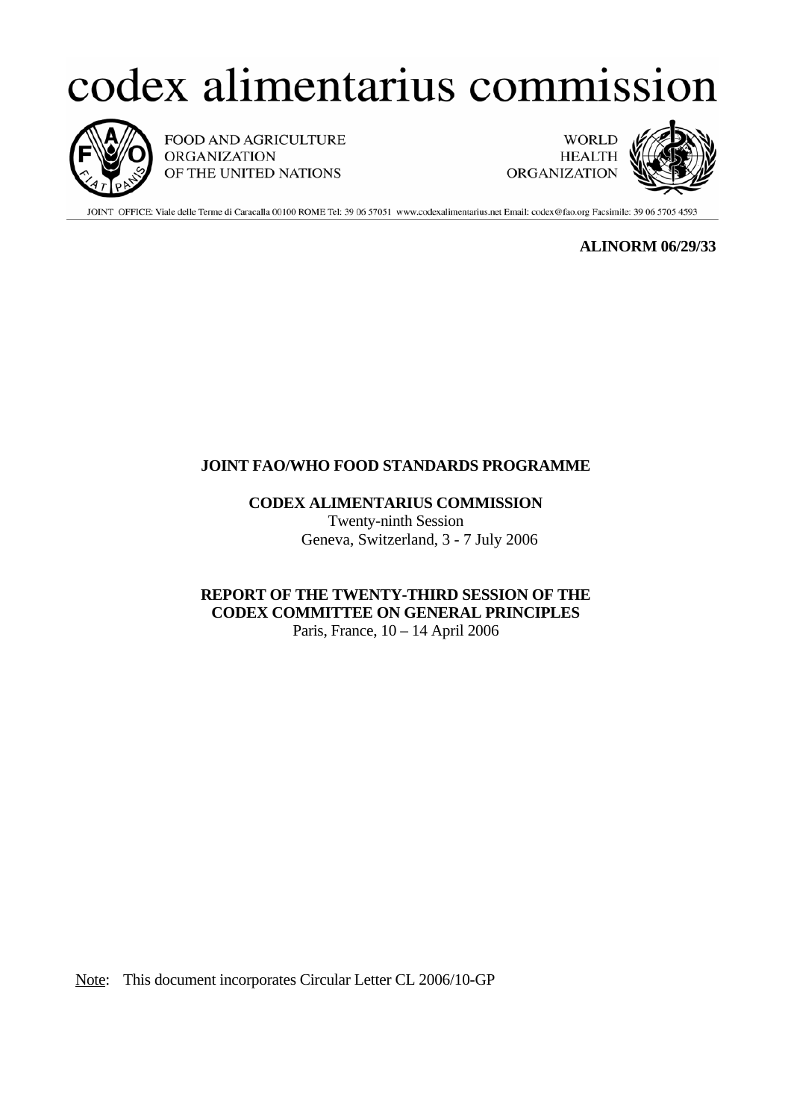# codex alimentarius commission



FOOD AND AGRICULTURE **ORGANIZATION** OF THE UNITED NATIONS

**WORLD HEALTH ORGANIZATION** 



JOINT OFFICE: Viale delle Terme di Caracalla 00100 ROME Tel: 39 06 57051 www.codexalimentarius.net Email: codex@fao.org Facsimile: 39 06 5705 4593

 **ALINORM 06/29/33** 

# **JOINT FAO/WHO FOOD STANDARDS PROGRAMME**

# **CODEX ALIMENTARIUS COMMISSION**

 Twenty-ninth Session Geneva, Switzerland, 3 - 7 July 2006

# **REPORT OF THE TWENTY-THIRD SESSION OF THE CODEX COMMITTEE ON GENERAL PRINCIPLES**  Paris, France, 10 – 14 April 2006

Note: This document incorporates Circular Letter CL 2006/10-GP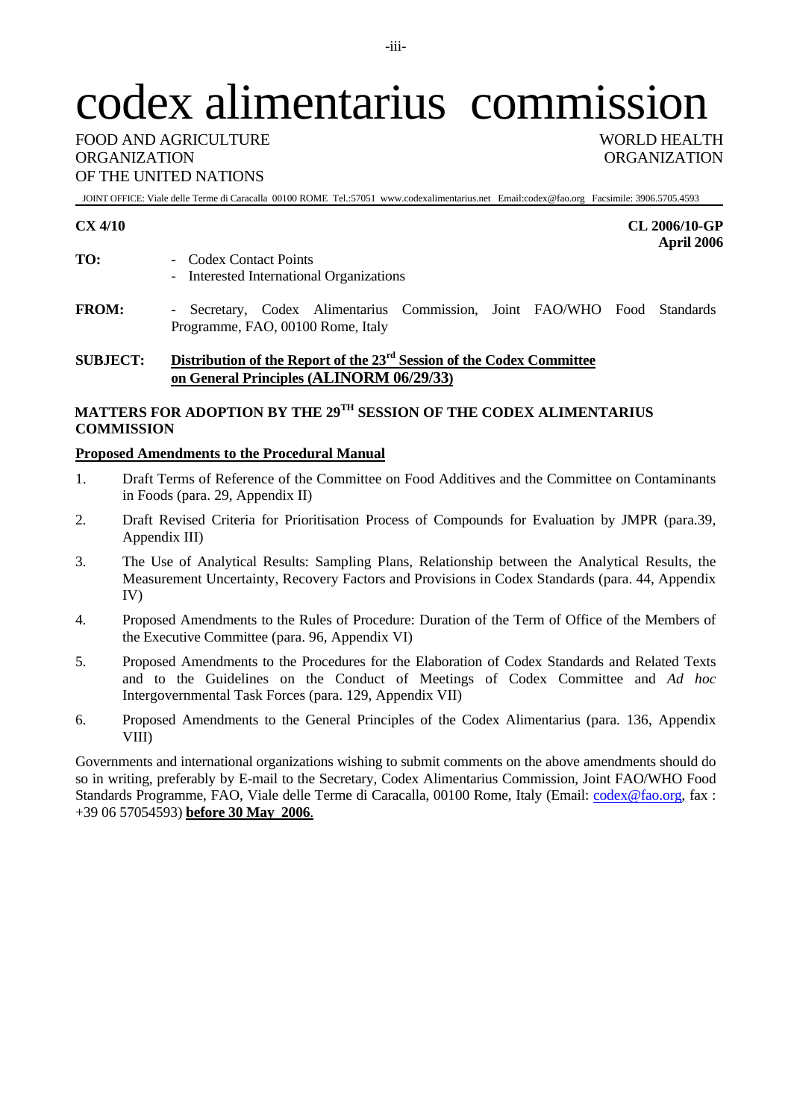# codex alimentarius commission

FOOD AND AGRICULTURE WORLD HEALTH ORGANIZATION ORGANIZATION OF THE UNITED NATIONS

JOINT OFFICE: Viale delle Terme di Caracalla 00100 ROME Tel.:57051 www.codexalimentarius.net Email:codex@fao.org Facsimile: 3906.5705.4593

# **CX 4/10 CL 2006/10-GP**

- **April 2006 TO:** - Codex Contact Points - Interested International Organizations
- **FROM:** Secretary, Codex Alimentarius Commission, Joint FAO/WHO Food Standards Programme, FAO, 00100 Rome, Italy

# **SUBJECT: Distribution of the Report of the 23rd Session of the Codex Committee on General Principles (ALINORM 06/29/33)**

# **MATTERS FOR ADOPTION BY THE 29TH SESSION OF THE CODEX ALIMENTARIUS COMMISSION**

# **Proposed Amendments to the Procedural Manual**

- 1. Draft Terms of Reference of the Committee on Food Additives and the Committee on Contaminants in Foods (para. 29, Appendix II)
- 2. Draft Revised Criteria for Prioritisation Process of Compounds for Evaluation by JMPR (para.39, Appendix III)
- 3. The Use of Analytical Results: Sampling Plans, Relationship between the Analytical Results, the Measurement Uncertainty, Recovery Factors and Provisions in Codex Standards (para. 44, Appendix IV)
- 4. Proposed Amendments to the Rules of Procedure: Duration of the Term of Office of the Members of the Executive Committee (para. 96, Appendix VI)
- 5. Proposed Amendments to the Procedures for the Elaboration of Codex Standards and Related Texts and to the Guidelines on the Conduct of Meetings of Codex Committee and *Ad hoc* Intergovernmental Task Forces (para. 129, Appendix VII)
- 6. Proposed Amendments to the General Principles of the Codex Alimentarius (para. 136, Appendix VIII)

Governments and international organizations wishing to submit comments on the above amendments should do so in writing, preferably by E-mail to the Secretary, Codex Alimentarius Commission, Joint FAO/WHO Food Standards Programme, FAO, Viale delle Terme di Caracalla, 00100 Rome, Italy (Email: codex@fao.org, fax : +39 06 57054593) **before 30 May 2006**.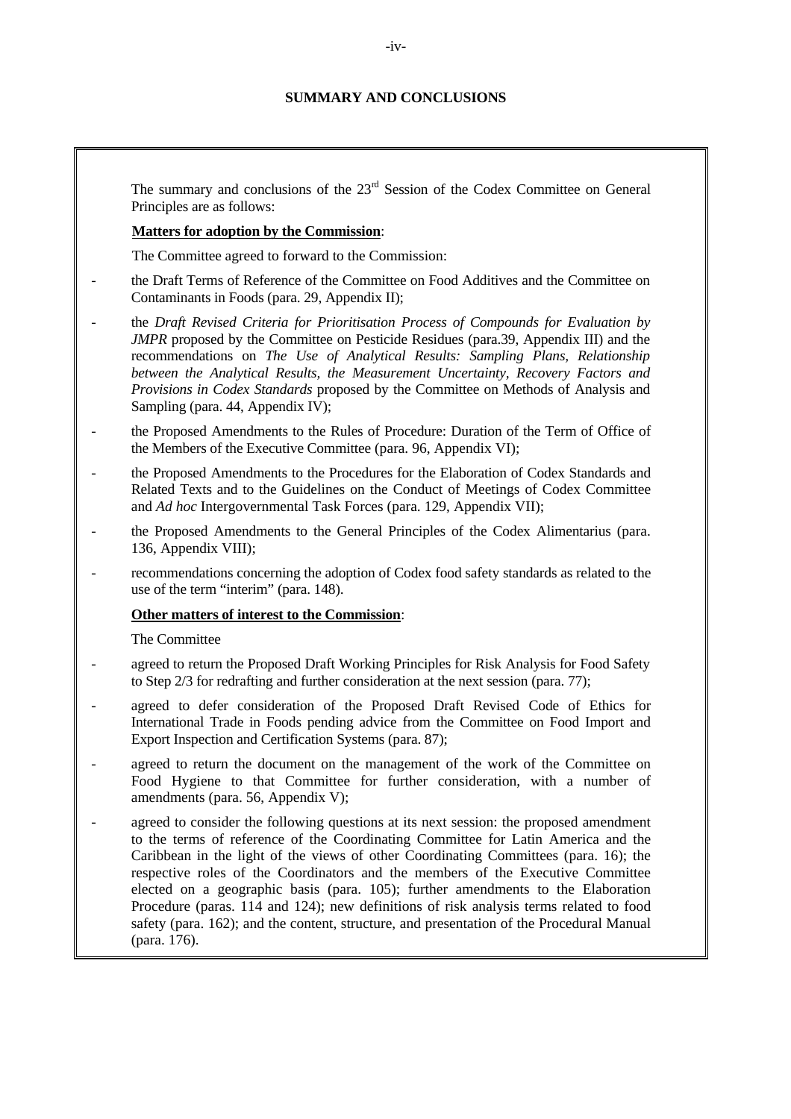# **SUMMARY AND CONCLUSIONS**

The summary and conclusions of the  $23<sup>rd</sup>$  Session of the Codex Committee on General Principles are as follows:

# **Matters for adoption by the Commission**:

The Committee agreed to forward to the Commission:

- the Draft Terms of Reference of the Committee on Food Additives and the Committee on Contaminants in Foods (para. 29, Appendix II);
- the *Draft Revised Criteria for Prioritisation Process of Compounds for Evaluation by JMPR* proposed by the Committee on Pesticide Residues (para.39, Appendix III) and the recommendations on *The Use of Analytical Results: Sampling Plans, Relationship between the Analytical Results, the Measurement Uncertainty, Recovery Factors and Provisions in Codex Standards* proposed by the Committee on Methods of Analysis and Sampling (para. 44, Appendix IV);
- the Proposed Amendments to the Rules of Procedure: Duration of the Term of Office of the Members of the Executive Committee (para. 96, Appendix VI);
- the Proposed Amendments to the Procedures for the Elaboration of Codex Standards and Related Texts and to the Guidelines on the Conduct of Meetings of Codex Committee and *Ad hoc* Intergovernmental Task Forces (para. 129, Appendix VII);
- the Proposed Amendments to the General Principles of the Codex Alimentarius (para. 136, Appendix VIII);
- recommendations concerning the adoption of Codex food safety standards as related to the use of the term "interim" (para. 148).

# **Other matters of interest to the Commission**:

The Committee

- agreed to return the Proposed Draft Working Principles for Risk Analysis for Food Safety to Step 2/3 for redrafting and further consideration at the next session (para. 77);
- agreed to defer consideration of the Proposed Draft Revised Code of Ethics for International Trade in Foods pending advice from the Committee on Food Import and Export Inspection and Certification Systems (para. 87);
- agreed to return the document on the management of the work of the Committee on Food Hygiene to that Committee for further consideration, with a number of amendments (para. 56, Appendix V);
- agreed to consider the following questions at its next session: the proposed amendment to the terms of reference of the Coordinating Committee for Latin America and the Caribbean in the light of the views of other Coordinating Committees (para. 16); the respective roles of the Coordinators and the members of the Executive Committee elected on a geographic basis (para. 105); further amendments to the Elaboration Procedure (paras. 114 and 124); new definitions of risk analysis terms related to food safety (para. 162); and the content, structure, and presentation of the Procedural Manual (para. 176).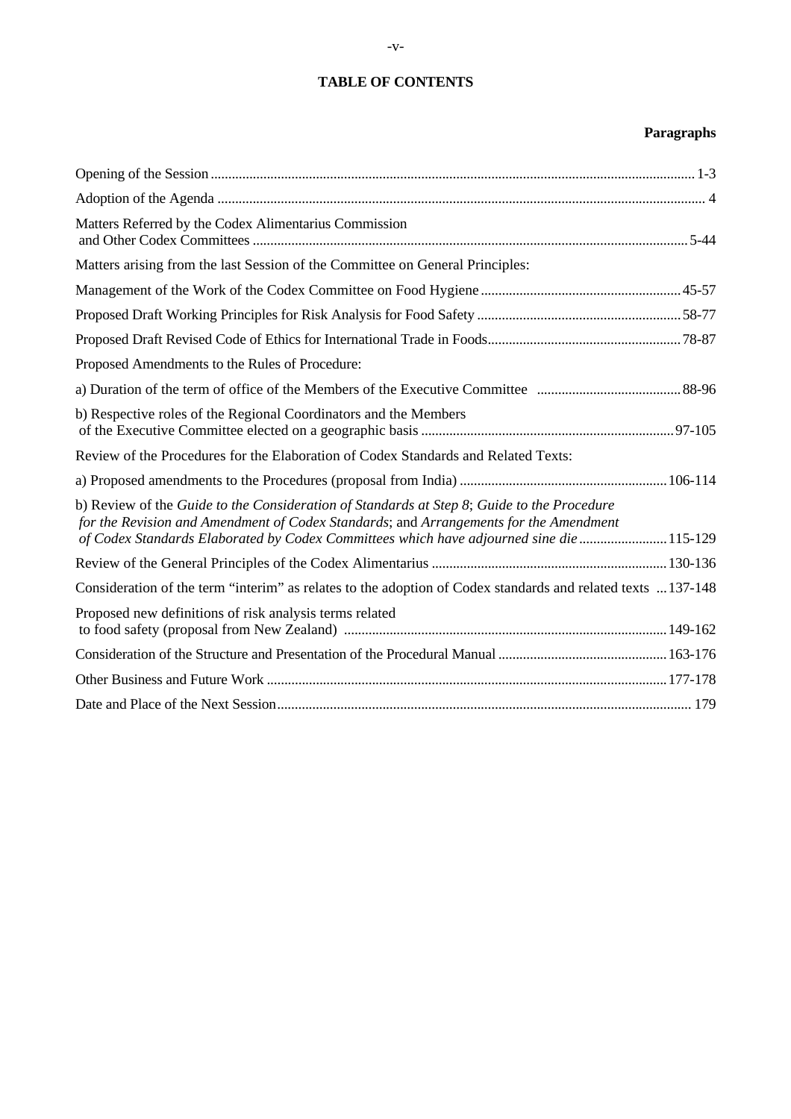# **TABLE OF CONTENTS**

# **Paragraphs**

| Matters Referred by the Codex Alimentarius Commission                                                                                                                                                                                                                          |
|--------------------------------------------------------------------------------------------------------------------------------------------------------------------------------------------------------------------------------------------------------------------------------|
| Matters arising from the last Session of the Committee on General Principles:                                                                                                                                                                                                  |
|                                                                                                                                                                                                                                                                                |
|                                                                                                                                                                                                                                                                                |
|                                                                                                                                                                                                                                                                                |
| Proposed Amendments to the Rules of Procedure:                                                                                                                                                                                                                                 |
|                                                                                                                                                                                                                                                                                |
| b) Respective roles of the Regional Coordinators and the Members                                                                                                                                                                                                               |
| Review of the Procedures for the Elaboration of Codex Standards and Related Texts:                                                                                                                                                                                             |
|                                                                                                                                                                                                                                                                                |
| b) Review of the Guide to the Consideration of Standards at Step 8; Guide to the Procedure<br>for the Revision and Amendment of Codex Standards; and Arrangements for the Amendment<br>of Codex Standards Elaborated by Codex Committees which have adjourned sine die 115-129 |
|                                                                                                                                                                                                                                                                                |
| Consideration of the term "interim" as relates to the adoption of Codex standards and related texts 137-148                                                                                                                                                                    |
| Proposed new definitions of risk analysis terms related                                                                                                                                                                                                                        |
|                                                                                                                                                                                                                                                                                |
|                                                                                                                                                                                                                                                                                |
|                                                                                                                                                                                                                                                                                |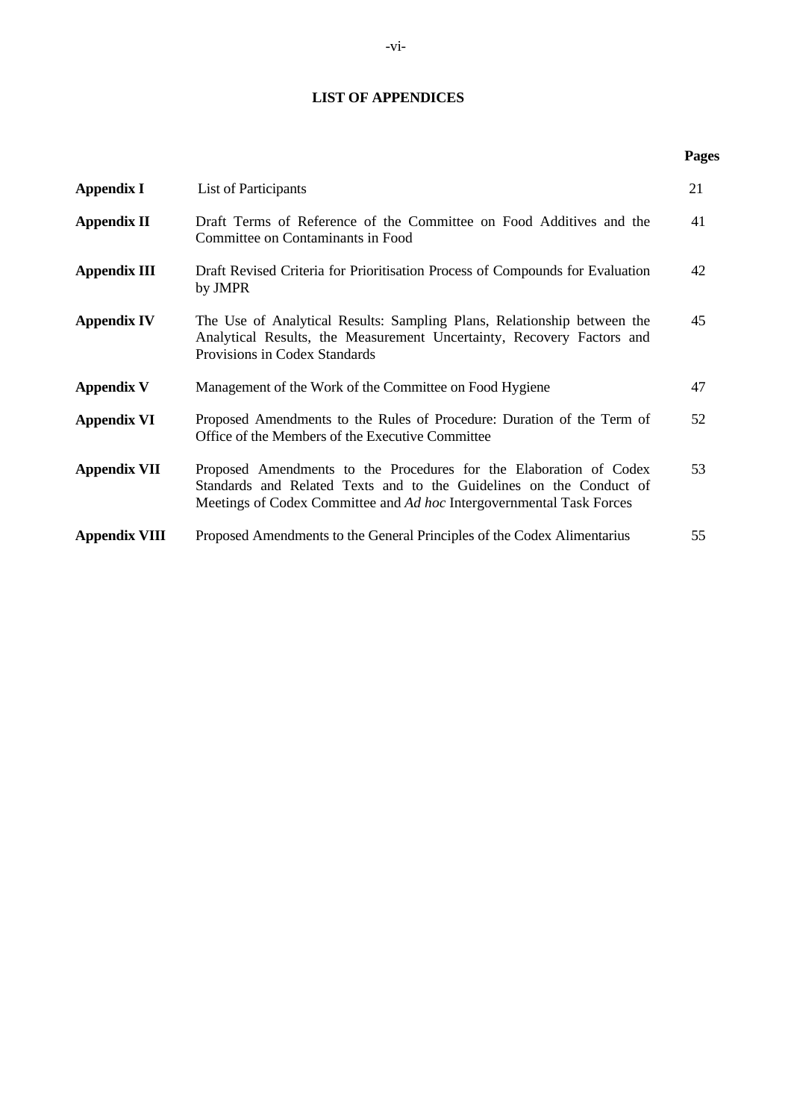# **LIST OF APPENDICES**

**Pages**

| <b>Appendix I</b>    | List of Participants                                                                                                                                                                                              | 21 |
|----------------------|-------------------------------------------------------------------------------------------------------------------------------------------------------------------------------------------------------------------|----|
| <b>Appendix II</b>   | Draft Terms of Reference of the Committee on Food Additives and the<br>Committee on Contaminants in Food                                                                                                          | 41 |
| <b>Appendix III</b>  | Draft Revised Criteria for Prioritisation Process of Compounds for Evaluation<br>by JMPR                                                                                                                          | 42 |
| <b>Appendix IV</b>   | The Use of Analytical Results: Sampling Plans, Relationship between the<br>Analytical Results, the Measurement Uncertainty, Recovery Factors and<br>Provisions in Codex Standards                                 | 45 |
| <b>Appendix V</b>    | Management of the Work of the Committee on Food Hygiene                                                                                                                                                           | 47 |
| <b>Appendix VI</b>   | Proposed Amendments to the Rules of Procedure: Duration of the Term of<br>Office of the Members of the Executive Committee                                                                                        | 52 |
| <b>Appendix VII</b>  | Proposed Amendments to the Procedures for the Elaboration of Codex<br>Standards and Related Texts and to the Guidelines on the Conduct of<br>Meetings of Codex Committee and Ad hoc Intergovernmental Task Forces | 53 |
| <b>Appendix VIII</b> | Proposed Amendments to the General Principles of the Codex Alimentarius                                                                                                                                           | 55 |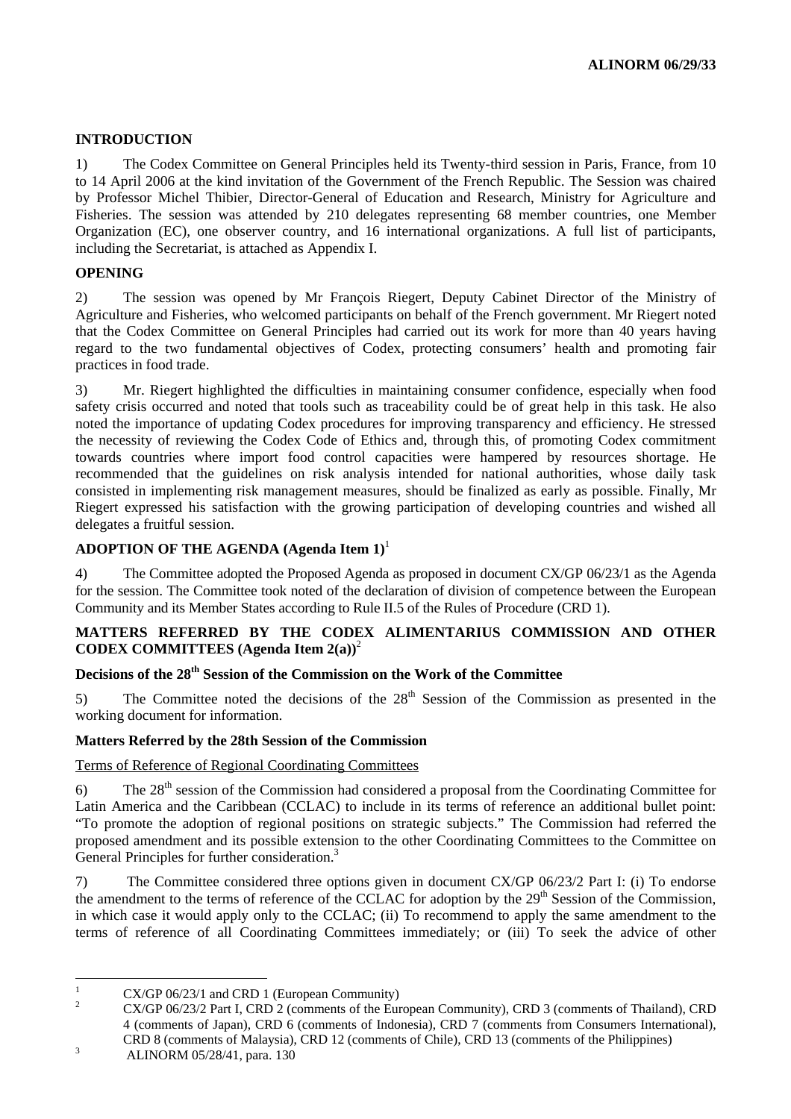# **INTRODUCTION**

1) The Codex Committee on General Principles held its Twenty-third session in Paris, France, from 10 to 14 April 2006 at the kind invitation of the Government of the French Republic. The Session was chaired by Professor Michel Thibier, Director-General of Education and Research, Ministry for Agriculture and Fisheries. The session was attended by 210 delegates representing 68 member countries, one Member Organization (EC), one observer country, and 16 international organizations. A full list of participants, including the Secretariat, is attached as Appendix I.

# **OPENING**

2) The session was opened by Mr François Riegert, Deputy Cabinet Director of the Ministry of Agriculture and Fisheries, who welcomed participants on behalf of the French government. Mr Riegert noted that the Codex Committee on General Principles had carried out its work for more than 40 years having regard to the two fundamental objectives of Codex, protecting consumers' health and promoting fair practices in food trade.

3) Mr. Riegert highlighted the difficulties in maintaining consumer confidence, especially when food safety crisis occurred and noted that tools such as traceability could be of great help in this task. He also noted the importance of updating Codex procedures for improving transparency and efficiency. He stressed the necessity of reviewing the Codex Code of Ethics and, through this, of promoting Codex commitment towards countries where import food control capacities were hampered by resources shortage. He recommended that the guidelines on risk analysis intended for national authorities, whose daily task consisted in implementing risk management measures, should be finalized as early as possible. Finally, Mr Riegert expressed his satisfaction with the growing participation of developing countries and wished all delegates a fruitful session.

# **ADOPTION OF THE AGENDA (Agenda Item 1)**<sup>1</sup>

4) The Committee adopted the Proposed Agenda as proposed in document CX/GP 06/23/1 as the Agenda for the session. The Committee took noted of the declaration of division of competence between the European Community and its Member States according to Rule II.5 of the Rules of Procedure (CRD 1).

# **MATTERS REFERRED BY THE CODEX ALIMENTARIUS COMMISSION AND OTHER CODEX COMMITTEES (Agenda Item 2(a))**<sup>2</sup>

# **Decisions of the 28th Session of the Commission on the Work of the Committee**

5) The Committee noted the decisions of the  $28<sup>th</sup>$  Session of the Commission as presented in the working document for information.

# **Matters Referred by the 28th Session of the Commission**

Terms of Reference of Regional Coordinating Committees

6) The  $28<sup>th</sup>$  session of the Commission had considered a proposal from the Coordinating Committee for Latin America and the Caribbean (CCLAC) to include in its terms of reference an additional bullet point: "To promote the adoption of regional positions on strategic subjects." The Commission had referred the proposed amendment and its possible extension to the other Coordinating Committees to the Committee on General Principles for further consideration.<sup>3</sup>

7) The Committee considered three options given in document CX/GP 06/23/2 Part I: (i) To endorse the amendment to the terms of reference of the CCLAC for adoption by the 29<sup>th</sup> Session of the Commission, in which case it would apply only to the CCLAC; (ii) To recommend to apply the same amendment to the terms of reference of all Coordinating Committees immediately; or (iii) To seek the advice of other

 $\frac{1}{1}$ CX/GP 06/23/1 and CRD 1 (European Community)

<sup>2</sup> CX/GP 06/23/2 Part I, CRD 2 (comments of the European Community), CRD 3 (comments of Thailand), CRD 4 (comments of Japan), CRD 6 (comments of Indonesia), CRD 7 (comments from Consumers International), CRD 8 (comments of Malaysia), CRD 12 (comments of Chile), CRD 13 (comments of the Philippines) 3

ALINORM 05/28/41, para. 130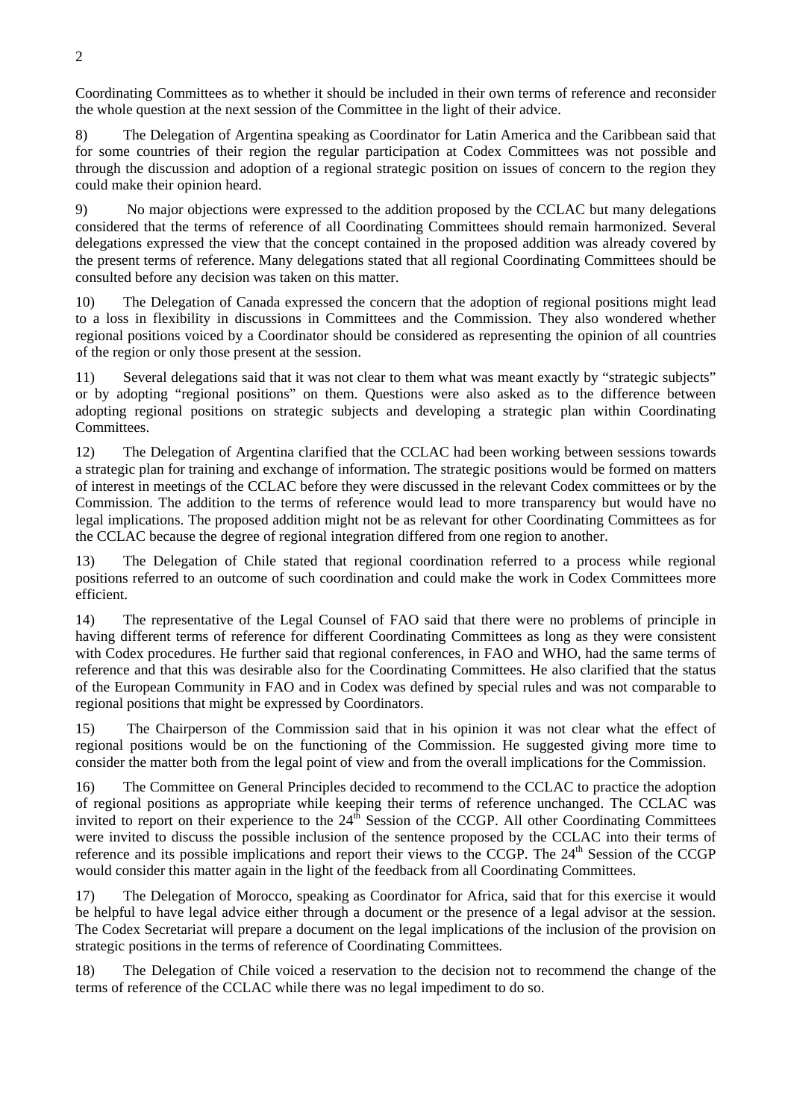Coordinating Committees as to whether it should be included in their own terms of reference and reconsider the whole question at the next session of the Committee in the light of their advice.

8) The Delegation of Argentina speaking as Coordinator for Latin America and the Caribbean said that for some countries of their region the regular participation at Codex Committees was not possible and through the discussion and adoption of a regional strategic position on issues of concern to the region they could make their opinion heard.

9) No major objections were expressed to the addition proposed by the CCLAC but many delegations considered that the terms of reference of all Coordinating Committees should remain harmonized. Several delegations expressed the view that the concept contained in the proposed addition was already covered by the present terms of reference. Many delegations stated that all regional Coordinating Committees should be consulted before any decision was taken on this matter.

10) The Delegation of Canada expressed the concern that the adoption of regional positions might lead to a loss in flexibility in discussions in Committees and the Commission. They also wondered whether regional positions voiced by a Coordinator should be considered as representing the opinion of all countries of the region or only those present at the session.

11) Several delegations said that it was not clear to them what was meant exactly by "strategic subjects" or by adopting "regional positions" on them. Questions were also asked as to the difference between adopting regional positions on strategic subjects and developing a strategic plan within Coordinating Committees.

12) The Delegation of Argentina clarified that the CCLAC had been working between sessions towards a strategic plan for training and exchange of information. The strategic positions would be formed on matters of interest in meetings of the CCLAC before they were discussed in the relevant Codex committees or by the Commission. The addition to the terms of reference would lead to more transparency but would have no legal implications. The proposed addition might not be as relevant for other Coordinating Committees as for the CCLAC because the degree of regional integration differed from one region to another.

13) The Delegation of Chile stated that regional coordination referred to a process while regional positions referred to an outcome of such coordination and could make the work in Codex Committees more efficient.

14) The representative of the Legal Counsel of FAO said that there were no problems of principle in having different terms of reference for different Coordinating Committees as long as they were consistent with Codex procedures. He further said that regional conferences, in FAO and WHO, had the same terms of reference and that this was desirable also for the Coordinating Committees. He also clarified that the status of the European Community in FAO and in Codex was defined by special rules and was not comparable to regional positions that might be expressed by Coordinators.

15) The Chairperson of the Commission said that in his opinion it was not clear what the effect of regional positions would be on the functioning of the Commission. He suggested giving more time to consider the matter both from the legal point of view and from the overall implications for the Commission.

16) The Committee on General Principles decided to recommend to the CCLAC to practice the adoption of regional positions as appropriate while keeping their terms of reference unchanged. The CCLAC was invited to report on their experience to the 24<sup>th</sup> Session of the CCGP. All other Coordinating Committees were invited to discuss the possible inclusion of the sentence proposed by the CCLAC into their terms of reference and its possible implications and report their views to the CCGP. The 24<sup>th</sup> Session of the CCGP would consider this matter again in the light of the feedback from all Coordinating Committees.

17) The Delegation of Morocco, speaking as Coordinator for Africa, said that for this exercise it would be helpful to have legal advice either through a document or the presence of a legal advisor at the session. The Codex Secretariat will prepare a document on the legal implications of the inclusion of the provision on strategic positions in the terms of reference of Coordinating Committees.

18) The Delegation of Chile voiced a reservation to the decision not to recommend the change of the terms of reference of the CCLAC while there was no legal impediment to do so.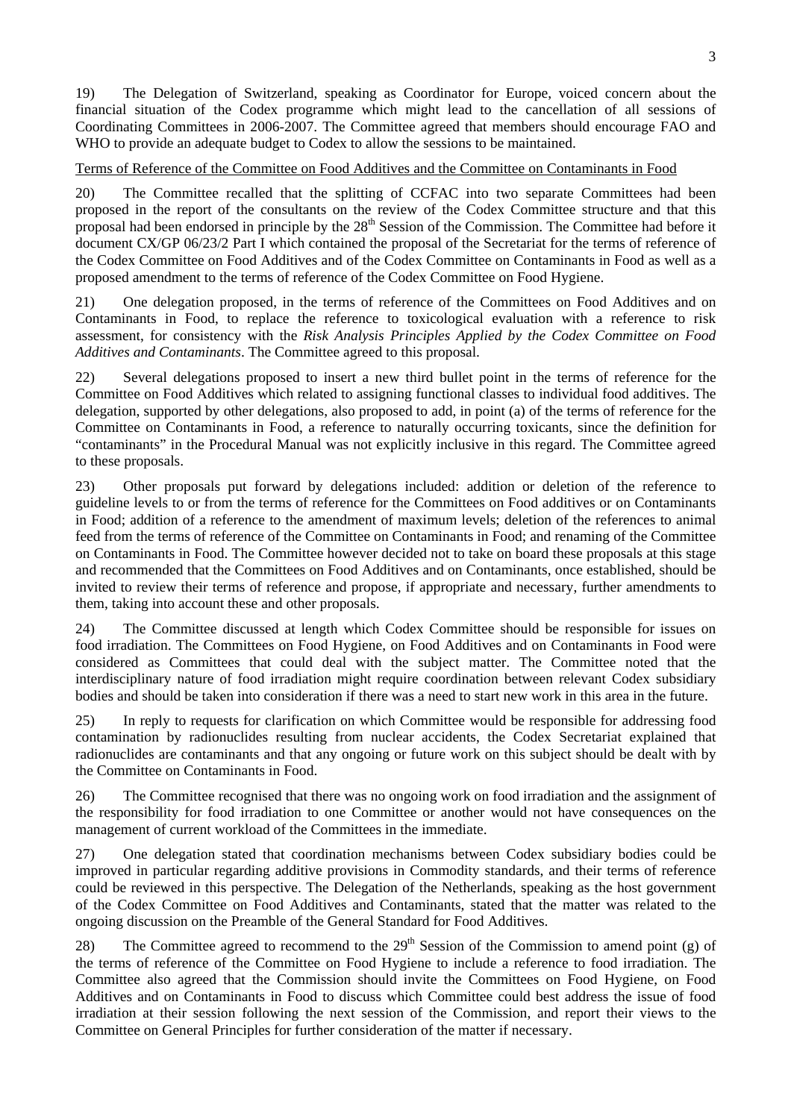19) The Delegation of Switzerland, speaking as Coordinator for Europe, voiced concern about the financial situation of the Codex programme which might lead to the cancellation of all sessions of Coordinating Committees in 2006-2007. The Committee agreed that members should encourage FAO and WHO to provide an adequate budget to Codex to allow the sessions to be maintained.

Terms of Reference of the Committee on Food Additives and the Committee on Contaminants in Food

20) The Committee recalled that the splitting of CCFAC into two separate Committees had been proposed in the report of the consultants on the review of the Codex Committee structure and that this proposal had been endorsed in principle by the 28<sup>th</sup> Session of the Commission. The Committee had before it document CX/GP 06/23/2 Part I which contained the proposal of the Secretariat for the terms of reference of the Codex Committee on Food Additives and of the Codex Committee on Contaminants in Food as well as a proposed amendment to the terms of reference of the Codex Committee on Food Hygiene.

21) One delegation proposed, in the terms of reference of the Committees on Food Additives and on Contaminants in Food, to replace the reference to toxicological evaluation with a reference to risk assessment, for consistency with the *Risk Analysis Principles Applied by the Codex Committee on Food Additives and Contaminants*. The Committee agreed to this proposal.

22) Several delegations proposed to insert a new third bullet point in the terms of reference for the Committee on Food Additives which related to assigning functional classes to individual food additives. The delegation, supported by other delegations, also proposed to add, in point (a) of the terms of reference for the Committee on Contaminants in Food, a reference to naturally occurring toxicants, since the definition for "contaminants" in the Procedural Manual was not explicitly inclusive in this regard. The Committee agreed to these proposals.

23) Other proposals put forward by delegations included: addition or deletion of the reference to guideline levels to or from the terms of reference for the Committees on Food additives or on Contaminants in Food; addition of a reference to the amendment of maximum levels; deletion of the references to animal feed from the terms of reference of the Committee on Contaminants in Food; and renaming of the Committee on Contaminants in Food. The Committee however decided not to take on board these proposals at this stage and recommended that the Committees on Food Additives and on Contaminants, once established, should be invited to review their terms of reference and propose, if appropriate and necessary, further amendments to them, taking into account these and other proposals.

24) The Committee discussed at length which Codex Committee should be responsible for issues on food irradiation. The Committees on Food Hygiene, on Food Additives and on Contaminants in Food were considered as Committees that could deal with the subject matter. The Committee noted that the interdisciplinary nature of food irradiation might require coordination between relevant Codex subsidiary bodies and should be taken into consideration if there was a need to start new work in this area in the future.

25) In reply to requests for clarification on which Committee would be responsible for addressing food contamination by radionuclides resulting from nuclear accidents, the Codex Secretariat explained that radionuclides are contaminants and that any ongoing or future work on this subject should be dealt with by the Committee on Contaminants in Food.

26) The Committee recognised that there was no ongoing work on food irradiation and the assignment of the responsibility for food irradiation to one Committee or another would not have consequences on the management of current workload of the Committees in the immediate.

27) One delegation stated that coordination mechanisms between Codex subsidiary bodies could be improved in particular regarding additive provisions in Commodity standards, and their terms of reference could be reviewed in this perspective. The Delegation of the Netherlands, speaking as the host government of the Codex Committee on Food Additives and Contaminants, stated that the matter was related to the ongoing discussion on the Preamble of the General Standard for Food Additives.

28) The Committee agreed to recommend to the  $29<sup>th</sup>$  Session of the Commission to amend point (g) of the terms of reference of the Committee on Food Hygiene to include a reference to food irradiation. The Committee also agreed that the Commission should invite the Committees on Food Hygiene, on Food Additives and on Contaminants in Food to discuss which Committee could best address the issue of food irradiation at their session following the next session of the Commission, and report their views to the Committee on General Principles for further consideration of the matter if necessary.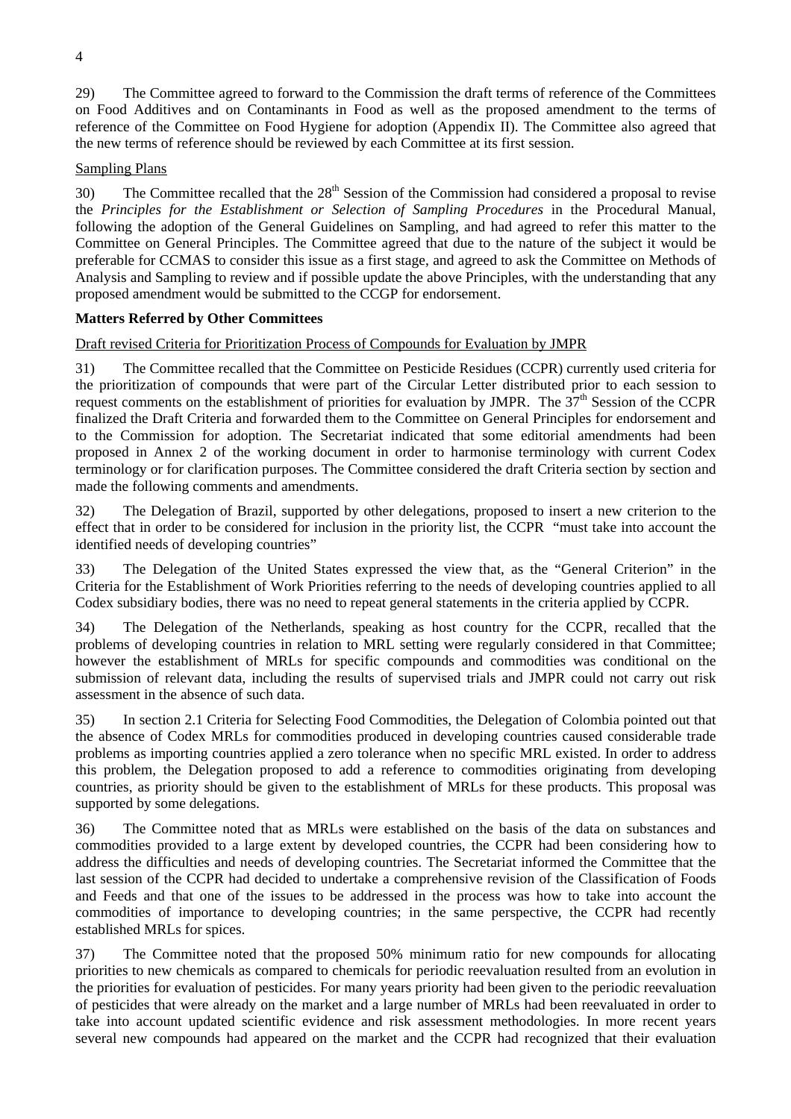29) The Committee agreed to forward to the Commission the draft terms of reference of the Committees on Food Additives and on Contaminants in Food as well as the proposed amendment to the terms of reference of the Committee on Food Hygiene for adoption (Appendix II). The Committee also agreed that the new terms of reference should be reviewed by each Committee at its first session.

# Sampling Plans

30) The Committee recalled that the  $28<sup>th</sup>$  Session of the Commission had considered a proposal to revise the *Principles for the Establishment or Selection of Sampling Procedures* in the Procedural Manual, following the adoption of the General Guidelines on Sampling, and had agreed to refer this matter to the Committee on General Principles. The Committee agreed that due to the nature of the subject it would be preferable for CCMAS to consider this issue as a first stage, and agreed to ask the Committee on Methods of Analysis and Sampling to review and if possible update the above Principles, with the understanding that any proposed amendment would be submitted to the CCGP for endorsement.

## **Matters Referred by Other Committees**

## Draft revised Criteria for Prioritization Process of Compounds for Evaluation by JMPR

31) The Committee recalled that the Committee on Pesticide Residues (CCPR) currently used criteria for the prioritization of compounds that were part of the Circular Letter distributed prior to each session to request comments on the establishment of priorities for evaluation by JMPR. The  $37<sup>th</sup>$  Session of the CCPR finalized the Draft Criteria and forwarded them to the Committee on General Principles for endorsement and to the Commission for adoption. The Secretariat indicated that some editorial amendments had been proposed in Annex 2 of the working document in order to harmonise terminology with current Codex terminology or for clarification purposes. The Committee considered the draft Criteria section by section and made the following comments and amendments.

32) The Delegation of Brazil, supported by other delegations, proposed to insert a new criterion to the effect that in order to be considered for inclusion in the priority list, the CCPR "must take into account the identified needs of developing countries"

33) The Delegation of the United States expressed the view that, as the "General Criterion" in the Criteria for the Establishment of Work Priorities referring to the needs of developing countries applied to all Codex subsidiary bodies, there was no need to repeat general statements in the criteria applied by CCPR.

34) The Delegation of the Netherlands, speaking as host country for the CCPR, recalled that the problems of developing countries in relation to MRL setting were regularly considered in that Committee; however the establishment of MRLs for specific compounds and commodities was conditional on the submission of relevant data, including the results of supervised trials and JMPR could not carry out risk assessment in the absence of such data.

35) In section 2.1 Criteria for Selecting Food Commodities, the Delegation of Colombia pointed out that the absence of Codex MRLs for commodities produced in developing countries caused considerable trade problems as importing countries applied a zero tolerance when no specific MRL existed. In order to address this problem, the Delegation proposed to add a reference to commodities originating from developing countries, as priority should be given to the establishment of MRLs for these products. This proposal was supported by some delegations.

36) The Committee noted that as MRLs were established on the basis of the data on substances and commodities provided to a large extent by developed countries, the CCPR had been considering how to address the difficulties and needs of developing countries. The Secretariat informed the Committee that the last session of the CCPR had decided to undertake a comprehensive revision of the Classification of Foods and Feeds and that one of the issues to be addressed in the process was how to take into account the commodities of importance to developing countries; in the same perspective, the CCPR had recently established MRLs for spices.

37) The Committee noted that the proposed 50% minimum ratio for new compounds for allocating priorities to new chemicals as compared to chemicals for periodic reevaluation resulted from an evolution in the priorities for evaluation of pesticides. For many years priority had been given to the periodic reevaluation of pesticides that were already on the market and a large number of MRLs had been reevaluated in order to take into account updated scientific evidence and risk assessment methodologies. In more recent years several new compounds had appeared on the market and the CCPR had recognized that their evaluation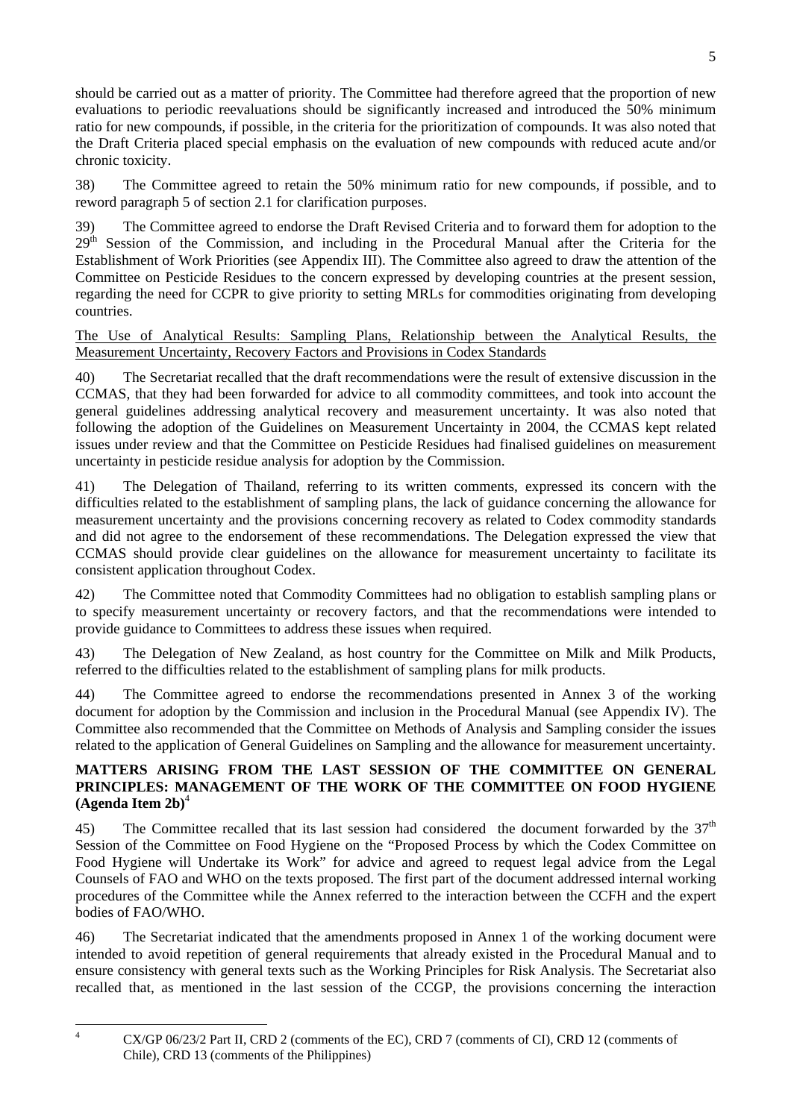should be carried out as a matter of priority. The Committee had therefore agreed that the proportion of new evaluations to periodic reevaluations should be significantly increased and introduced the 50% minimum ratio for new compounds, if possible, in the criteria for the prioritization of compounds. It was also noted that the Draft Criteria placed special emphasis on the evaluation of new compounds with reduced acute and/or chronic toxicity.

38) The Committee agreed to retain the 50% minimum ratio for new compounds, if possible, and to reword paragraph 5 of section 2.1 for clarification purposes.

39) The Committee agreed to endorse the Draft Revised Criteria and to forward them for adoption to the  $29<sup>th</sup>$  Session of the Commission, and including in the Procedural Manual after the Criteria for the Establishment of Work Priorities (see Appendix III). The Committee also agreed to draw the attention of the Committee on Pesticide Residues to the concern expressed by developing countries at the present session, regarding the need for CCPR to give priority to setting MRLs for commodities originating from developing countries.

The Use of Analytical Results: Sampling Plans, Relationship between the Analytical Results, the Measurement Uncertainty, Recovery Factors and Provisions in Codex Standards

40) The Secretariat recalled that the draft recommendations were the result of extensive discussion in the CCMAS, that they had been forwarded for advice to all commodity committees, and took into account the general guidelines addressing analytical recovery and measurement uncertainty. It was also noted that following the adoption of the Guidelines on Measurement Uncertainty in 2004, the CCMAS kept related issues under review and that the Committee on Pesticide Residues had finalised guidelines on measurement uncertainty in pesticide residue analysis for adoption by the Commission.

41) The Delegation of Thailand, referring to its written comments, expressed its concern with the difficulties related to the establishment of sampling plans, the lack of guidance concerning the allowance for measurement uncertainty and the provisions concerning recovery as related to Codex commodity standards and did not agree to the endorsement of these recommendations. The Delegation expressed the view that CCMAS should provide clear guidelines on the allowance for measurement uncertainty to facilitate its consistent application throughout Codex.

42) The Committee noted that Commodity Committees had no obligation to establish sampling plans or to specify measurement uncertainty or recovery factors, and that the recommendations were intended to provide guidance to Committees to address these issues when required.

43) The Delegation of New Zealand, as host country for the Committee on Milk and Milk Products, referred to the difficulties related to the establishment of sampling plans for milk products.

44) The Committee agreed to endorse the recommendations presented in Annex 3 of the working document for adoption by the Commission and inclusion in the Procedural Manual (see Appendix IV). The Committee also recommended that the Committee on Methods of Analysis and Sampling consider the issues related to the application of General Guidelines on Sampling and the allowance for measurement uncertainty.

# **MATTERS ARISING FROM THE LAST SESSION OF THE COMMITTEE ON GENERAL PRINCIPLES: MANAGEMENT OF THE WORK OF THE COMMITTEE ON FOOD HYGIENE (Agenda Item 2b)**<sup>4</sup>

45) The Committee recalled that its last session had considered the document forwarded by the  $37<sup>th</sup>$ Session of the Committee on Food Hygiene on the "Proposed Process by which the Codex Committee on Food Hygiene will Undertake its Work" for advice and agreed to request legal advice from the Legal Counsels of FAO and WHO on the texts proposed. The first part of the document addressed internal working procedures of the Committee while the Annex referred to the interaction between the CCFH and the expert bodies of FAO/WHO.

46) The Secretariat indicated that the amendments proposed in Annex 1 of the working document were intended to avoid repetition of general requirements that already existed in the Procedural Manual and to ensure consistency with general texts such as the Working Principles for Risk Analysis. The Secretariat also recalled that, as mentioned in the last session of the CCGP, the provisions concerning the interaction

 $\frac{1}{4}$ 

CX/GP 06/23/2 Part II, CRD 2 (comments of the EC), CRD 7 (comments of CI), CRD 12 (comments of Chile), CRD 13 (comments of the Philippines)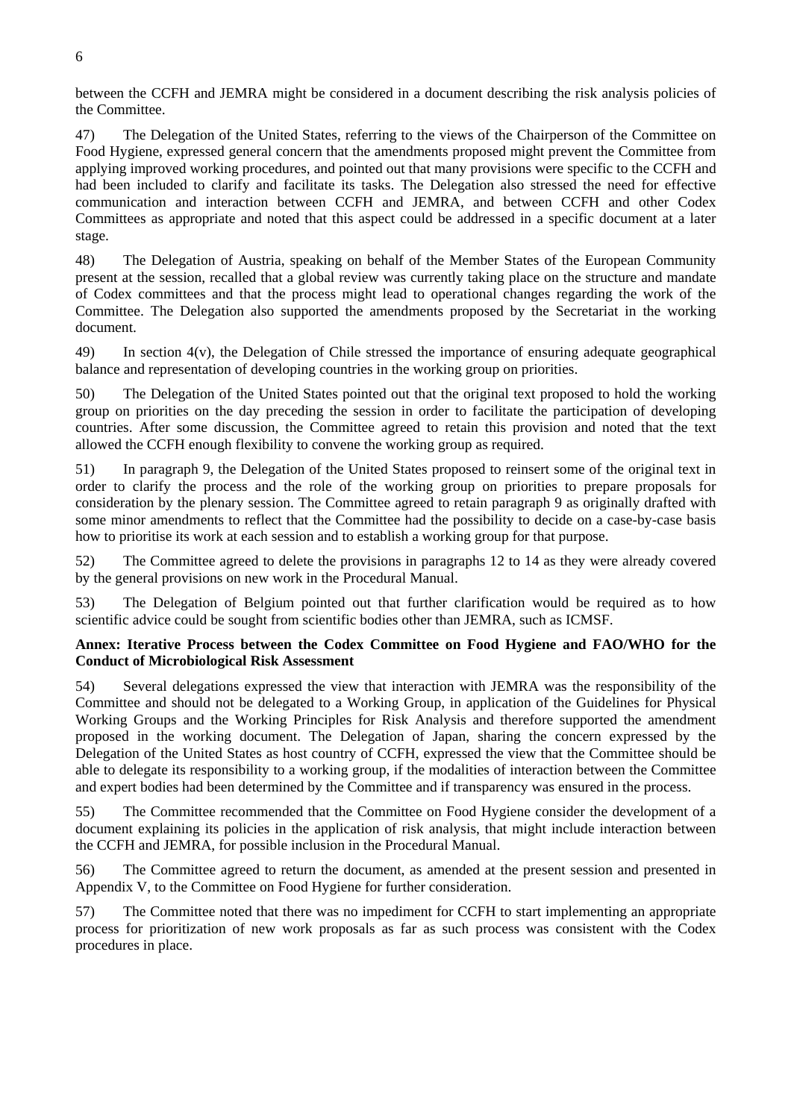between the CCFH and JEMRA might be considered in a document describing the risk analysis policies of the Committee.

47) The Delegation of the United States, referring to the views of the Chairperson of the Committee on Food Hygiene, expressed general concern that the amendments proposed might prevent the Committee from applying improved working procedures, and pointed out that many provisions were specific to the CCFH and had been included to clarify and facilitate its tasks. The Delegation also stressed the need for effective communication and interaction between CCFH and JEMRA, and between CCFH and other Codex Committees as appropriate and noted that this aspect could be addressed in a specific document at a later stage.

48) The Delegation of Austria, speaking on behalf of the Member States of the European Community present at the session, recalled that a global review was currently taking place on the structure and mandate of Codex committees and that the process might lead to operational changes regarding the work of the Committee. The Delegation also supported the amendments proposed by the Secretariat in the working document.

49) In section 4(v), the Delegation of Chile stressed the importance of ensuring adequate geographical balance and representation of developing countries in the working group on priorities.

50) The Delegation of the United States pointed out that the original text proposed to hold the working group on priorities on the day preceding the session in order to facilitate the participation of developing countries. After some discussion, the Committee agreed to retain this provision and noted that the text allowed the CCFH enough flexibility to convene the working group as required.

51) In paragraph 9, the Delegation of the United States proposed to reinsert some of the original text in order to clarify the process and the role of the working group on priorities to prepare proposals for consideration by the plenary session. The Committee agreed to retain paragraph 9 as originally drafted with some minor amendments to reflect that the Committee had the possibility to decide on a case-by-case basis how to prioritise its work at each session and to establish a working group for that purpose.

52) The Committee agreed to delete the provisions in paragraphs 12 to 14 as they were already covered by the general provisions on new work in the Procedural Manual.

53) The Delegation of Belgium pointed out that further clarification would be required as to how scientific advice could be sought from scientific bodies other than JEMRA, such as ICMSF.

# **Annex: Iterative Process between the Codex Committee on Food Hygiene and FAO/WHO for the Conduct of Microbiological Risk Assessment**

54) Several delegations expressed the view that interaction with JEMRA was the responsibility of the Committee and should not be delegated to a Working Group, in application of the Guidelines for Physical Working Groups and the Working Principles for Risk Analysis and therefore supported the amendment proposed in the working document. The Delegation of Japan, sharing the concern expressed by the Delegation of the United States as host country of CCFH, expressed the view that the Committee should be able to delegate its responsibility to a working group, if the modalities of interaction between the Committee and expert bodies had been determined by the Committee and if transparency was ensured in the process.

55) The Committee recommended that the Committee on Food Hygiene consider the development of a document explaining its policies in the application of risk analysis, that might include interaction between the CCFH and JEMRA, for possible inclusion in the Procedural Manual.

56) The Committee agreed to return the document, as amended at the present session and presented in Appendix V, to the Committee on Food Hygiene for further consideration.

57) The Committee noted that there was no impediment for CCFH to start implementing an appropriate process for prioritization of new work proposals as far as such process was consistent with the Codex procedures in place.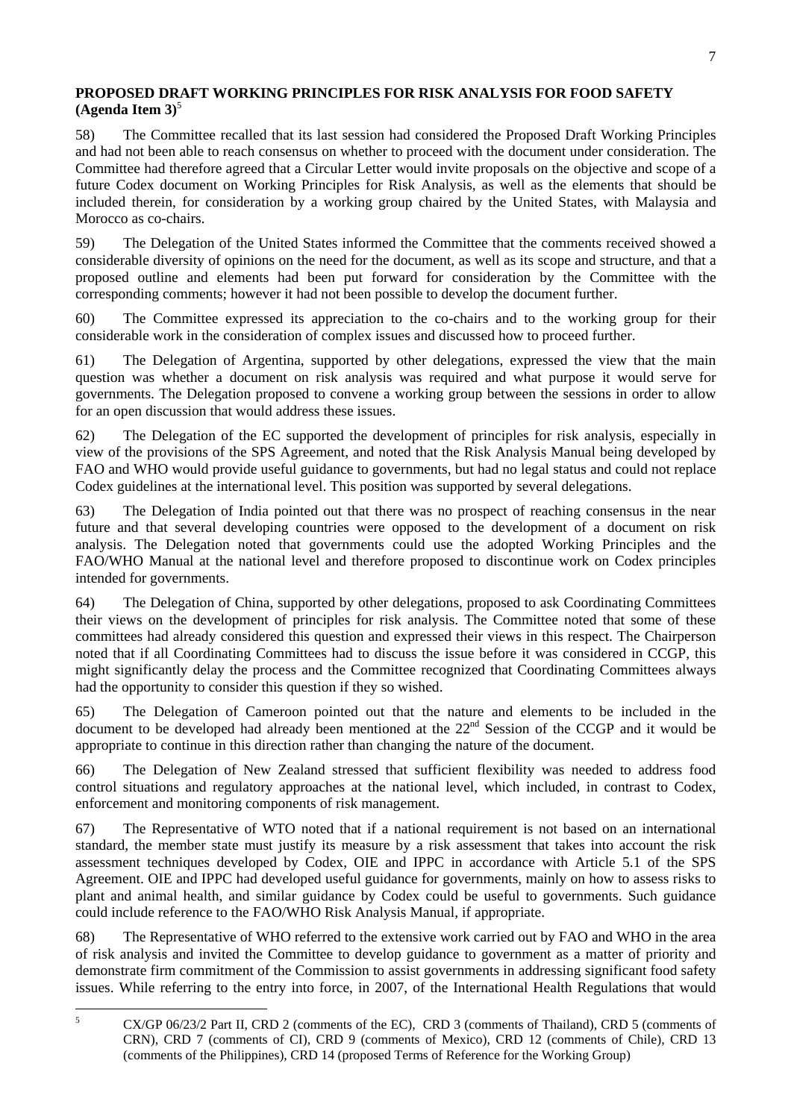# **PROPOSED DRAFT WORKING PRINCIPLES FOR RISK ANALYSIS FOR FOOD SAFETY**   $(A$ genda Item  $3^5$

58) The Committee recalled that its last session had considered the Proposed Draft Working Principles and had not been able to reach consensus on whether to proceed with the document under consideration. The Committee had therefore agreed that a Circular Letter would invite proposals on the objective and scope of a future Codex document on Working Principles for Risk Analysis, as well as the elements that should be included therein, for consideration by a working group chaired by the United States, with Malaysia and Morocco as co-chairs.

59) The Delegation of the United States informed the Committee that the comments received showed a considerable diversity of opinions on the need for the document, as well as its scope and structure, and that a proposed outline and elements had been put forward for consideration by the Committee with the corresponding comments; however it had not been possible to develop the document further.

60) The Committee expressed its appreciation to the co-chairs and to the working group for their considerable work in the consideration of complex issues and discussed how to proceed further.

61) The Delegation of Argentina, supported by other delegations, expressed the view that the main question was whether a document on risk analysis was required and what purpose it would serve for governments. The Delegation proposed to convene a working group between the sessions in order to allow for an open discussion that would address these issues.

62) The Delegation of the EC supported the development of principles for risk analysis, especially in view of the provisions of the SPS Agreement, and noted that the Risk Analysis Manual being developed by FAO and WHO would provide useful guidance to governments, but had no legal status and could not replace Codex guidelines at the international level. This position was supported by several delegations.

63) The Delegation of India pointed out that there was no prospect of reaching consensus in the near future and that several developing countries were opposed to the development of a document on risk analysis. The Delegation noted that governments could use the adopted Working Principles and the FAO/WHO Manual at the national level and therefore proposed to discontinue work on Codex principles intended for governments.

64) The Delegation of China, supported by other delegations, proposed to ask Coordinating Committees their views on the development of principles for risk analysis. The Committee noted that some of these committees had already considered this question and expressed their views in this respect. The Chairperson noted that if all Coordinating Committees had to discuss the issue before it was considered in CCGP, this might significantly delay the process and the Committee recognized that Coordinating Committees always had the opportunity to consider this question if they so wished.

65) The Delegation of Cameroon pointed out that the nature and elements to be included in the  $\frac{d}{dx}$  document to be developed had already been mentioned at the  $22<sup>nd</sup>$  Session of the CCGP and it would be appropriate to continue in this direction rather than changing the nature of the document.

66) The Delegation of New Zealand stressed that sufficient flexibility was needed to address food control situations and regulatory approaches at the national level, which included, in contrast to Codex, enforcement and monitoring components of risk management.

67) The Representative of WTO noted that if a national requirement is not based on an international standard, the member state must justify its measure by a risk assessment that takes into account the risk assessment techniques developed by Codex, OIE and IPPC in accordance with Article 5.1 of the SPS Agreement. OIE and IPPC had developed useful guidance for governments, mainly on how to assess risks to plant and animal health, and similar guidance by Codex could be useful to governments. Such guidance could include reference to the FAO/WHO Risk Analysis Manual, if appropriate.

68) The Representative of WHO referred to the extensive work carried out by FAO and WHO in the area of risk analysis and invited the Committee to develop guidance to government as a matter of priority and demonstrate firm commitment of the Commission to assist governments in addressing significant food safety issues. While referring to the entry into force, in 2007, of the International Health Regulations that would

 5 CX/GP 06/23/2 Part II, CRD 2 (comments of the EC), CRD 3 (comments of Thailand), CRD 5 (comments of CRN), CRD 7 (comments of CI), CRD 9 (comments of Mexico), CRD 12 (comments of Chile), CRD 13 (comments of the Philippines), CRD 14 (proposed Terms of Reference for the Working Group)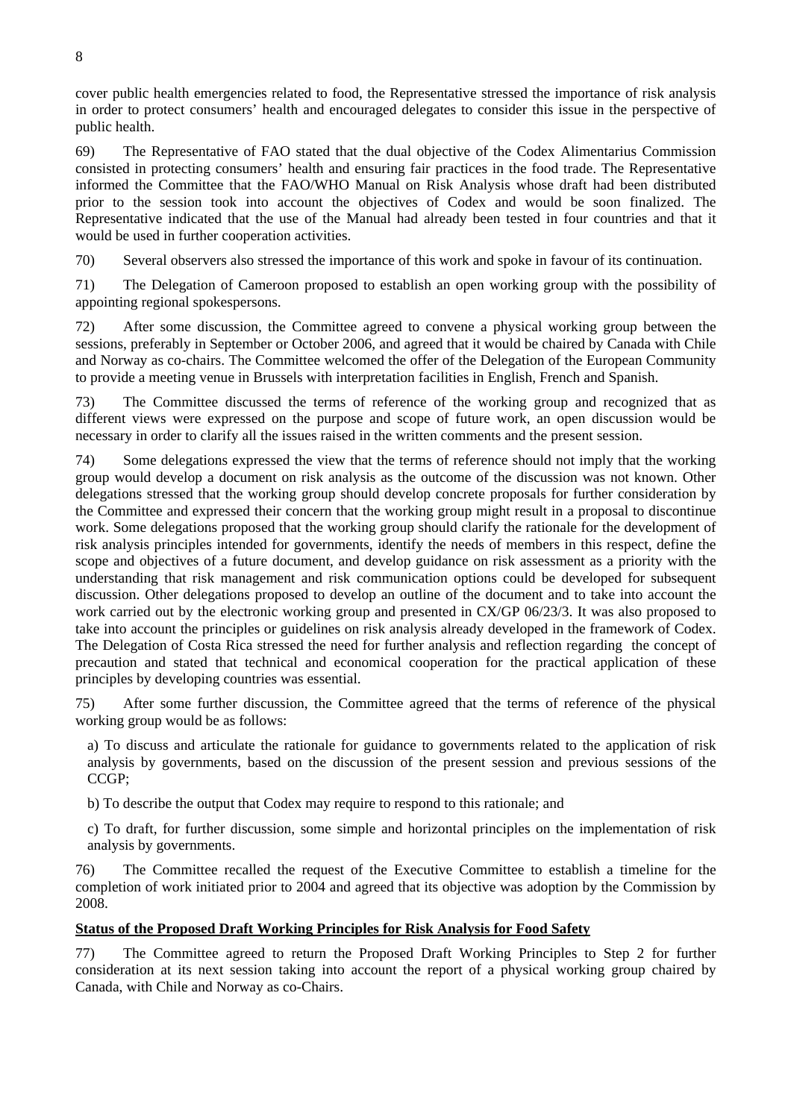cover public health emergencies related to food, the Representative stressed the importance of risk analysis in order to protect consumers' health and encouraged delegates to consider this issue in the perspective of public health.

69) The Representative of FAO stated that the dual objective of the Codex Alimentarius Commission consisted in protecting consumers' health and ensuring fair practices in the food trade. The Representative informed the Committee that the FAO/WHO Manual on Risk Analysis whose draft had been distributed prior to the session took into account the objectives of Codex and would be soon finalized. The Representative indicated that the use of the Manual had already been tested in four countries and that it would be used in further cooperation activities.

70) Several observers also stressed the importance of this work and spoke in favour of its continuation.

71) The Delegation of Cameroon proposed to establish an open working group with the possibility of appointing regional spokespersons.

72) After some discussion, the Committee agreed to convene a physical working group between the sessions, preferably in September or October 2006, and agreed that it would be chaired by Canada with Chile and Norway as co-chairs. The Committee welcomed the offer of the Delegation of the European Community to provide a meeting venue in Brussels with interpretation facilities in English, French and Spanish.

73) The Committee discussed the terms of reference of the working group and recognized that as different views were expressed on the purpose and scope of future work, an open discussion would be necessary in order to clarify all the issues raised in the written comments and the present session.

74) Some delegations expressed the view that the terms of reference should not imply that the working group would develop a document on risk analysis as the outcome of the discussion was not known. Other delegations stressed that the working group should develop concrete proposals for further consideration by the Committee and expressed their concern that the working group might result in a proposal to discontinue work. Some delegations proposed that the working group should clarify the rationale for the development of risk analysis principles intended for governments, identify the needs of members in this respect, define the scope and objectives of a future document, and develop guidance on risk assessment as a priority with the understanding that risk management and risk communication options could be developed for subsequent discussion. Other delegations proposed to develop an outline of the document and to take into account the work carried out by the electronic working group and presented in CX/GP 06/23/3. It was also proposed to take into account the principles or guidelines on risk analysis already developed in the framework of Codex. The Delegation of Costa Rica stressed the need for further analysis and reflection regarding the concept of precaution and stated that technical and economical cooperation for the practical application of these principles by developing countries was essential.

75) After some further discussion, the Committee agreed that the terms of reference of the physical working group would be as follows:

a) To discuss and articulate the rationale for guidance to governments related to the application of risk analysis by governments, based on the discussion of the present session and previous sessions of the CCGP;

b) To describe the output that Codex may require to respond to this rationale; and

c) To draft, for further discussion, some simple and horizontal principles on the implementation of risk analysis by governments.

76) The Committee recalled the request of the Executive Committee to establish a timeline for the completion of work initiated prior to 2004 and agreed that its objective was adoption by the Commission by 2008.

# **Status of the Proposed Draft Working Principles for Risk Analysis for Food Safety**

77) The Committee agreed to return the Proposed Draft Working Principles to Step 2 for further consideration at its next session taking into account the report of a physical working group chaired by Canada, with Chile and Norway as co-Chairs.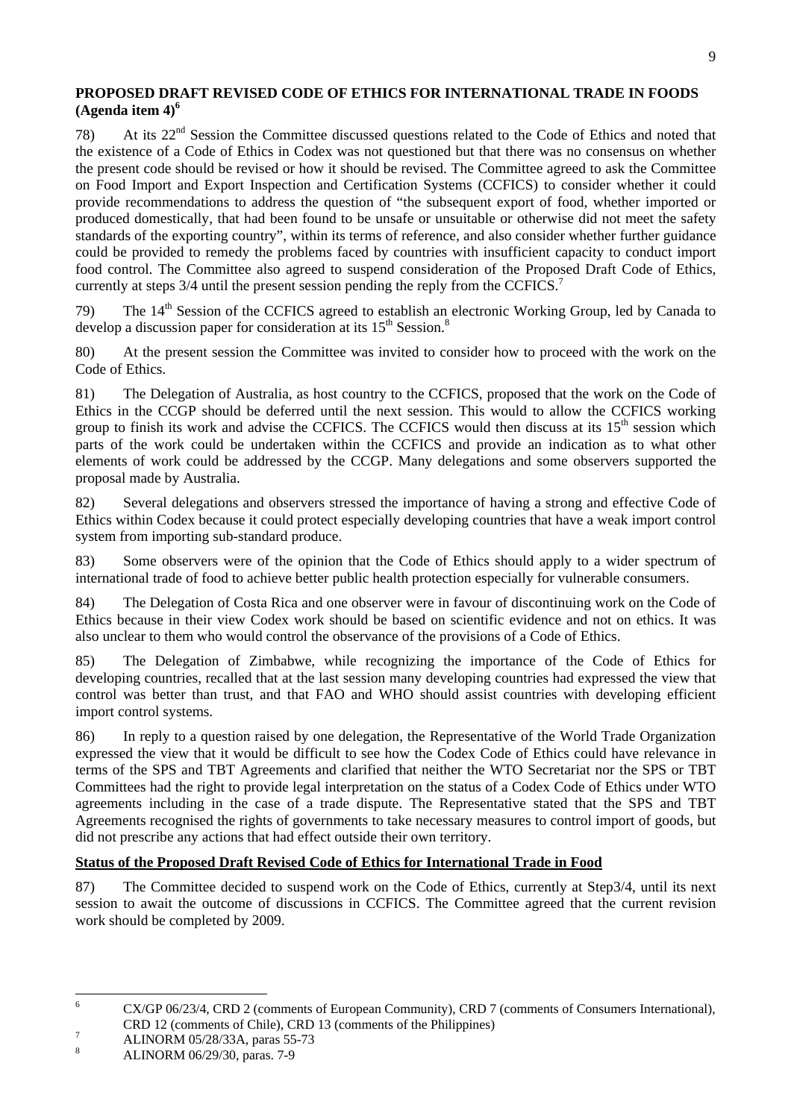# **PROPOSED DRAFT REVISED CODE OF ETHICS FOR INTERNATIONAL TRADE IN FOODS (Agenda item 4)6**

78) At its 22nd Session the Committee discussed questions related to the Code of Ethics and noted that the existence of a Code of Ethics in Codex was not questioned but that there was no consensus on whether the present code should be revised or how it should be revised. The Committee agreed to ask the Committee on Food Import and Export Inspection and Certification Systems (CCFICS) to consider whether it could provide recommendations to address the question of "the subsequent export of food, whether imported or produced domestically, that had been found to be unsafe or unsuitable or otherwise did not meet the safety standards of the exporting country", within its terms of reference, and also consider whether further guidance could be provided to remedy the problems faced by countries with insufficient capacity to conduct import food control. The Committee also agreed to suspend consideration of the Proposed Draft Code of Ethics, currently at steps  $3/4$  until the present session pending the reply from the CCFICS.<sup>7</sup>

79) The 14<sup>th</sup> Session of the CCFICS agreed to establish an electronic Working Group, led by Canada to develop a discussion paper for consideration at its  $15<sup>th</sup>$  Session.<sup>8</sup>

80) At the present session the Committee was invited to consider how to proceed with the work on the Code of Ethics.

81) The Delegation of Australia, as host country to the CCFICS, proposed that the work on the Code of Ethics in the CCGP should be deferred until the next session. This would to allow the CCFICS working group to finish its work and advise the CCFICS. The CCFICS would then discuss at its 15<sup>th</sup> session which parts of the work could be undertaken within the CCFICS and provide an indication as to what other elements of work could be addressed by the CCGP. Many delegations and some observers supported the proposal made by Australia.

82) Several delegations and observers stressed the importance of having a strong and effective Code of Ethics within Codex because it could protect especially developing countries that have a weak import control system from importing sub-standard produce.

83) Some observers were of the opinion that the Code of Ethics should apply to a wider spectrum of international trade of food to achieve better public health protection especially for vulnerable consumers.

84) The Delegation of Costa Rica and one observer were in favour of discontinuing work on the Code of Ethics because in their view Codex work should be based on scientific evidence and not on ethics. It was also unclear to them who would control the observance of the provisions of a Code of Ethics.

85) The Delegation of Zimbabwe, while recognizing the importance of the Code of Ethics for developing countries, recalled that at the last session many developing countries had expressed the view that control was better than trust, and that FAO and WHO should assist countries with developing efficient import control systems.

86) In reply to a question raised by one delegation, the Representative of the World Trade Organization expressed the view that it would be difficult to see how the Codex Code of Ethics could have relevance in terms of the SPS and TBT Agreements and clarified that neither the WTO Secretariat nor the SPS or TBT Committees had the right to provide legal interpretation on the status of a Codex Code of Ethics under WTO agreements including in the case of a trade dispute. The Representative stated that the SPS and TBT Agreements recognised the rights of governments to take necessary measures to control import of goods, but did not prescribe any actions that had effect outside their own territory.

# **Status of the Proposed Draft Revised Code of Ethics for International Trade in Food**

87) The Committee decided to suspend work on the Code of Ethics, currently at Step3/4, until its next session to await the outcome of discussions in CCFICS. The Committee agreed that the current revision work should be completed by 2009.

 $\frac{1}{6}$  CX/GP 06/23/4, CRD 2 (comments of European Community), CRD 7 (comments of Consumers International), CRD 12 (comments of Chile), CRD 13 (comments of the Philippines)

ALINORM 05/28/33A, paras 55-73

<sup>8</sup> ALINORM 06/29/30, paras. 7-9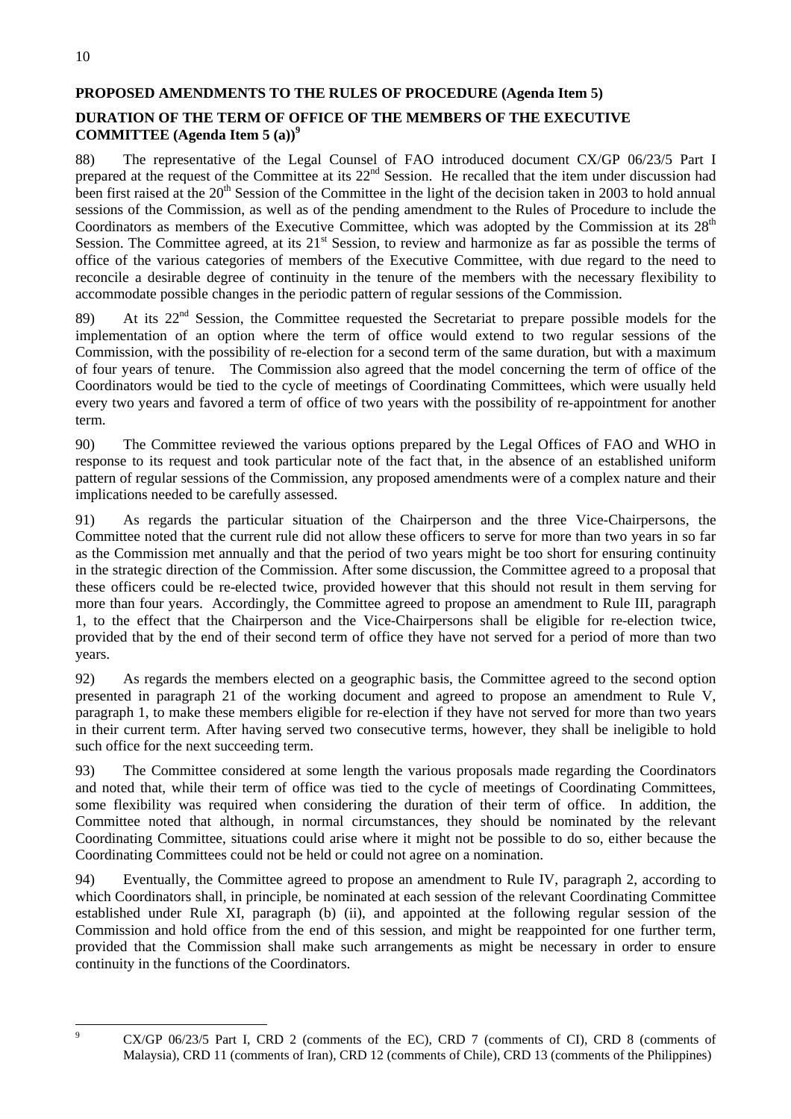# 10

# **PROPOSED AMENDMENTS TO THE RULES OF PROCEDURE (Agenda Item 5)**

# **DURATION OF THE TERM OF OFFICE OF THE MEMBERS OF THE EXECUTIVE COMMITTEE (Agenda Item 5 (a))<sup>9</sup>**

88) The representative of the Legal Counsel of FAO introduced document CX/GP 06/23/5 Part I prepared at the request of the Committee at its  $22<sup>nd</sup>$  Session. He recalled that the item under discussion had been first raised at the  $20<sup>th</sup>$  Session of the Committee in the light of the decision taken in 2003 to hold annual sessions of the Commission, as well as of the pending amendment to the Rules of Procedure to include the Coordinators as members of the Executive Committee, which was adopted by the Commission at its  $28<sup>th</sup>$ Session. The Committee agreed, at its  $21<sup>st</sup>$  Session, to review and harmonize as far as possible the terms of office of the various categories of members of the Executive Committee, with due regard to the need to reconcile a desirable degree of continuity in the tenure of the members with the necessary flexibility to accommodate possible changes in the periodic pattern of regular sessions of the Commission.

89) At its  $22<sup>nd</sup>$  Session, the Committee requested the Secretariat to prepare possible models for the implementation of an option where the term of office would extend to two regular sessions of the Commission, with the possibility of re-election for a second term of the same duration, but with a maximum of four years of tenure. The Commission also agreed that the model concerning the term of office of the Coordinators would be tied to the cycle of meetings of Coordinating Committees, which were usually held every two years and favored a term of office of two years with the possibility of re-appointment for another term.

90) The Committee reviewed the various options prepared by the Legal Offices of FAO and WHO in response to its request and took particular note of the fact that, in the absence of an established uniform pattern of regular sessions of the Commission, any proposed amendments were of a complex nature and their implications needed to be carefully assessed.

91) As regards the particular situation of the Chairperson and the three Vice-Chairpersons, the Committee noted that the current rule did not allow these officers to serve for more than two years in so far as the Commission met annually and that the period of two years might be too short for ensuring continuity in the strategic direction of the Commission. After some discussion, the Committee agreed to a proposal that these officers could be re-elected twice, provided however that this should not result in them serving for more than four years. Accordingly, the Committee agreed to propose an amendment to Rule III, paragraph 1, to the effect that the Chairperson and the Vice-Chairpersons shall be eligible for re-election twice, provided that by the end of their second term of office they have not served for a period of more than two years.

92) As regards the members elected on a geographic basis, the Committee agreed to the second option presented in paragraph 21 of the working document and agreed to propose an amendment to Rule V, paragraph 1, to make these members eligible for re-election if they have not served for more than two years in their current term. After having served two consecutive terms, however, they shall be ineligible to hold such office for the next succeeding term.

93) The Committee considered at some length the various proposals made regarding the Coordinators and noted that, while their term of office was tied to the cycle of meetings of Coordinating Committees, some flexibility was required when considering the duration of their term of office. In addition, the Committee noted that although, in normal circumstances, they should be nominated by the relevant Coordinating Committee, situations could arise where it might not be possible to do so, either because the Coordinating Committees could not be held or could not agree on a nomination.

94) Eventually, the Committee agreed to propose an amendment to Rule IV, paragraph 2, according to which Coordinators shall, in principle, be nominated at each session of the relevant Coordinating Committee established under Rule XI, paragraph (b) (ii), and appointed at the following regular session of the Commission and hold office from the end of this session, and might be reappointed for one further term, provided that the Commission shall make such arrangements as might be necessary in order to ensure continuity in the functions of the Coordinators.

-<br>9

CX/GP 06/23/5 Part I, CRD 2 (comments of the EC), CRD 7 (comments of CI), CRD 8 (comments of Malaysia), CRD 11 (comments of Iran), CRD 12 (comments of Chile), CRD 13 (comments of the Philippines)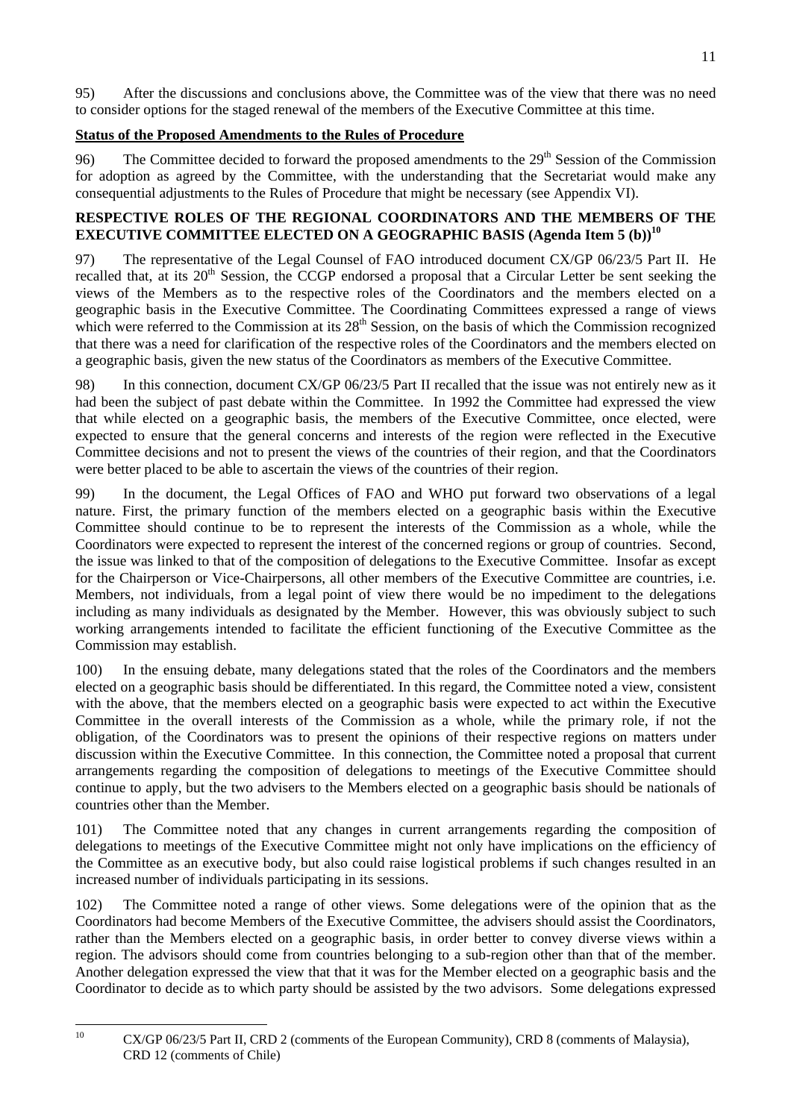95) After the discussions and conclusions above, the Committee was of the view that there was no need to consider options for the staged renewal of the members of the Executive Committee at this time.

# **Status of the Proposed Amendments to the Rules of Procedure**

96) The Committee decided to forward the proposed amendments to the  $29<sup>th</sup>$  Session of the Commission for adoption as agreed by the Committee, with the understanding that the Secretariat would make any consequential adjustments to the Rules of Procedure that might be necessary (see Appendix VI).

# **RESPECTIVE ROLES OF THE REGIONAL COORDINATORS AND THE MEMBERS OF THE EXECUTIVE COMMITTEE ELECTED ON A GEOGRAPHIC BASIS (Agenda Item 5 (b))<sup>10</sup>**

97) The representative of the Legal Counsel of FAO introduced document CX/GP 06/23/5 Part II. He recalled that, at its 20<sup>th</sup> Session, the CCGP endorsed a proposal that a Circular Letter be sent seeking the views of the Members as to the respective roles of the Coordinators and the members elected on a geographic basis in the Executive Committee. The Coordinating Committees expressed a range of views which were referred to the Commission at its 28<sup>th</sup> Session, on the basis of which the Commission recognized that there was a need for clarification of the respective roles of the Coordinators and the members elected on a geographic basis, given the new status of the Coordinators as members of the Executive Committee.

98) In this connection, document CX/GP 06/23/5 Part II recalled that the issue was not entirely new as it had been the subject of past debate within the Committee. In 1992 the Committee had expressed the view that while elected on a geographic basis, the members of the Executive Committee, once elected, were expected to ensure that the general concerns and interests of the region were reflected in the Executive Committee decisions and not to present the views of the countries of their region, and that the Coordinators were better placed to be able to ascertain the views of the countries of their region.

99) In the document, the Legal Offices of FAO and WHO put forward two observations of a legal nature. First, the primary function of the members elected on a geographic basis within the Executive Committee should continue to be to represent the interests of the Commission as a whole, while the Coordinators were expected to represent the interest of the concerned regions or group of countries. Second, the issue was linked to that of the composition of delegations to the Executive Committee. Insofar as except for the Chairperson or Vice-Chairpersons, all other members of the Executive Committee are countries, i.e. Members, not individuals, from a legal point of view there would be no impediment to the delegations including as many individuals as designated by the Member. However, this was obviously subject to such working arrangements intended to facilitate the efficient functioning of the Executive Committee as the Commission may establish.

100) In the ensuing debate, many delegations stated that the roles of the Coordinators and the members elected on a geographic basis should be differentiated. In this regard, the Committee noted a view, consistent with the above, that the members elected on a geographic basis were expected to act within the Executive Committee in the overall interests of the Commission as a whole, while the primary role, if not the obligation, of the Coordinators was to present the opinions of their respective regions on matters under discussion within the Executive Committee. In this connection, the Committee noted a proposal that current arrangements regarding the composition of delegations to meetings of the Executive Committee should continue to apply, but the two advisers to the Members elected on a geographic basis should be nationals of countries other than the Member.

101) The Committee noted that any changes in current arrangements regarding the composition of delegations to meetings of the Executive Committee might not only have implications on the efficiency of the Committee as an executive body, but also could raise logistical problems if such changes resulted in an increased number of individuals participating in its sessions.

102) The Committee noted a range of other views. Some delegations were of the opinion that as the Coordinators had become Members of the Executive Committee, the advisers should assist the Coordinators, rather than the Members elected on a geographic basis, in order better to convey diverse views within a region. The advisors should come from countries belonging to a sub-region other than that of the member. Another delegation expressed the view that that it was for the Member elected on a geographic basis and the Coordinator to decide as to which party should be assisted by the two advisors. Some delegations expressed

 $10\,$ 

<sup>10</sup> CX/GP 06/23/5 Part II, CRD 2 (comments of the European Community), CRD 8 (comments of Malaysia), CRD 12 (comments of Chile)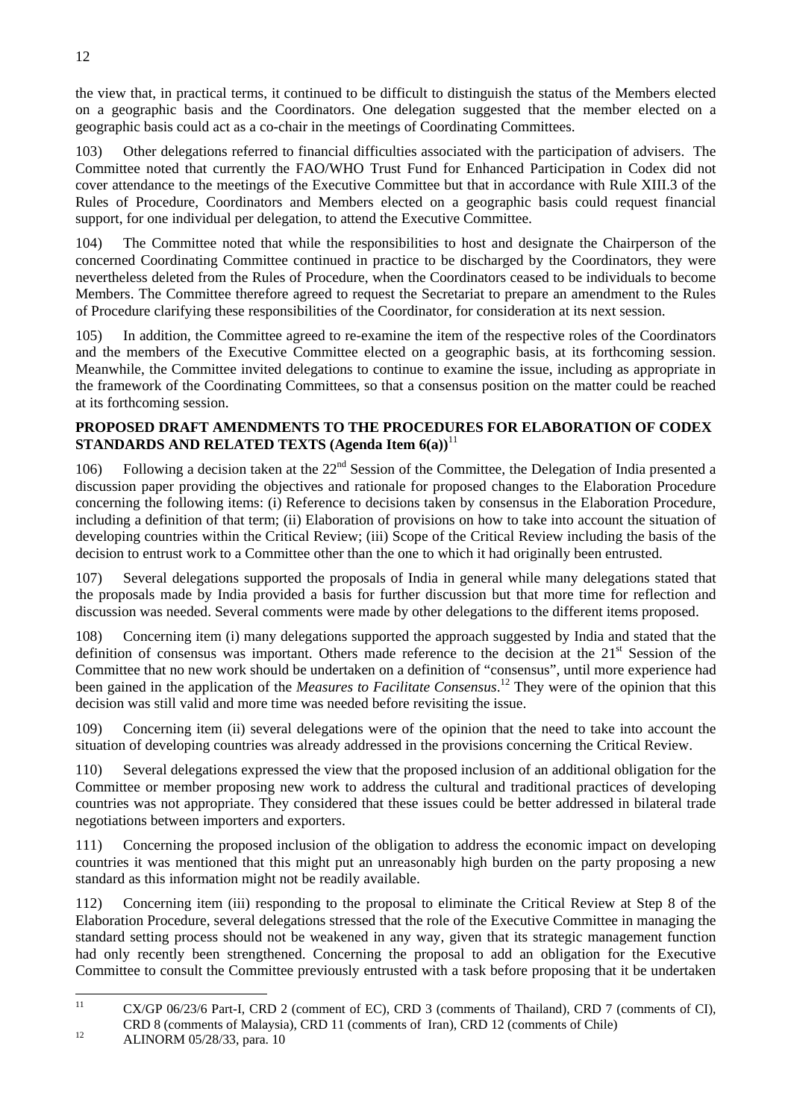the view that, in practical terms, it continued to be difficult to distinguish the status of the Members elected on a geographic basis and the Coordinators. One delegation suggested that the member elected on a geographic basis could act as a co-chair in the meetings of Coordinating Committees.

103) Other delegations referred to financial difficulties associated with the participation of advisers. The Committee noted that currently the FAO/WHO Trust Fund for Enhanced Participation in Codex did not cover attendance to the meetings of the Executive Committee but that in accordance with Rule XIII.3 of the Rules of Procedure, Coordinators and Members elected on a geographic basis could request financial support, for one individual per delegation, to attend the Executive Committee.

104) The Committee noted that while the responsibilities to host and designate the Chairperson of the concerned Coordinating Committee continued in practice to be discharged by the Coordinators, they were nevertheless deleted from the Rules of Procedure, when the Coordinators ceased to be individuals to become Members. The Committee therefore agreed to request the Secretariat to prepare an amendment to the Rules of Procedure clarifying these responsibilities of the Coordinator, for consideration at its next session.

105) In addition, the Committee agreed to re-examine the item of the respective roles of the Coordinators and the members of the Executive Committee elected on a geographic basis, at its forthcoming session. Meanwhile, the Committee invited delegations to continue to examine the issue, including as appropriate in the framework of the Coordinating Committees, so that a consensus position on the matter could be reached at its forthcoming session.

# **PROPOSED DRAFT AMENDMENTS TO THE PROCEDURES FOR ELABORATION OF CODEX STANDARDS AND RELATED TEXTS (Agenda Item 6(a))**<sup>11</sup>

106) Following a decision taken at the 22<sup>nd</sup> Session of the Committee, the Delegation of India presented a discussion paper providing the objectives and rationale for proposed changes to the Elaboration Procedure concerning the following items: (i) Reference to decisions taken by consensus in the Elaboration Procedure, including a definition of that term; (ii) Elaboration of provisions on how to take into account the situation of developing countries within the Critical Review; (iii) Scope of the Critical Review including the basis of the decision to entrust work to a Committee other than the one to which it had originally been entrusted.

107) Several delegations supported the proposals of India in general while many delegations stated that the proposals made by India provided a basis for further discussion but that more time for reflection and discussion was needed. Several comments were made by other delegations to the different items proposed.

108) Concerning item (i) many delegations supported the approach suggested by India and stated that the definition of consensus was important. Others made reference to the decision at the  $21<sup>st</sup>$  Session of the Committee that no new work should be undertaken on a definition of "consensus", until more experience had been gained in the application of the *Measures to Facilitate Consensus*. 12 They were of the opinion that this decision was still valid and more time was needed before revisiting the issue.

109) Concerning item (ii) several delegations were of the opinion that the need to take into account the situation of developing countries was already addressed in the provisions concerning the Critical Review.

110) Several delegations expressed the view that the proposed inclusion of an additional obligation for the Committee or member proposing new work to address the cultural and traditional practices of developing countries was not appropriate. They considered that these issues could be better addressed in bilateral trade negotiations between importers and exporters.

111) Concerning the proposed inclusion of the obligation to address the economic impact on developing countries it was mentioned that this might put an unreasonably high burden on the party proposing a new standard as this information might not be readily available.

112) Concerning item (iii) responding to the proposal to eliminate the Critical Review at Step 8 of the Elaboration Procedure, several delegations stressed that the role of the Executive Committee in managing the standard setting process should not be weakened in any way, given that its strategic management function had only recently been strengthened. Concerning the proposal to add an obligation for the Executive Committee to consult the Committee previously entrusted with a task before proposing that it be undertaken

 $11$ 11 CX/GP 06/23/6 Part-I, CRD 2 (comment of EC), CRD 3 (comments of Thailand), CRD 7 (comments of CI), CRD 8 (comments of Malaysia), CRD 11 (comments of Iran), CRD 12 (comments of Chile) 12 ALINORM 05/28/33, para. 10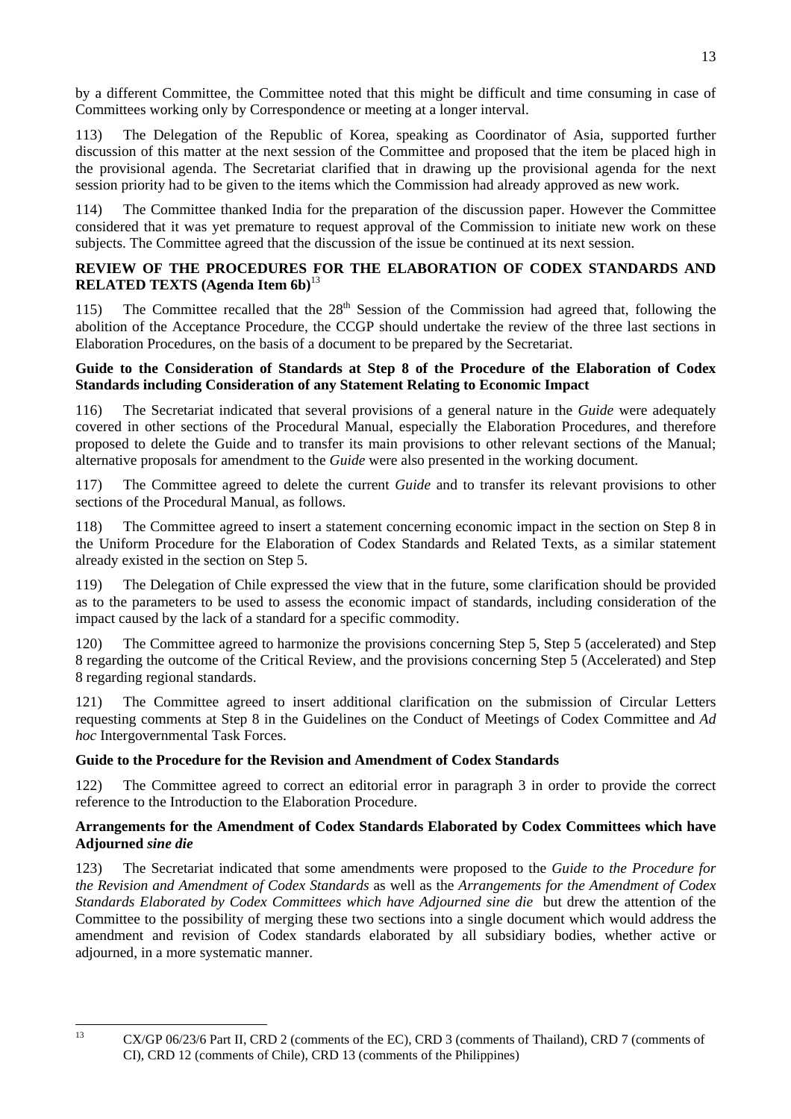by a different Committee, the Committee noted that this might be difficult and time consuming in case of Committees working only by Correspondence or meeting at a longer interval.

113) The Delegation of the Republic of Korea, speaking as Coordinator of Asia, supported further discussion of this matter at the next session of the Committee and proposed that the item be placed high in the provisional agenda. The Secretariat clarified that in drawing up the provisional agenda for the next session priority had to be given to the items which the Commission had already approved as new work.

114) The Committee thanked India for the preparation of the discussion paper. However the Committee considered that it was yet premature to request approval of the Commission to initiate new work on these subjects. The Committee agreed that the discussion of the issue be continued at its next session.

# **REVIEW OF THE PROCEDURES FOR THE ELABORATION OF CODEX STANDARDS AND RELATED TEXTS (Agenda Item 6b)**<sup>13</sup>

115) The Committee recalled that the  $28<sup>th</sup>$  Session of the Commission had agreed that, following the abolition of the Acceptance Procedure, the CCGP should undertake the review of the three last sections in Elaboration Procedures, on the basis of a document to be prepared by the Secretariat.

## **Guide to the Consideration of Standards at Step 8 of the Procedure of the Elaboration of Codex Standards including Consideration of any Statement Relating to Economic Impact**

116) The Secretariat indicated that several provisions of a general nature in the *Guide* were adequately covered in other sections of the Procedural Manual, especially the Elaboration Procedures, and therefore proposed to delete the Guide and to transfer its main provisions to other relevant sections of the Manual; alternative proposals for amendment to the *Guide* were also presented in the working document.

117) The Committee agreed to delete the current *Guide* and to transfer its relevant provisions to other sections of the Procedural Manual, as follows.

118) The Committee agreed to insert a statement concerning economic impact in the section on Step 8 in the Uniform Procedure for the Elaboration of Codex Standards and Related Texts, as a similar statement already existed in the section on Step 5.

119) The Delegation of Chile expressed the view that in the future, some clarification should be provided as to the parameters to be used to assess the economic impact of standards, including consideration of the impact caused by the lack of a standard for a specific commodity.

120) The Committee agreed to harmonize the provisions concerning Step 5, Step 5 (accelerated) and Step 8 regarding the outcome of the Critical Review, and the provisions concerning Step 5 (Accelerated) and Step 8 regarding regional standards.

121) The Committee agreed to insert additional clarification on the submission of Circular Letters requesting comments at Step 8 in the Guidelines on the Conduct of Meetings of Codex Committee and *Ad hoc* Intergovernmental Task Forces.

# **Guide to the Procedure for the Revision and Amendment of Codex Standards**

122) The Committee agreed to correct an editorial error in paragraph 3 in order to provide the correct reference to the Introduction to the Elaboration Procedure.

# **Arrangements for the Amendment of Codex Standards Elaborated by Codex Committees which have Adjourned** *sine die*

123) The Secretariat indicated that some amendments were proposed to the *Guide to the Procedure for the Revision and Amendment of Codex Standards* as well as the *Arrangements for the Amendment of Codex Standards Elaborated by Codex Committees which have Adjourned sine die* but drew the attention of the Committee to the possibility of merging these two sections into a single document which would address the amendment and revision of Codex standards elaborated by all subsidiary bodies, whether active or adjourned, in a more systematic manner.

 $13$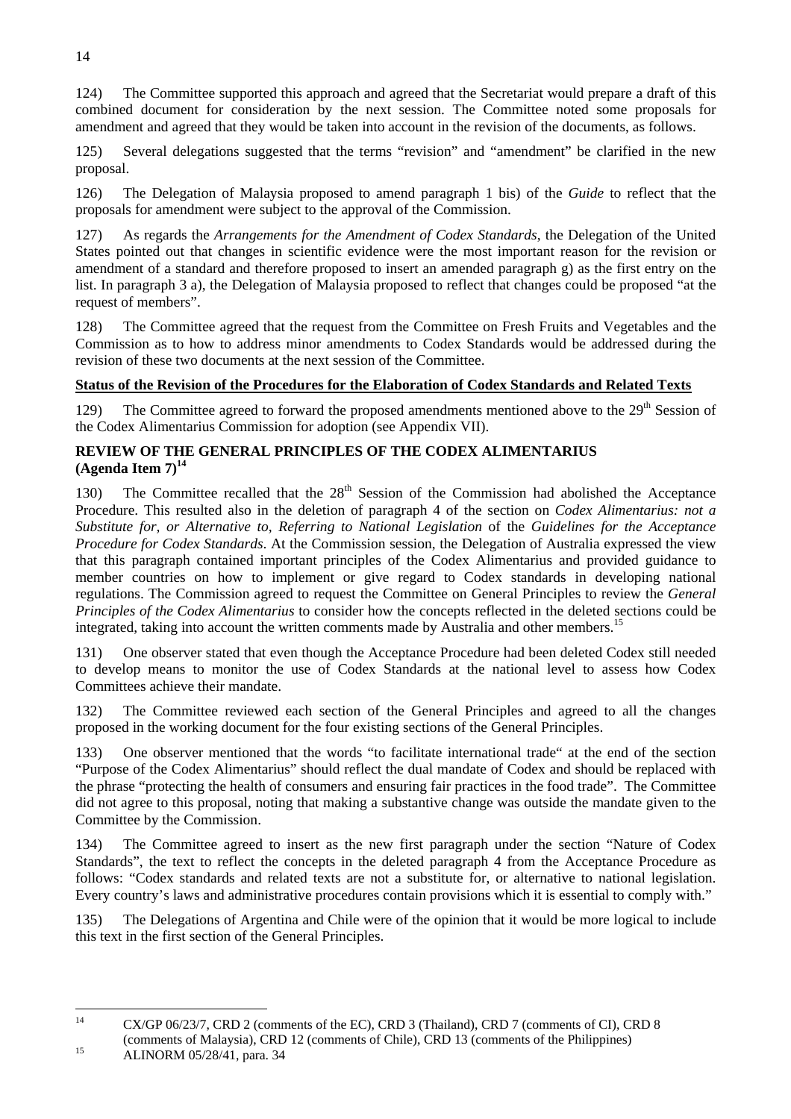124) The Committee supported this approach and agreed that the Secretariat would prepare a draft of this combined document for consideration by the next session. The Committee noted some proposals for amendment and agreed that they would be taken into account in the revision of the documents, as follows.

125) Several delegations suggested that the terms "revision" and "amendment" be clarified in the new proposal.

126) The Delegation of Malaysia proposed to amend paragraph 1 bis) of the *Guide* to reflect that the proposals for amendment were subject to the approval of the Commission.

127) As regards the *Arrangements for the Amendment of Codex Standards*, the Delegation of the United States pointed out that changes in scientific evidence were the most important reason for the revision or amendment of a standard and therefore proposed to insert an amended paragraph g) as the first entry on the list. In paragraph 3 a), the Delegation of Malaysia proposed to reflect that changes could be proposed "at the request of members".

128) The Committee agreed that the request from the Committee on Fresh Fruits and Vegetables and the Commission as to how to address minor amendments to Codex Standards would be addressed during the revision of these two documents at the next session of the Committee.

# **Status of the Revision of the Procedures for the Elaboration of Codex Standards and Related Texts**

129) The Committee agreed to forward the proposed amendments mentioned above to the  $29<sup>th</sup>$  Session of the Codex Alimentarius Commission for adoption (see Appendix VII).

# **REVIEW OF THE GENERAL PRINCIPLES OF THE CODEX ALIMENTARIUS (Agenda Item 7)** $^{14}$

130) The Committee recalled that the  $28<sup>th</sup>$  Session of the Commission had abolished the Acceptance Procedure. This resulted also in the deletion of paragraph 4 of the section on *Codex Alimentarius: not a Substitute for, or Alternative to, Referring to National Legislation* of the *Guidelines for the Acceptance Procedure for Codex Standards*. At the Commission session, the Delegation of Australia expressed the view that this paragraph contained important principles of the Codex Alimentarius and provided guidance to member countries on how to implement or give regard to Codex standards in developing national regulations. The Commission agreed to request the Committee on General Principles to review the *General Principles of the Codex Alimentarius* to consider how the concepts reflected in the deleted sections could be integrated, taking into account the written comments made by Australia and other members.<sup>15</sup>

131) One observer stated that even though the Acceptance Procedure had been deleted Codex still needed to develop means to monitor the use of Codex Standards at the national level to assess how Codex Committees achieve their mandate.

132) The Committee reviewed each section of the General Principles and agreed to all the changes proposed in the working document for the four existing sections of the General Principles.

133) One observer mentioned that the words "to facilitate international trade" at the end of the section "Purpose of the Codex Alimentarius" should reflect the dual mandate of Codex and should be replaced with the phrase "protecting the health of consumers and ensuring fair practices in the food trade". The Committee did not agree to this proposal, noting that making a substantive change was outside the mandate given to the Committee by the Commission.

134) The Committee agreed to insert as the new first paragraph under the section "Nature of Codex Standards", the text to reflect the concepts in the deleted paragraph 4 from the Acceptance Procedure as follows: "Codex standards and related texts are not a substitute for, or alternative to national legislation. Every country's laws and administrative procedures contain provisions which it is essential to comply with."

135) The Delegations of Argentina and Chile were of the opinion that it would be more logical to include this text in the first section of the General Principles.

 $14$ CX/GP 06/23/7, CRD 2 (comments of the EC), CRD 3 (Thailand), CRD 7 (comments of CI), CRD 8 (comments of Malaysia), CRD 12 (comments of Chile), CRD 13 (comments of the Philippines) 15 ALINORM 05/28/41, para. 34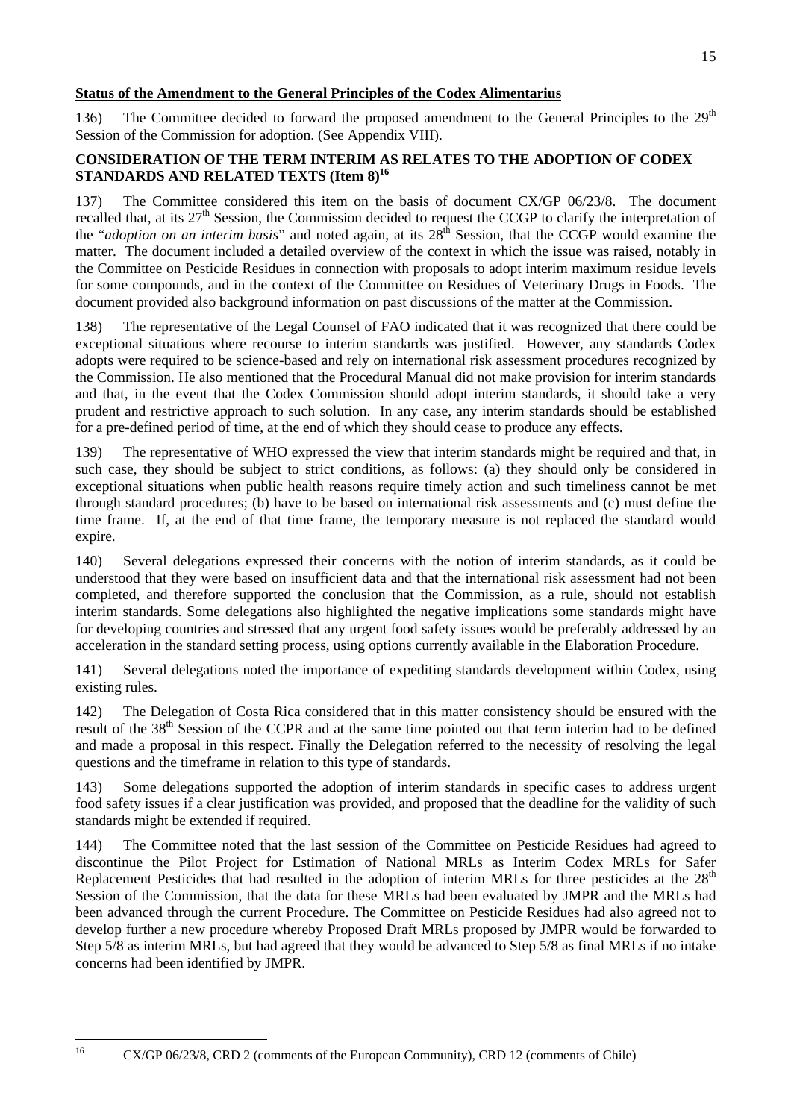# **Status of the Amendment to the General Principles of the Codex Alimentarius**

136) The Committee decided to forward the proposed amendment to the General Principles to the 29<sup>th</sup> Session of the Commission for adoption. (See Appendix VIII).

# **CONSIDERATION OF THE TERM INTERIM AS RELATES TO THE ADOPTION OF CODEX STANDARDS AND RELATED TEXTS (Item 8)16**

137) The Committee considered this item on the basis of document CX/GP 06/23/8. The document recalled that, at its 27<sup>th</sup> Session, the Commission decided to request the CCGP to clarify the interpretation of the "*adoption on an interim basis*" and noted again, at its 28<sup>th</sup> Session, that the CCGP would examine the matter. The document included a detailed overview of the context in which the issue was raised, notably in the Committee on Pesticide Residues in connection with proposals to adopt interim maximum residue levels for some compounds, and in the context of the Committee on Residues of Veterinary Drugs in Foods. The document provided also background information on past discussions of the matter at the Commission.

138) The representative of the Legal Counsel of FAO indicated that it was recognized that there could be exceptional situations where recourse to interim standards was justified. However, any standards Codex adopts were required to be science-based and rely on international risk assessment procedures recognized by the Commission. He also mentioned that the Procedural Manual did not make provision for interim standards and that, in the event that the Codex Commission should adopt interim standards, it should take a very prudent and restrictive approach to such solution. In any case, any interim standards should be established for a pre-defined period of time, at the end of which they should cease to produce any effects.

139) The representative of WHO expressed the view that interim standards might be required and that, in such case, they should be subject to strict conditions, as follows: (a) they should only be considered in exceptional situations when public health reasons require timely action and such timeliness cannot be met through standard procedures; (b) have to be based on international risk assessments and (c) must define the time frame. If, at the end of that time frame, the temporary measure is not replaced the standard would expire.

140) Several delegations expressed their concerns with the notion of interim standards, as it could be understood that they were based on insufficient data and that the international risk assessment had not been completed, and therefore supported the conclusion that the Commission, as a rule, should not establish interim standards. Some delegations also highlighted the negative implications some standards might have for developing countries and stressed that any urgent food safety issues would be preferably addressed by an acceleration in the standard setting process, using options currently available in the Elaboration Procedure.

141) Several delegations noted the importance of expediting standards development within Codex, using existing rules.

142) The Delegation of Costa Rica considered that in this matter consistency should be ensured with the result of the 38<sup>th</sup> Session of the CCPR and at the same time pointed out that term interim had to be defined and made a proposal in this respect. Finally the Delegation referred to the necessity of resolving the legal questions and the timeframe in relation to this type of standards.

143) Some delegations supported the adoption of interim standards in specific cases to address urgent food safety issues if a clear justification was provided, and proposed that the deadline for the validity of such standards might be extended if required.

144) The Committee noted that the last session of the Committee on Pesticide Residues had agreed to discontinue the Pilot Project for Estimation of National MRLs as Interim Codex MRLs for Safer Replacement Pesticides that had resulted in the adoption of interim MRLs for three pesticides at the 28<sup>th</sup> Session of the Commission, that the data for these MRLs had been evaluated by JMPR and the MRLs had been advanced through the current Procedure. The Committee on Pesticide Residues had also agreed not to develop further a new procedure whereby Proposed Draft MRLs proposed by JMPR would be forwarded to Step 5/8 as interim MRLs, but had agreed that they would be advanced to Step 5/8 as final MRLs if no intake concerns had been identified by JMPR.

 $16$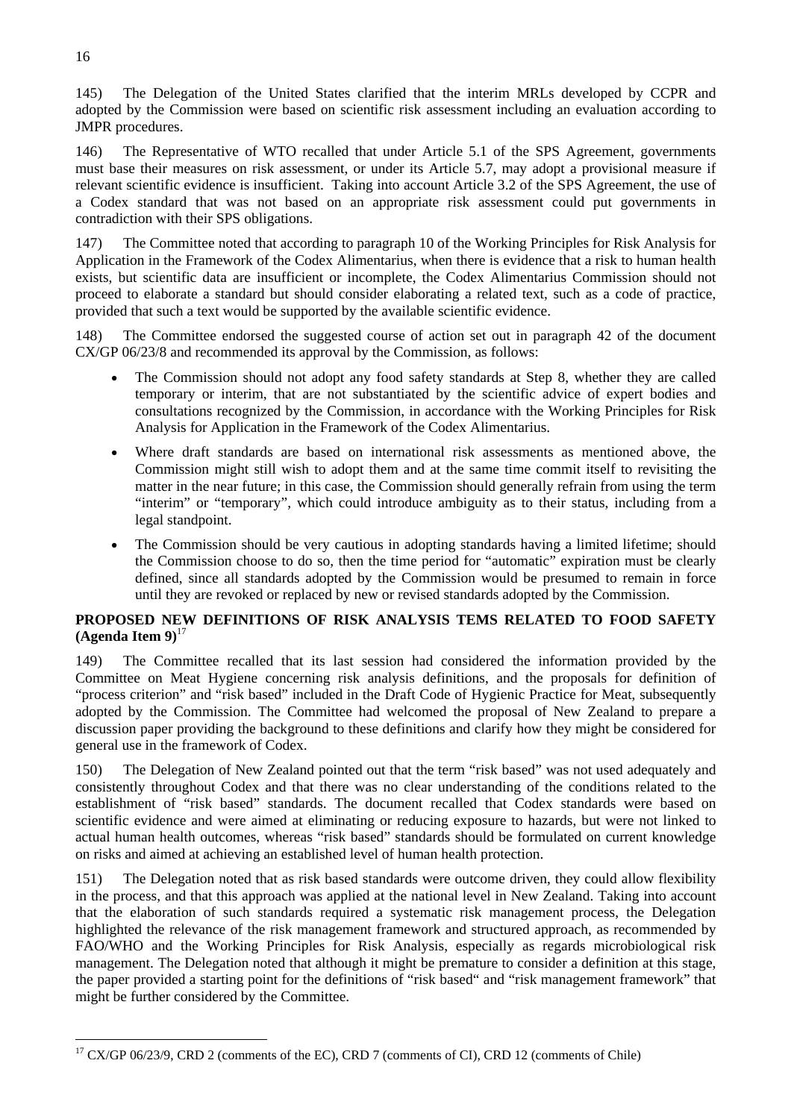145) The Delegation of the United States clarified that the interim MRLs developed by CCPR and adopted by the Commission were based on scientific risk assessment including an evaluation according to JMPR procedures.

146) The Representative of WTO recalled that under Article 5.1 of the SPS Agreement, governments must base their measures on risk assessment, or under its Article 5.7, may adopt a provisional measure if relevant scientific evidence is insufficient. Taking into account Article 3.2 of the SPS Agreement, the use of a Codex standard that was not based on an appropriate risk assessment could put governments in contradiction with their SPS obligations.

147) The Committee noted that according to paragraph 10 of the Working Principles for Risk Analysis for Application in the Framework of the Codex Alimentarius, when there is evidence that a risk to human health exists, but scientific data are insufficient or incomplete, the Codex Alimentarius Commission should not proceed to elaborate a standard but should consider elaborating a related text, such as a code of practice, provided that such a text would be supported by the available scientific evidence.

148) The Committee endorsed the suggested course of action set out in paragraph 42 of the document CX/GP 06/23/8 and recommended its approval by the Commission, as follows:

- The Commission should not adopt any food safety standards at Step 8, whether they are called temporary or interim, that are not substantiated by the scientific advice of expert bodies and consultations recognized by the Commission, in accordance with the Working Principles for Risk Analysis for Application in the Framework of the Codex Alimentarius.
- Where draft standards are based on international risk assessments as mentioned above, the Commission might still wish to adopt them and at the same time commit itself to revisiting the matter in the near future; in this case, the Commission should generally refrain from using the term "interim" or "temporary", which could introduce ambiguity as to their status, including from a legal standpoint.
- The Commission should be very cautious in adopting standards having a limited lifetime; should the Commission choose to do so, then the time period for "automatic" expiration must be clearly defined, since all standards adopted by the Commission would be presumed to remain in force until they are revoked or replaced by new or revised standards adopted by the Commission.

# **PROPOSED NEW DEFINITIONS OF RISK ANALYSIS TEMS RELATED TO FOOD SAFETY (Agenda Item 9)**<sup>17</sup>

149) The Committee recalled that its last session had considered the information provided by the Committee on Meat Hygiene concerning risk analysis definitions, and the proposals for definition of "process criterion" and "risk based" included in the Draft Code of Hygienic Practice for Meat, subsequently adopted by the Commission. The Committee had welcomed the proposal of New Zealand to prepare a discussion paper providing the background to these definitions and clarify how they might be considered for general use in the framework of Codex.

150) The Delegation of New Zealand pointed out that the term "risk based" was not used adequately and consistently throughout Codex and that there was no clear understanding of the conditions related to the establishment of "risk based" standards. The document recalled that Codex standards were based on scientific evidence and were aimed at eliminating or reducing exposure to hazards, but were not linked to actual human health outcomes, whereas "risk based" standards should be formulated on current knowledge on risks and aimed at achieving an established level of human health protection.

151) The Delegation noted that as risk based standards were outcome driven, they could allow flexibility in the process, and that this approach was applied at the national level in New Zealand. Taking into account that the elaboration of such standards required a systematic risk management process, the Delegation highlighted the relevance of the risk management framework and structured approach, as recommended by FAO/WHO and the Working Principles for Risk Analysis, especially as regards microbiological risk management. The Delegation noted that although it might be premature to consider a definition at this stage, the paper provided a starting point for the definitions of "risk based" and "risk management framework" that might be further considered by the Committee.

 $\overline{a}$ 

 $17$  CX/GP 06/23/9, CRD 2 (comments of the EC), CRD 7 (comments of CI), CRD 12 (comments of Chile)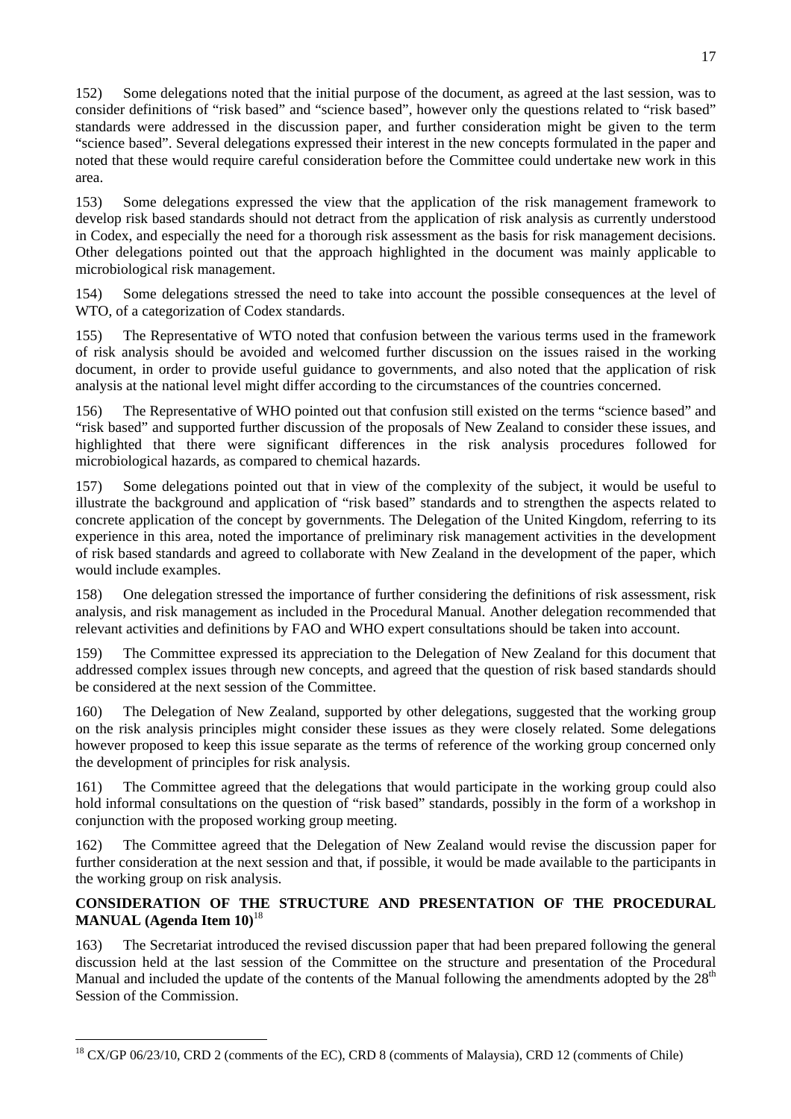152) Some delegations noted that the initial purpose of the document, as agreed at the last session, was to consider definitions of "risk based" and "science based", however only the questions related to "risk based" standards were addressed in the discussion paper, and further consideration might be given to the term "science based". Several delegations expressed their interest in the new concepts formulated in the paper and noted that these would require careful consideration before the Committee could undertake new work in this area.

153) Some delegations expressed the view that the application of the risk management framework to develop risk based standards should not detract from the application of risk analysis as currently understood in Codex, and especially the need for a thorough risk assessment as the basis for risk management decisions. Other delegations pointed out that the approach highlighted in the document was mainly applicable to microbiological risk management.

154) Some delegations stressed the need to take into account the possible consequences at the level of WTO, of a categorization of Codex standards.

155) The Representative of WTO noted that confusion between the various terms used in the framework of risk analysis should be avoided and welcomed further discussion on the issues raised in the working document, in order to provide useful guidance to governments, and also noted that the application of risk analysis at the national level might differ according to the circumstances of the countries concerned.

156) The Representative of WHO pointed out that confusion still existed on the terms "science based" and "risk based" and supported further discussion of the proposals of New Zealand to consider these issues, and highlighted that there were significant differences in the risk analysis procedures followed for microbiological hazards, as compared to chemical hazards.

157) Some delegations pointed out that in view of the complexity of the subject, it would be useful to illustrate the background and application of "risk based" standards and to strengthen the aspects related to concrete application of the concept by governments. The Delegation of the United Kingdom, referring to its experience in this area, noted the importance of preliminary risk management activities in the development of risk based standards and agreed to collaborate with New Zealand in the development of the paper, which would include examples.

158) One delegation stressed the importance of further considering the definitions of risk assessment, risk analysis, and risk management as included in the Procedural Manual. Another delegation recommended that relevant activities and definitions by FAO and WHO expert consultations should be taken into account.

159) The Committee expressed its appreciation to the Delegation of New Zealand for this document that addressed complex issues through new concepts, and agreed that the question of risk based standards should be considered at the next session of the Committee.

160) The Delegation of New Zealand, supported by other delegations, suggested that the working group on the risk analysis principles might consider these issues as they were closely related. Some delegations however proposed to keep this issue separate as the terms of reference of the working group concerned only the development of principles for risk analysis.

161) The Committee agreed that the delegations that would participate in the working group could also hold informal consultations on the question of "risk based" standards, possibly in the form of a workshop in conjunction with the proposed working group meeting.

162) The Committee agreed that the Delegation of New Zealand would revise the discussion paper for further consideration at the next session and that, if possible, it would be made available to the participants in the working group on risk analysis.

# **CONSIDERATION OF THE STRUCTURE AND PRESENTATION OF THE PROCEDURAL MANUAL (Agenda Item 10)**<sup>18</sup>

163) The Secretariat introduced the revised discussion paper that had been prepared following the general discussion held at the last session of the Committee on the structure and presentation of the Procedural Manual and included the update of the contents of the Manual following the amendments adopted by the  $28<sup>th</sup>$ Session of the Commission.

 $\overline{a}$ 

<sup>&</sup>lt;sup>18</sup> CX/GP 06/23/10, CRD 2 (comments of the EC), CRD 8 (comments of Malaysia), CRD 12 (comments of Chile)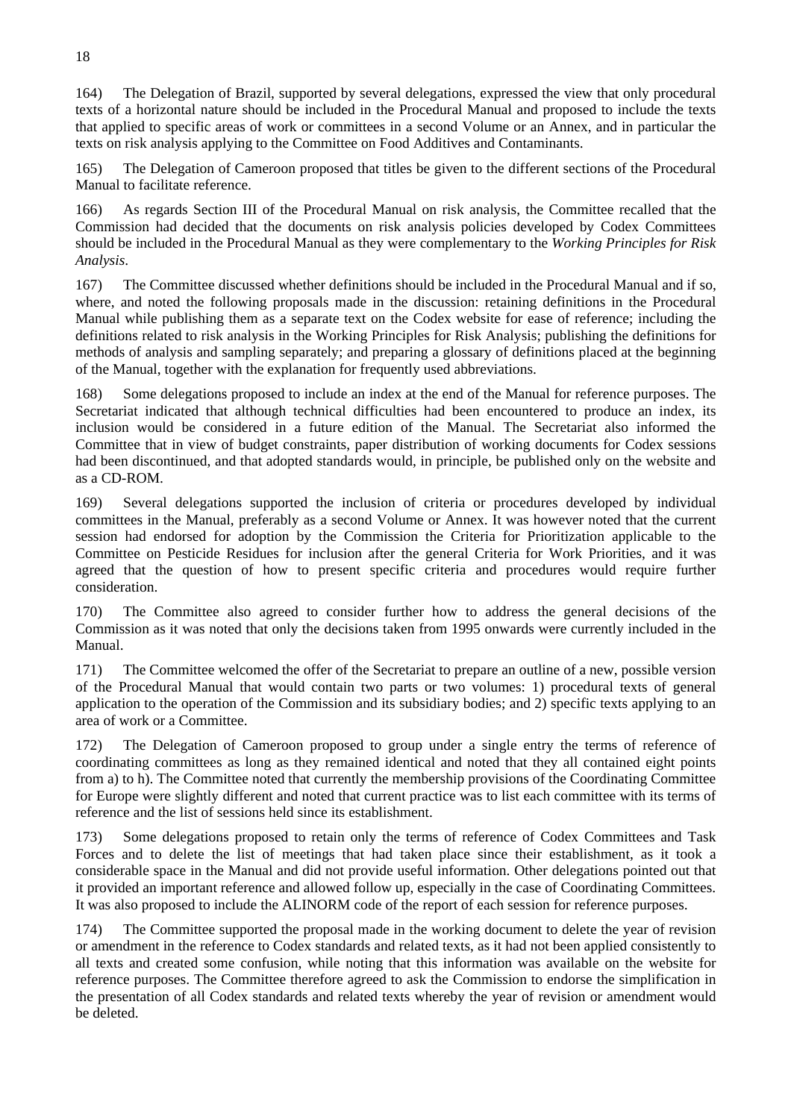164) The Delegation of Brazil, supported by several delegations, expressed the view that only procedural texts of a horizontal nature should be included in the Procedural Manual and proposed to include the texts that applied to specific areas of work or committees in a second Volume or an Annex, and in particular the texts on risk analysis applying to the Committee on Food Additives and Contaminants.

165) The Delegation of Cameroon proposed that titles be given to the different sections of the Procedural Manual to facilitate reference.

166) As regards Section III of the Procedural Manual on risk analysis, the Committee recalled that the Commission had decided that the documents on risk analysis policies developed by Codex Committees should be included in the Procedural Manual as they were complementary to the *Working Principles for Risk Analysis*.

167) The Committee discussed whether definitions should be included in the Procedural Manual and if so, where, and noted the following proposals made in the discussion: retaining definitions in the Procedural Manual while publishing them as a separate text on the Codex website for ease of reference; including the definitions related to risk analysis in the Working Principles for Risk Analysis; publishing the definitions for methods of analysis and sampling separately; and preparing a glossary of definitions placed at the beginning of the Manual, together with the explanation for frequently used abbreviations.

168) Some delegations proposed to include an index at the end of the Manual for reference purposes. The Secretariat indicated that although technical difficulties had been encountered to produce an index, its inclusion would be considered in a future edition of the Manual. The Secretariat also informed the Committee that in view of budget constraints, paper distribution of working documents for Codex sessions had been discontinued, and that adopted standards would, in principle, be published only on the website and as a CD-ROM.

169) Several delegations supported the inclusion of criteria or procedures developed by individual committees in the Manual, preferably as a second Volume or Annex. It was however noted that the current session had endorsed for adoption by the Commission the Criteria for Prioritization applicable to the Committee on Pesticide Residues for inclusion after the general Criteria for Work Priorities, and it was agreed that the question of how to present specific criteria and procedures would require further consideration.

170) The Committee also agreed to consider further how to address the general decisions of the Commission as it was noted that only the decisions taken from 1995 onwards were currently included in the Manual.

171) The Committee welcomed the offer of the Secretariat to prepare an outline of a new, possible version of the Procedural Manual that would contain two parts or two volumes: 1) procedural texts of general application to the operation of the Commission and its subsidiary bodies; and 2) specific texts applying to an area of work or a Committee.

172) The Delegation of Cameroon proposed to group under a single entry the terms of reference of coordinating committees as long as they remained identical and noted that they all contained eight points from a) to h). The Committee noted that currently the membership provisions of the Coordinating Committee for Europe were slightly different and noted that current practice was to list each committee with its terms of reference and the list of sessions held since its establishment.

173) Some delegations proposed to retain only the terms of reference of Codex Committees and Task Forces and to delete the list of meetings that had taken place since their establishment, as it took a considerable space in the Manual and did not provide useful information. Other delegations pointed out that it provided an important reference and allowed follow up, especially in the case of Coordinating Committees. It was also proposed to include the ALINORM code of the report of each session for reference purposes.

174) The Committee supported the proposal made in the working document to delete the year of revision or amendment in the reference to Codex standards and related texts, as it had not been applied consistently to all texts and created some confusion, while noting that this information was available on the website for reference purposes. The Committee therefore agreed to ask the Commission to endorse the simplification in the presentation of all Codex standards and related texts whereby the year of revision or amendment would be deleted.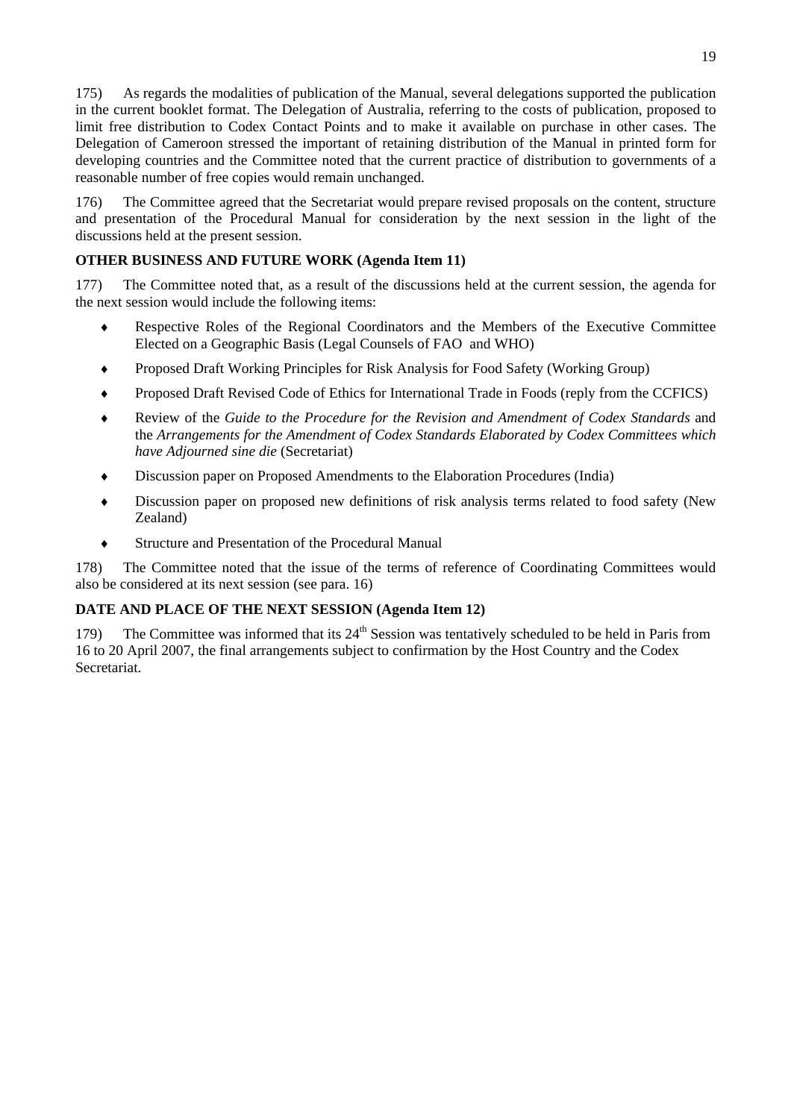175) As regards the modalities of publication of the Manual, several delegations supported the publication in the current booklet format. The Delegation of Australia, referring to the costs of publication, proposed to limit free distribution to Codex Contact Points and to make it available on purchase in other cases. The Delegation of Cameroon stressed the important of retaining distribution of the Manual in printed form for developing countries and the Committee noted that the current practice of distribution to governments of a reasonable number of free copies would remain unchanged.

176) The Committee agreed that the Secretariat would prepare revised proposals on the content, structure and presentation of the Procedural Manual for consideration by the next session in the light of the discussions held at the present session.

# **OTHER BUSINESS AND FUTURE WORK (Agenda Item 11)**

177) The Committee noted that, as a result of the discussions held at the current session, the agenda for the next session would include the following items:

- Respective Roles of the Regional Coordinators and the Members of the Executive Committee Elected on a Geographic Basis (Legal Counsels of FAO and WHO)
- ♦ Proposed Draft Working Principles for Risk Analysis for Food Safety (Working Group)
- ♦ Proposed Draft Revised Code of Ethics for International Trade in Foods (reply from the CCFICS)
- ♦ Review of the *Guide to the Procedure for the Revision and Amendment of Codex Standards* and the *Arrangements for the Amendment of Codex Standards Elaborated by Codex Committees which have Adjourned sine die* (Secretariat)
- Discussion paper on Proposed Amendments to the Elaboration Procedures (India)
- Discussion paper on proposed new definitions of risk analysis terms related to food safety (New Zealand)
- ♦ Structure and Presentation of the Procedural Manual

178) The Committee noted that the issue of the terms of reference of Coordinating Committees would also be considered at its next session (see para. 16)

# **DATE AND PLACE OF THE NEXT SESSION (Agenda Item 12)**

179) The Committee was informed that its  $24<sup>th</sup>$  Session was tentatively scheduled to be held in Paris from 16 to 20 April 2007, the final arrangements subject to confirmation by the Host Country and the Codex Secretariat.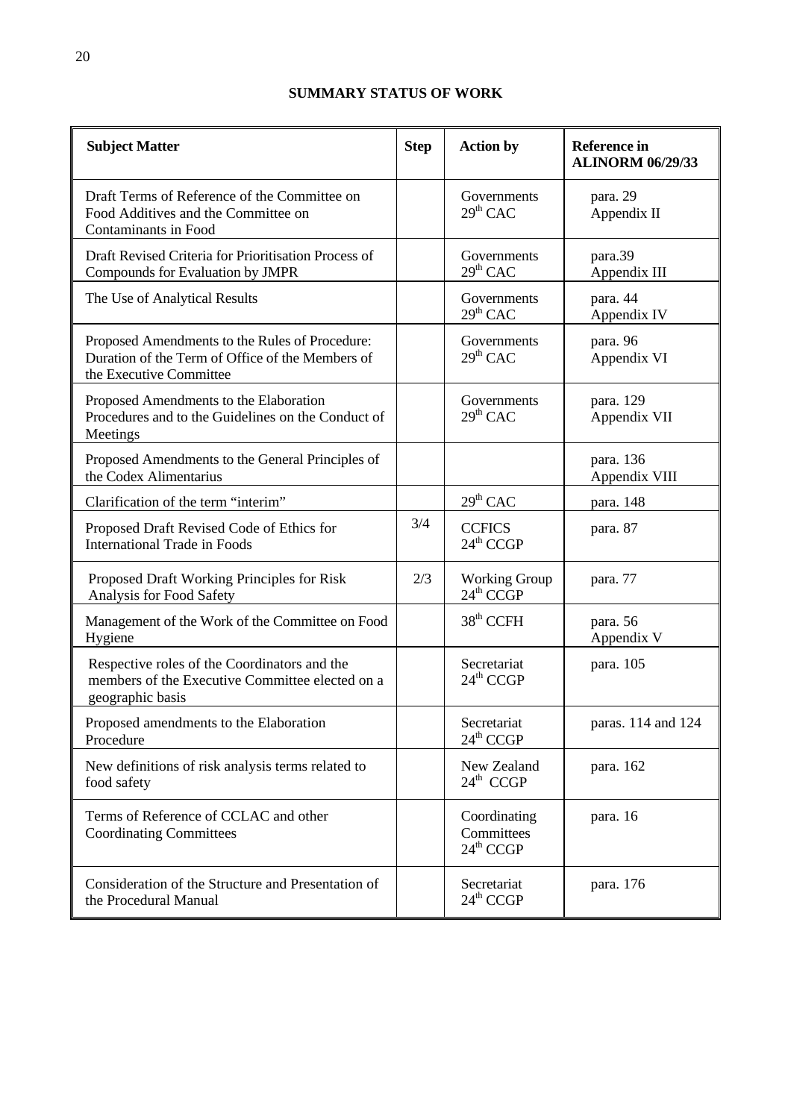# **SUMMARY STATUS OF WORK**

| <b>Subject Matter</b>                                                                                                         | <b>Step</b> | <b>Action by</b>                                    | <b>Reference</b> in<br><b>ALINORM 06/29/33</b> |
|-------------------------------------------------------------------------------------------------------------------------------|-------------|-----------------------------------------------------|------------------------------------------------|
| Draft Terms of Reference of the Committee on<br>Food Additives and the Committee on<br>Contaminants in Food                   |             | Governments<br>$29th$ CAC                           | para. 29<br>Appendix II                        |
| Draft Revised Criteria for Prioritisation Process of<br>Compounds for Evaluation by JMPR                                      |             | Governments<br>$29th$ CAC                           | para.39<br>Appendix III                        |
| The Use of Analytical Results                                                                                                 |             | Governments<br>$29th$ CAC                           | para. 44<br>Appendix IV                        |
| Proposed Amendments to the Rules of Procedure:<br>Duration of the Term of Office of the Members of<br>the Executive Committee |             | Governments<br>$29th$ CAC                           | para. 96<br>Appendix VI                        |
| Proposed Amendments to the Elaboration<br>Procedures and to the Guidelines on the Conduct of<br>Meetings                      |             | Governments<br>$29th$ CAC                           | para. 129<br>Appendix VII                      |
| Proposed Amendments to the General Principles of<br>the Codex Alimentarius                                                    |             |                                                     | para. 136<br>Appendix VIII                     |
| Clarification of the term "interim"                                                                                           |             | $29th$ CAC                                          | para. 148                                      |
| Proposed Draft Revised Code of Ethics for<br><b>International Trade in Foods</b>                                              | 3/4         | <b>CCFICS</b><br>24 <sup>th</sup> CCGP              | para. 87                                       |
| Proposed Draft Working Principles for Risk<br>Analysis for Food Safety                                                        | 2/3         | <b>Working Group</b><br>24 <sup>th</sup> CCGP       | para. 77                                       |
| Management of the Work of the Committee on Food<br>Hygiene                                                                    |             | 38 <sup>th</sup> CCFH                               | para. 56<br>Appendix V                         |
| Respective roles of the Coordinators and the<br>members of the Executive Committee elected on a<br>geographic basis           |             | Secretariat<br>$24^{\text{th}}$ CCGP                | para. 105                                      |
| Proposed amendments to the Elaboration<br>Procedure                                                                           |             | Secretariat<br>24 <sup>th</sup> CCGP                | paras. 114 and 124                             |
| New definitions of risk analysis terms related to<br>food safety                                                              |             | New Zealand<br>$24^{\text{th}}$ CCGP                | para. 162                                      |
| Terms of Reference of CCLAC and other<br><b>Coordinating Committees</b>                                                       |             | Coordinating<br>Committees<br>$24^{\text{th}}$ CCGP | para. 16                                       |
| Consideration of the Structure and Presentation of<br>the Procedural Manual                                                   |             | Secretariat<br>$24^{\text{th}}$ CCGP                | para. 176                                      |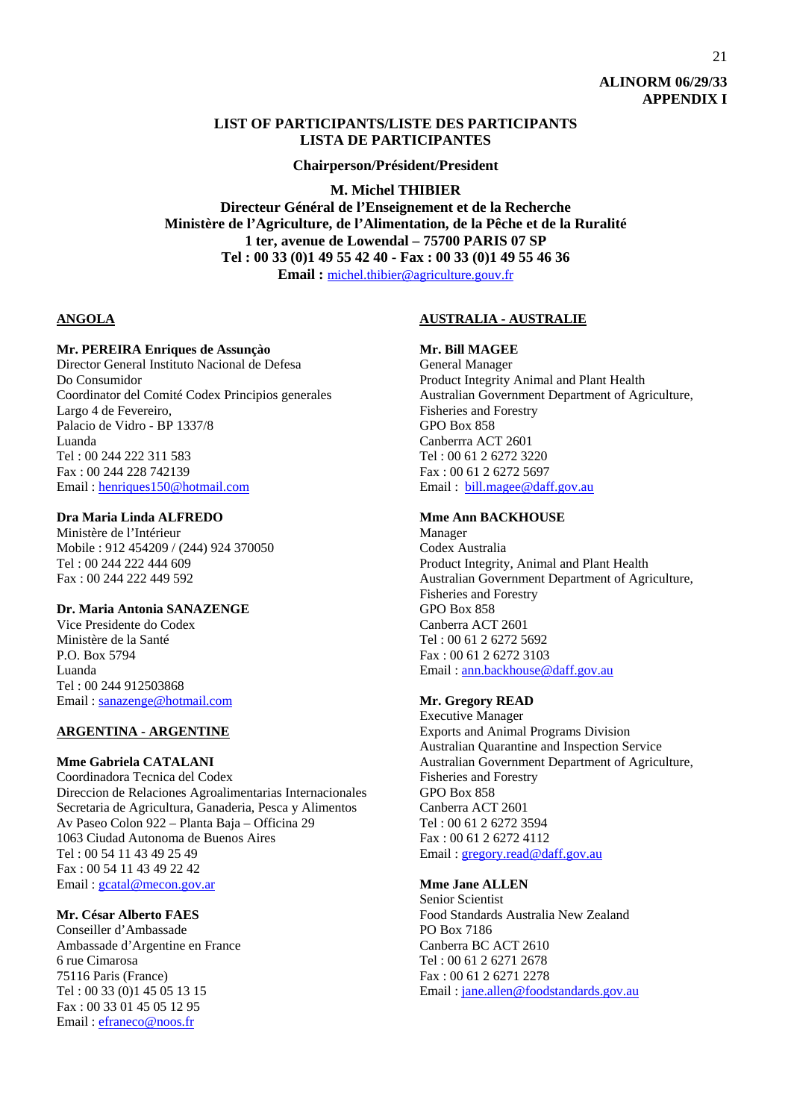## **LIST OF PARTICIPANTS/LISTE DES PARTICIPANTS LISTA DE PARTICIPANTES**

**Chairperson/Président/President** 

## **M. Michel THIBIER**

**Directeur Général de l'Enseignement et de la Recherche Ministère de l'Agriculture, de l'Alimentation, de la Pêche et de la Ruralité 1 ter, avenue de Lowendal – 75700 PARIS 07 SP Tel : 00 33 (0)1 49 55 42 40 - Fax : 00 33 (0)1 49 55 46 36 Email :** michel.thibier@agriculture.gouv.fr

## **ANGOLA**

## **Mr. PEREIRA Enriques de Assunçào**

Director General Instituto Nacional de Defesa Do Consumidor Coordinator del Comité Codex Principios generales Largo 4 de Fevereiro, Palacio de Vidro - BP 1337/8 Luanda Tel : 00 244 222 311 583 Fax : 00 244 228 742139 Email : henriques150@hotmail.com

## **Dra Maria Linda ALFREDO**

Ministère de l'Intérieur Mobile : 912 454209 / (244) 924 370050 Tel : 00 244 222 444 609 Fax : 00 244 222 449 592

#### **Dr. Maria Antonia SANAZENGE**

Vice Presidente do Codex Ministère de la Santé P.O. Box 5794 Luanda Tel : 00 244 912503868 Email : sanazenge@hotmail.com

#### **ARGENTINA - ARGENTINE**

#### **Mme Gabriela CATALANI**

Coordinadora Tecnica del Codex Direccion de Relaciones Agroalimentarias Internacionales Secretaria de Agricultura, Ganaderia, Pesca y Alimentos Av Paseo Colon 922 – Planta Baja – Officina 29 1063 Ciudad Autonoma de Buenos Aires Tel : 00 54 11 43 49 25 49 Fax : 00 54 11 43 49 22 42 Email : gcatal@mecon.gov.ar

## **Mr. César Alberto FAES**

Conseiller d'Ambassade Ambassade d'Argentine en France 6 rue Cimarosa 75116 Paris (France) Tel : 00 33 (0)1 45 05 13 15 Fax : 00 33 01 45 05 12 95 Email : efraneco@noos.fr

#### **AUSTRALIA - AUSTRALIE**

## **Mr. Bill MAGEE**

General Manager Product Integrity Animal and Plant Health Australian Government Department of Agriculture, Fisheries and Forestry GPO Box 858 Canberrra ACT 2601 Tel : 00 61 2 6272 3220 Fax : 00 61 2 6272 5697 Email : bill.magee@daff.gov.au

#### **Mme Ann BACKHOUSE**

Manager Codex Australia Product Integrity, Animal and Plant Health Australian Government Department of Agriculture, Fisheries and Forestry GPO Box 858 Canberra ACT 2601 Tel : 00 61 2 6272 5692 Fax : 00 61 2 6272 3103 Email : ann.backhouse@daff.gov.au

## **Mr. Gregory READ**

Executive Manager Exports and Animal Programs Division Australian Quarantine and Inspection Service Australian Government Department of Agriculture, Fisheries and Forestry GPO Box 858 Canberra ACT 2601 Tel : 00 61 2 6272 3594 Fax : 00 61 2 6272 4112 Email : gregory.read@daff.gov.au

#### **Mme Jane ALLEN**

Senior Scientist Food Standards Australia New Zealand PO Box 7186 Canberra BC ACT 2610 Tel : 00 61 2 6271 2678 Fax : 00 61 2 6271 2278 Email : jane.allen@foodstandards.gov.au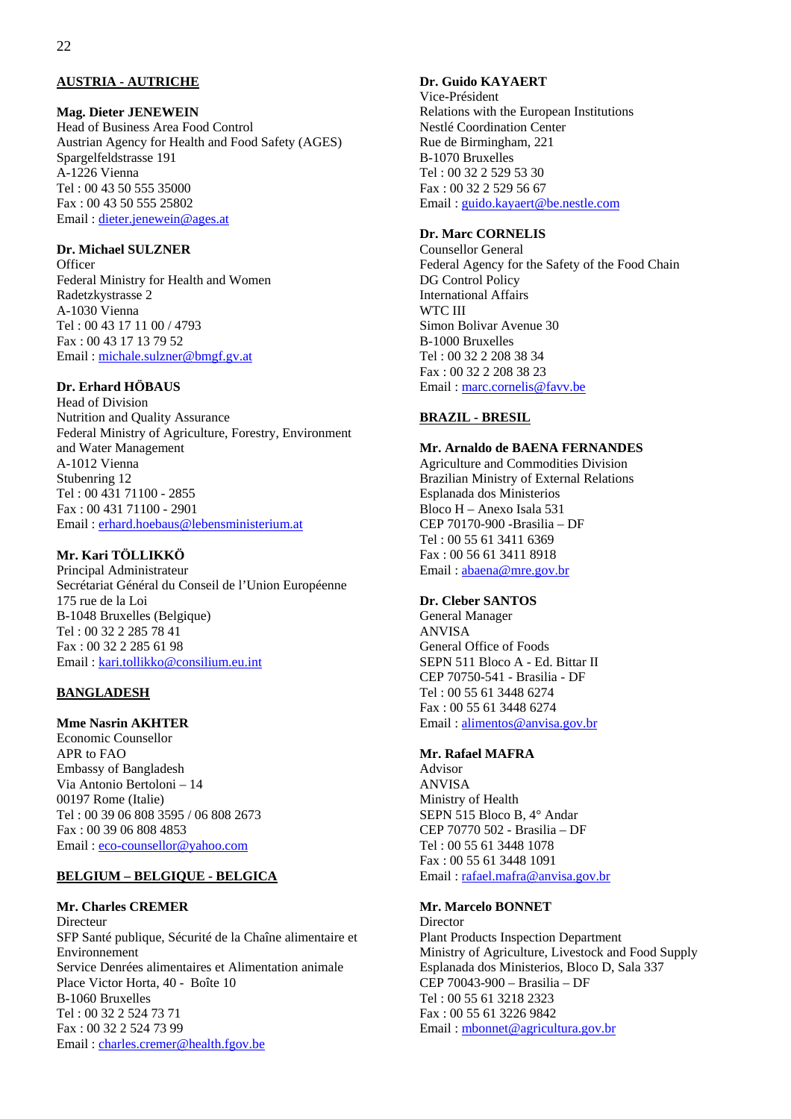# **AUSTRIA - AUTRICHE**

## **Mag. Dieter JENEWEIN**

Head of Business Area Food Control Austrian Agency for Health and Food Safety (AGES) Spargelfeldstrasse 191 A-1226 Vienna Tel : 00 43 50 555 35000 Fax : 00 43 50 555 25802 Email : dieter.jenewein@ages.at

#### **Dr. Michael SULZNER**

**Officer** Federal Ministry for Health and Women Radetzkystrasse 2 A-1030 Vienna Tel : 00 43 17 11 00 / 4793 Fax : 00 43 17 13 79 52 Email : michale.sulzner@bmgf.gv.at

## **Dr. Erhard HÖBAUS**

Head of Division Nutrition and Quality Assurance Federal Ministry of Agriculture, Forestry, Environment and Water Management A-1012 Vienna Stubenring 12 Tel : 00 431 71100 - 2855 Fax : 00 431 71100 - 2901 Email : erhard.hoebaus@lebensministerium.at

## **Mr. Kari TÖLLIKKÖ**

Principal Administrateur Secrétariat Général du Conseil de l'Union Européenne 175 rue de la Loi B-1048 Bruxelles (Belgique) Tel : 00 32 2 285 78 41 Fax : 00 32 2 285 61 98 Email : kari.tollikko@consilium.eu.int

## **BANGLADESH**

## **Mme Nasrin AKHTER**

Economic Counsellor APR to FAO Embassy of Bangladesh Via Antonio Bertoloni – 14 00197 Rome (Italie) Tel : 00 39 06 808 3595 / 06 808 2673 Fax : 00 39 06 808 4853 Email : eco-counsellor@yahoo.com

#### **BELGIUM – BELGIQUE - BELGICA**

#### **Mr. Charles CREMER**

Directeur SFP Santé publique, Sécurité de la Chaîne alimentaire et Environnement Service Denrées alimentaires et Alimentation animale Place Victor Horta, 40 - Boîte 10 B-1060 Bruxelles Tel : 00 32 2 524 73 71 Fax : 00 32 2 524 73 99 Email : charles.cremer@health.fgov.be

# **Dr. Guido KAYAERT**

Vice-Président Relations with the European Institutions Nestlé Coordination Center Rue de Birmingham, 221 B-1070 Bruxelles Tel : 00 32 2 529 53 30 Fax : 00 32 2 529 56 67 Email : guido.kayaert@be.nestle.com

# **Dr. Marc CORNELIS**

Counsellor General Federal Agency for the Safety of the Food Chain DG Control Policy International Affairs WTC III Simon Bolivar Avenue 30 B-1000 Bruxelles Tel : 00 32 2 208 38 34 Fax : 00 32 2 208 38 23 Email : marc.cornelis@favv.be

## **BRAZIL - BRESIL**

## **Mr. Arnaldo de BAENA FERNANDES**

Agriculture and Commodities Division Brazilian Ministry of External Relations Esplanada dos Ministerios Bloco H – Anexo Isala 531 CEP 70170-900 -Brasilia – DF Tel : 00 55 61 3411 6369 Fax : 00 56 61 3411 8918 Email : abaena@mre.gov.br

## **Dr. Cleber SANTOS**

General Manager ANVISA General Office of Foods SEPN 511 Bloco A - Ed. Bittar II CEP 70750-541 - Brasilia - DF Tel : 00 55 61 3448 6274 Fax : 00 55 61 3448 6274 Email : alimentos@anvisa.gov.br

#### **Mr. Rafael MAFRA**

Advisor ANVISA Ministry of Health SEPN 515 Bloco B, 4° Andar CEP 70770 502 - Brasilia – DF Tel : 00 55 61 3448 1078 Fax : 00 55 61 3448 1091 Email : rafael.mafra@anvisa.gov.br

#### **Mr. Marcelo BONNET**

Director Plant Products Inspection Department Ministry of Agriculture, Livestock and Food Supply Esplanada dos Ministerios, Bloco D, Sala 337 CEP 70043-900 – Brasilia – DF Tel : 00 55 61 3218 2323 Fax : 00 55 61 3226 9842 Email : mbonnet@agricultura.gov.br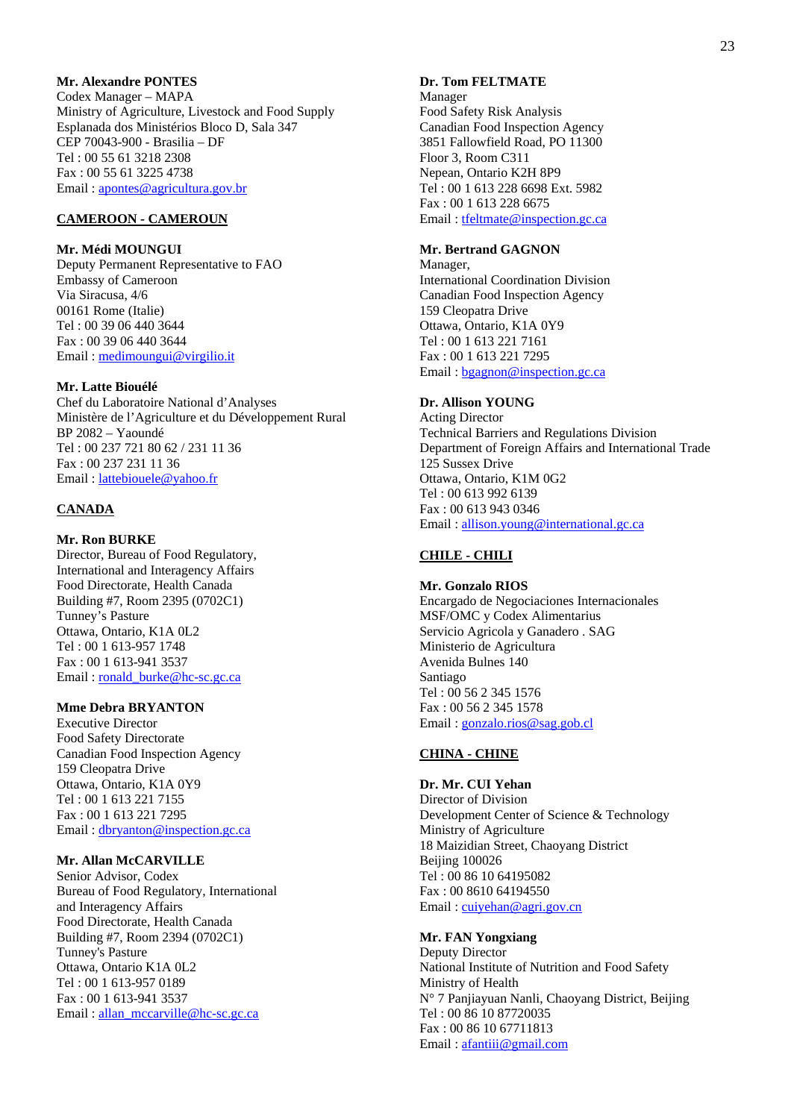## **Mr. Alexandre PONTES**

Codex Manager – MAPA Ministry of Agriculture, Livestock and Food Supply Esplanada dos Ministérios Bloco D, Sala 347 CEP 70043-900 - Brasilia – DF Tel : 00 55 61 3218 2308 Fax : 00 55 61 3225 4738 Email : apontes@agricultura.gov.br

#### **CAMEROON - CAMEROUN**

#### **Mr. Médi MOUNGUI**

Deputy Permanent Representative to FAO Embassy of Cameroon Via Siracusa, 4/6 00161 Rome (Italie) Tel : 00 39 06 440 3644 Fax : 00 39 06 440 3644 Email : medimoungui@virgilio.it

#### **Mr. Latte Biouélé**

Chef du Laboratoire National d'Analyses Ministère de l'Agriculture et du Développement Rural BP 2082 – Yaoundé Tel : 00 237 721 80 62 / 231 11 36 Fax : 00 237 231 11 36 Email : lattebiouele@yahoo.fr

#### **CANADA**

## **Mr. Ron BURKE**

Director, Bureau of Food Regulatory, International and Interagency Affairs Food Directorate, Health Canada Building #7, Room 2395 (0702C1) Tunney's Pasture Ottawa, Ontario, K1A 0L2 Tel : 00 1 613-957 1748 Fax : 00 1 613-941 3537 Email : ronald\_burke@hc-sc.gc.ca

#### **Mme Debra BRYANTON**

Executive Director Food Safety Directorate Canadian Food Inspection Agency 159 Cleopatra Drive Ottawa, Ontario, K1A 0Y9 Tel : 00 1 613 221 7155 Fax : 00 1 613 221 7295 Email : dbryanton@inspection.gc.ca

#### **Mr. Allan McCARVILLE**

Senior Advisor, Codex Bureau of Food Regulatory, International and Interagency Affairs Food Directorate, Health Canada Building #7, Room 2394 (0702C1) Tunney's Pasture Ottawa, Ontario K1A 0L2 Tel : 00 1 613-957 0189 Fax : 00 1 613-941 3537 Email : allan\_mccarville@hc-sc.gc.ca

## **Dr. Tom FELTMATE**

Manager Food Safety Risk Analysis Canadian Food Inspection Agency 3851 Fallowfield Road, PO 11300 Floor 3, Room C311 Nepean, Ontario K2H 8P9 Tel : 00 1 613 228 6698 Ext. 5982 Fax : 00 1 613 228 6675 Email : tfeltmate@inspection.gc.ca

#### **Mr. Bertrand GAGNON**

Manager, International Coordination Division Canadian Food Inspection Agency 159 Cleopatra Drive Ottawa, Ontario, K1A 0Y9 Tel : 00 1 613 221 7161 Fax : 00 1 613 221 7295 Email : bgagnon@inspection.gc.ca

## **Dr. Allison YOUNG**

Acting Director Technical Barriers and Regulations Division Department of Foreign Affairs and International Trade 125 Sussex Drive Ottawa, Ontario, K1M 0G2 Tel : 00 613 992 6139 Fax : 00 613 943 0346 Email : allison.young@international.gc.ca

## **CHILE - CHILI**

**Mr. Gonzalo RIOS**  Encargado de Negociaciones Internacionales MSF/OMC y Codex Alimentarius Servicio Agricola y Ganadero . SAG Ministerio de Agricultura Avenida Bulnes 140 Santiago Tel : 00 56 2 345 1576 Fax : 00 56 2 345 1578 Email : gonzalo.rios@sag.gob.cl

## **CHINA - CHINE**

**Dr. Mr. CUI Yehan**  Director of Division Development Center of Science & Technology Ministry of Agriculture 18 Maizidian Street, Chaoyang District Beijing 100026 Tel : 00 86 10 64195082 Fax : 00 8610 64194550 Email : cuiyehan@agri.gov.cn

# **Mr. FAN Yongxiang**

Deputy Director National Institute of Nutrition and Food Safety Ministry of Health N° 7 Panjiayuan Nanli, Chaoyang District, Beijing Tel : 00 86 10 87720035 Fax : 00 86 10 67711813 Email : afantiii@gmail.com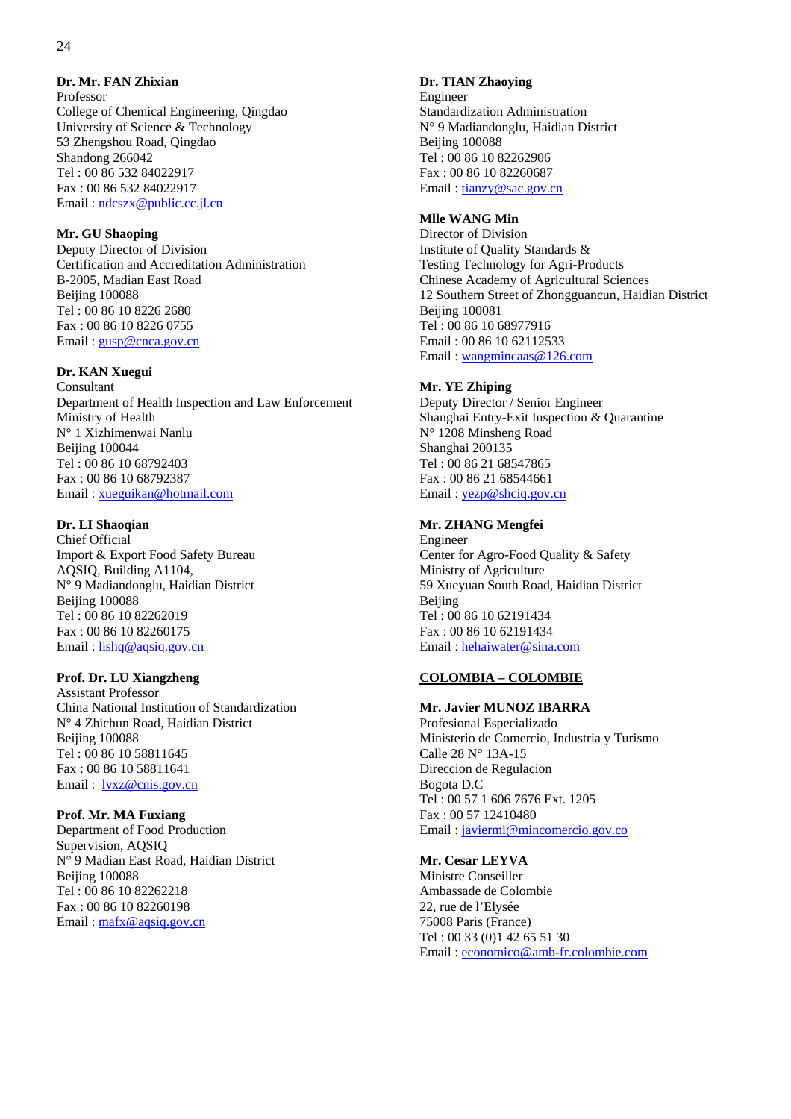# **Dr. Mr. FAN Zhixian**

Professor College of Chemical Engineering, Qingdao University of Science & Technology 53 Zhengshou Road, Qingdao Shandong 266042 Tel : 00 86 532 84022917 Fax : 00 86 532 84022917 Email : ndcszx@public.cc.jl.cn

## **Mr. GU Shaoping**

Deputy Director of Division Certification and Accreditation Administration B-2005, Madian East Road Beijing 100088 Tel : 00 86 10 8226 2680 Fax : 00 86 10 8226 0755 Email : gusp@cnca.gov.cn

## **Dr. KAN Xuegui**

Consultant Department of Health Inspection and Law Enforcement Ministry of Health N° 1 Xizhimenwai Nanlu Beijing 100044 Tel : 00 86 10 68792403 Fax : 00 86 10 68792387 Email : xueguikan@hotmail.com

## **Dr. LI Shaoqian**

Chief Official Import & Export Food Safety Bureau AQSIQ, Building A1104, N° 9 Madiandonglu, Haidian District Beijing 100088 Tel : 00 86 10 82262019 Fax : 00 86 10 82260175 Email:  $l$ <u>ishq@aqsiq.gov.cn</u>

# **Prof. Dr. LU Xiangzheng**

Assistant Professor China National Institution of Standardization N° 4 Zhichun Road, Haidian District Beijing 100088 Tel : 00 86 10 58811645 Fax : 00 86 10 58811641 Email : lvxz@cnis.gov.cn

## **Prof. Mr. MA Fuxiang**

Department of Food Production Supervision, AQSIQ N° 9 Madian East Road, Haidian District Beijing 100088 Tel : 00 86 10 82262218 Fax : 00 86 10 82260198 Email: mafx@aqsiq.gov.cn

## **Dr. TIAN Zhaoying**

Engineer Standardization Administration N° 9 Madiandonglu, Haidian District Beijing 100088 Tel : 00 86 10 82262906 Fax : 00 86 10 82260687 Email: tianzy@sac.gov.cn

## **Mlle WANG Min**

Director of Division Institute of Quality Standards & Testing Technology for Agri-Products Chinese Academy of Agricultural Sciences 12 Southern Street of Zhongguancun, Haidian District Beijing 100081 Tel : 00 86 10 68977916 Email : 00 86 10 62112533 Email : wangmincaas@126.com

# **Mr. YE Zhiping**

Deputy Director / Senior Engineer Shanghai Entry-Exit Inspection & Quarantine N° 1208 Minsheng Road Shanghai 200135 Tel : 00 86 21 68547865 Fax : 00 86 21 68544661 Email : yezp@shciq.gov.cn

## **Mr. ZHANG Mengfei**

Engineer Center for Agro-Food Quality & Safety Ministry of Agriculture 59 Xueyuan South Road, Haidian District Beijing Tel : 00 86 10 62191434 Fax : 00 86 10 62191434 Email : hehaiwater@sina.com

# **COLOMBIA – COLOMBIE**

**Mr. Javier MUNOZ IBARRA** 

Profesional Especializado Ministerio de Comercio, Industria y Turismo Calle 28 N° 13A-15 Direccion de Regulacion Bogota D.C Tel : 00 57 1 606 7676 Ext. 1205 Fax : 00 57 12410480 Email : javiermi@mincomercio.gov.co

**Mr. Cesar LEYVA**  Ministre Conseiller Ambassade de Colombie 22, rue de l'Elysée 75008 Paris (France) Tel : 00 33 (0)1 42 65 51 30 Email : economico@amb-fr.colombie.com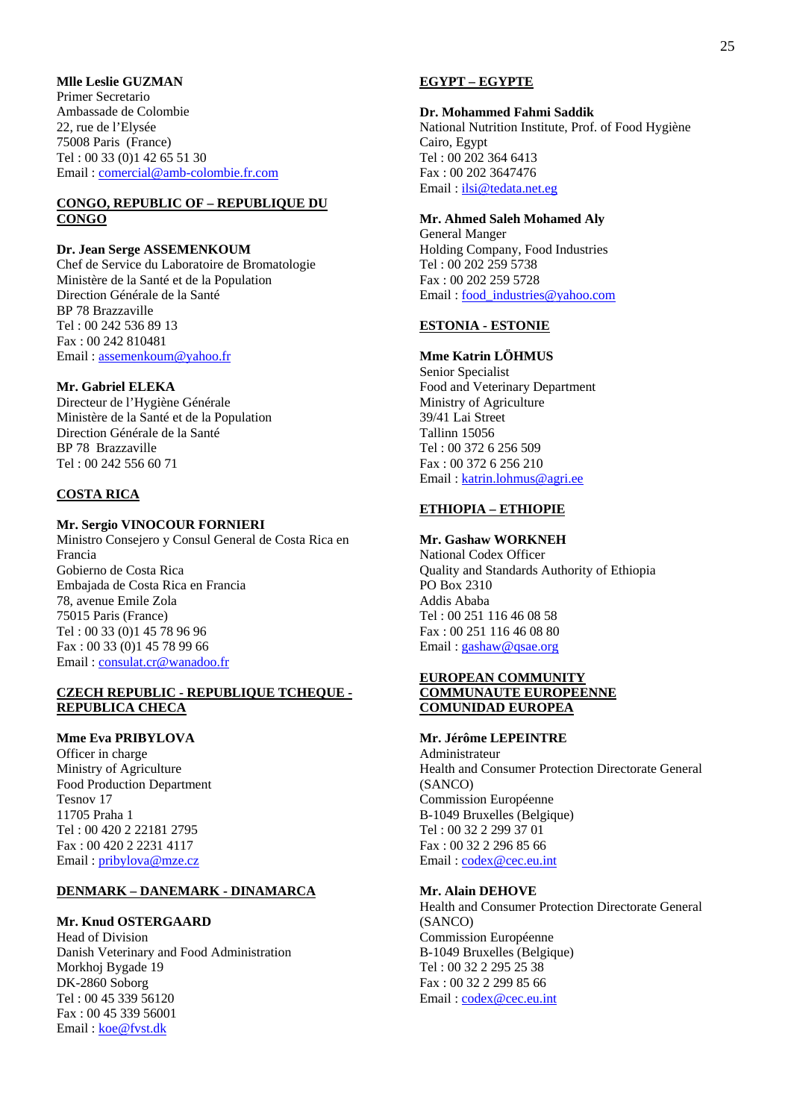**Mlle Leslie GUZMAN**  Primer Secretario Ambassade de Colombie 22, rue de l'Elysée 75008 Paris (France) Tel : 00 33 (0)1 42 65 51 30 Email : comercial@amb-colombie.fr.com

## **CONGO, REPUBLIC OF – REPUBLIQUE DU CONGO**

#### **Dr. Jean Serge ASSEMENKOUM**

Chef de Service du Laboratoire de Bromatologie Ministère de la Santé et de la Population Direction Générale de la Santé BP 78 Brazzaville Tel : 00 242 536 89 13 Fax : 00 242 810481 Email : assemenkoum@yahoo.fr

#### **Mr. Gabriel ELEKA**

Directeur de l'Hygiène Générale Ministère de la Santé et de la Population Direction Générale de la Santé BP 78 Brazzaville Tel : 00 242 556 60 71

# **COSTA RICA**

## **Mr. Sergio VINOCOUR FORNIERI**

Ministro Consejero y Consul General de Costa Rica en Francia Gobierno de Costa Rica Embajada de Costa Rica en Francia 78, avenue Emile Zola 75015 Paris (France) Tel : 00 33 (0)1 45 78 96 96 Fax : 00 33 (0)1 45 78 99 66 Email: consulat.cr@wanadoo.fr

#### **CZECH REPUBLIC - REPUBLIQUE TCHEQUE - REPUBLICA CHECA**

#### **Mme Eva PRIBYLOVA**

Officer in charge Ministry of Agriculture Food Production Department Tesnov 17 11705 Praha 1 Tel : 00 420 2 22181 2795 Fax : 00 420 2 2231 4117 Email : pribylova@mze.cz

#### **DENMARK – DANEMARK - DINAMARCA**

#### **Mr. Knud OSTERGAARD**

Head of Division Danish Veterinary and Food Administration Morkhoj Bygade 19 DK-2860 Soborg Tel : 00 45 339 56120 Fax : 00 45 339 56001 Email : koe@fvst.dk

#### **EGYPT – EGYPTE**

**Dr. Mohammed Fahmi Saddik** 

National Nutrition Institute, Prof. of Food Hygiène Cairo, Egypt Tel : 00 202 364 6413 Fax : 00 202 3647476 Email : ilsi@tedata.net.eg

#### **Mr. Ahmed Saleh Mohamed Aly**

General Manger Holding Company, Food Industries Tel : 00 202 259 5738 Fax : 00 202 259 5728 Email : food\_industries@yahoo.com

## **ESTONIA - ESTONIE**

## **Mme Katrin LÖHMUS**

Senior Specialist Food and Veterinary Department Ministry of Agriculture 39/41 Lai Street Tallinn 15056 Tel : 00 372 6 256 509 Fax : 00 372 6 256 210 Email : katrin.lohmus@agri.ee

#### **ETHIOPIA – ETHIOPIE**

#### **Mr. Gashaw WORKNEH**

National Codex Officer Quality and Standards Authority of Ethiopia PO Box 2310 Addis Ababa Tel : 00 251 116 46 08 58 Fax : 00 251 116 46 08 80 Email : gashaw@qsae.org

#### **EUROPEAN COMMUNITY COMMUNAUTE EUROPEENNE COMUNIDAD EUROPEA**

#### **Mr. Jérôme LEPEINTRE**

Administrateur Health and Consumer Protection Directorate General (SANCO) Commission Européenne B-1049 Bruxelles (Belgique) Tel : 00 32 2 299 37 01 Fax : 00 32 2 296 85 66 Email: codex@cec.eu.int

#### **Mr. Alain DEHOVE**

Health and Consumer Protection Directorate General (SANCO) Commission Européenne B-1049 Bruxelles (Belgique) Tel : 00 32 2 295 25 38 Fax : 00 32 2 299 85 66 Email : codex@cec.eu.int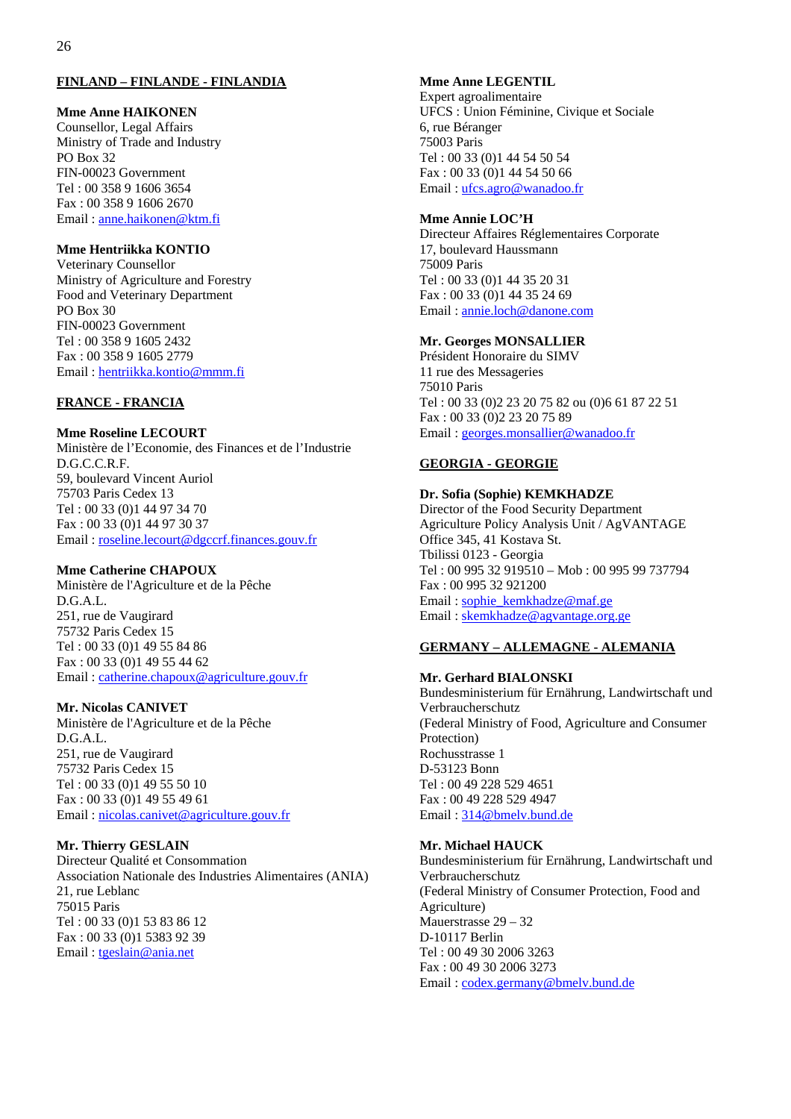## **FINLAND – FINLANDE - FINLANDIA**

# **Mme Anne HAIKONEN**

Counsellor, Legal Affairs Ministry of Trade and Industry PO Box 32 FIN-00023 Government Tel : 00 358 9 1606 3654 Fax : 00 358 9 1606 2670 Email : anne.haikonen@ktm.fi

#### **Mme Hentriikka KONTIO**

Veterinary Counsellor Ministry of Agriculture and Forestry Food and Veterinary Department PO Box 30 FIN-00023 Government Tel : 00 358 9 1605 2432 Fax : 00 358 9 1605 2779 Email : hentriikka.kontio@mmm.fi

## **FRANCE - FRANCIA**

#### **Mme Roseline LECOURT**

Ministère de l'Economie, des Finances et de l'Industrie D.G.C.C.R.F. 59, boulevard Vincent Auriol 75703 Paris Cedex 13 Tel : 00 33 (0)1 44 97 34 70 Fax : 00 33 (0)1 44 97 30 37 Email : roseline.lecourt@dgccrf.finances.gouv.fr

## **Mme Catherine CHAPOUX**

Ministère de l'Agriculture et de la Pêche D.G.A.L. 251, rue de Vaugirard 75732 Paris Cedex 15 Tel : 00 33 (0)1 49 55 84 86 Fax : 00 33 (0)1 49 55 44 62 Email : catherine.chapoux@agriculture.gouv.fr

## **Mr. Nicolas CANIVET**

Ministère de l'Agriculture et de la Pêche D.G.A.L. 251, rue de Vaugirard 75732 Paris Cedex 15 Tel : 00 33 (0)1 49 55 50 10 Fax : 00 33 (0)1 49 55 49 61 Email : nicolas.canivet@agriculture.gouv.fr

#### **Mr. Thierry GESLAIN**

Directeur Qualité et Consommation Association Nationale des Industries Alimentaires (ANIA) 21, rue Leblanc 75015 Paris Tel : 00 33 (0)1 53 83 86 12 Fax : 00 33 (0)1 5383 92 39 Email : tgeslain@ania.net

## **Mme Anne LEGENTIL**

Expert agroalimentaire UFCS : Union Féminine, Civique et Sociale 6, rue Béranger 75003 Paris Tel : 00 33 (0)1 44 54 50 54 Fax : 00 33 (0)1 44 54 50 66 Email : ufcs.agro@wanadoo.fr

#### **Mme Annie LOC'H**

Directeur Affaires Réglementaires Corporate 17, boulevard Haussmann 75009 Paris Tel : 00 33 (0)1 44 35 20 31 Fax : 00 33 (0)1 44 35 24 69 Email : annie.loch@danone.com

#### **Mr. Georges MONSALLIER**

Président Honoraire du SIMV 11 rue des Messageries 75010 Paris Tel : 00 33 (0)2 23 20 75 82 ou (0)6 61 87 22 51 Fax : 00 33 (0)2 23 20 75 89 Email : georges.monsallier@wanadoo.fr

## **GEORGIA - GEORGIE**

## **Dr. Sofia (Sophie) KEMKHADZE**

Director of the Food Security Department Agriculture Policy Analysis Unit / AgVANTAGE Office 345, 41 Kostava St. Tbilissi 0123 - Georgia Tel : 00 995 32 919510 – Mob : 00 995 99 737794 Fax : 00 995 32 921200 Email : sophie\_kemkhadze@maf.ge Email : skemkhadze@agvantage.org.ge

## **GERMANY – ALLEMAGNE - ALEMANIA**

**Mr. Gerhard BIALONSKI**  Bundesministerium für Ernährung, Landwirtschaft und Verbraucherschutz (Federal Ministry of Food, Agriculture and Consumer Protection) Rochusstrasse 1 D-53123 Bonn Tel : 00 49 228 529 4651 Fax : 00 49 228 529 4947 Email : 314@bmelv.bund.de

#### **Mr. Michael HAUCK**

Bundesministerium für Ernährung, Landwirtschaft und Verbraucherschutz (Federal Ministry of Consumer Protection, Food and Agriculture) Mauerstrasse 29 – 32 D-10117 Berlin Tel : 00 49 30 2006 3263 Fax : 00 49 30 2006 3273 Email : codex.germany@bmelv.bund.de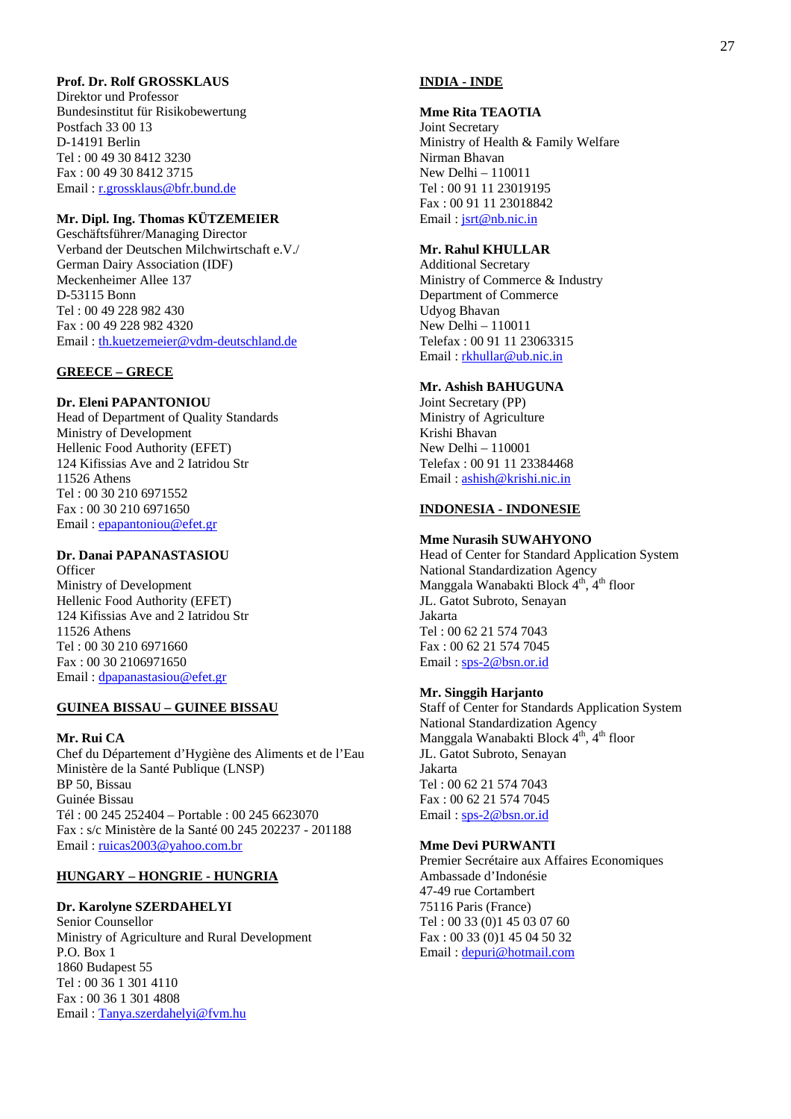## **Prof. Dr. Rolf GROSSKLAUS**

Direktor und Professor Bundesinstitut für Risikobewertung Postfach 33 00 13 D-14191 Berlin Tel : 00 49 30 8412 3230 Fax : 00 49 30 8412 3715 Email : r.grossklaus@bfr.bund.de

## **Mr. Dipl. Ing. Thomas KÜTZEMEIER**

Geschäftsführer/Managing Director Verband der Deutschen Milchwirtschaft e.V./ German Dairy Association (IDF) Meckenheimer Allee 137 D-53115 Bonn Tel : 00 49 228 982 430 Fax : 00 49 228 982 4320 Email : th.kuetzemeier@vdm-deutschland.de

## **GREECE – GRECE**

## **Dr. Eleni PAPANTONIOU**

Head of Department of Quality Standards Ministry of Development Hellenic Food Authority (EFET) 124 Kifissias Ave and 2 Iatridou Str 11526 Athens Tel : 00 30 210 6971552 Fax : 00 30 210 6971650 Email : epapantoniou@efet.gr

## **Dr. Danai PAPANASTASIOU**

**Officer** Ministry of Development Hellenic Food Authority (EFET) 124 Kifissias Ave and 2 Iatridou Str 11526 Athens Tel : 00 30 210 6971660 Fax : 00 30 2106971650 Email : dpapanastasiou@efet.gr

## **GUINEA BISSAU – GUINEE BISSAU**

#### **Mr. Rui CA**

Chef du Département d'Hygiène des Aliments et de l'Eau Ministère de la Santé Publique (LNSP) BP 50, Bissau Guinée Bissau Tél : 00 245 252404 – Portable : 00 245 6623070 Fax : s/c Ministère de la Santé 00 245 202237 - 201188 Email: ruicas2003@yahoo.com.br

#### **HUNGARY – HONGRIE - HUNGRIA**

#### **Dr. Karolyne SZERDAHELYI**

Senior Counsellor Ministry of Agriculture and Rural Development P.O. Box 1 1860 Budapest 55 Tel : 00 36 1 301 4110 Fax : 00 36 1 301 4808 Email : Tanya.szerdahelyi@fvm.hu

#### **INDIA - INDE**

#### **Mme Rita TEAOTIA**

Joint Secretary Ministry of Health & Family Welfare Nirman Bhavan New Delhi – 110011 Tel : 00 91 11 23019195 Fax : 00 91 11 23018842 Email : jsrt@nb.nic.in

#### **Mr. Rahul KHULLAR**

Additional Secretary Ministry of Commerce & Industry Department of Commerce Udyog Bhavan New Delhi – 110011 Telefax : 00 91 11 23063315 Email : rkhullar@ub.nic.in

#### **Mr. Ashish BAHUGUNA**

Joint Secretary (PP) Ministry of Agriculture Krishi Bhavan New Delhi – 110001 Telefax : 00 91 11 23384468 Email : ashish@krishi.nic.in

#### **INDONESIA - INDONESIE**

#### **Mme Nurasih SUWAHYONO**

Head of Center for Standard Application System National Standardization Agency Manggala Wanabakti Block 4<sup>th</sup>, 4<sup>th</sup> floor JL. Gatot Subroto, Senayan Jakarta Tel : 00 62 21 574 7043 Fax : 00 62 21 574 7045 Email : sps-2@bsn.or.id

#### **Mr. Singgih Harjanto**

Staff of Center for Standards Application System National Standardization Agency Manggala Wanabakti Block $4^{\text{th}},4^{\text{th}}$  floor JL. Gatot Subroto, Senayan Jakarta Tel : 00 62 21 574 7043 Fax : 00 62 21 574 7045 Email : sps-2@bsn.or.id

#### **Mme Devi PURWANTI**

Premier Secrétaire aux Affaires Economiques Ambassade d'Indonésie 47-49 rue Cortambert 75116 Paris (France) Tel : 00 33 (0)1 45 03 07 60 Fax : 00 33 (0)1 45 04 50 32 Email : depuri@hotmail.com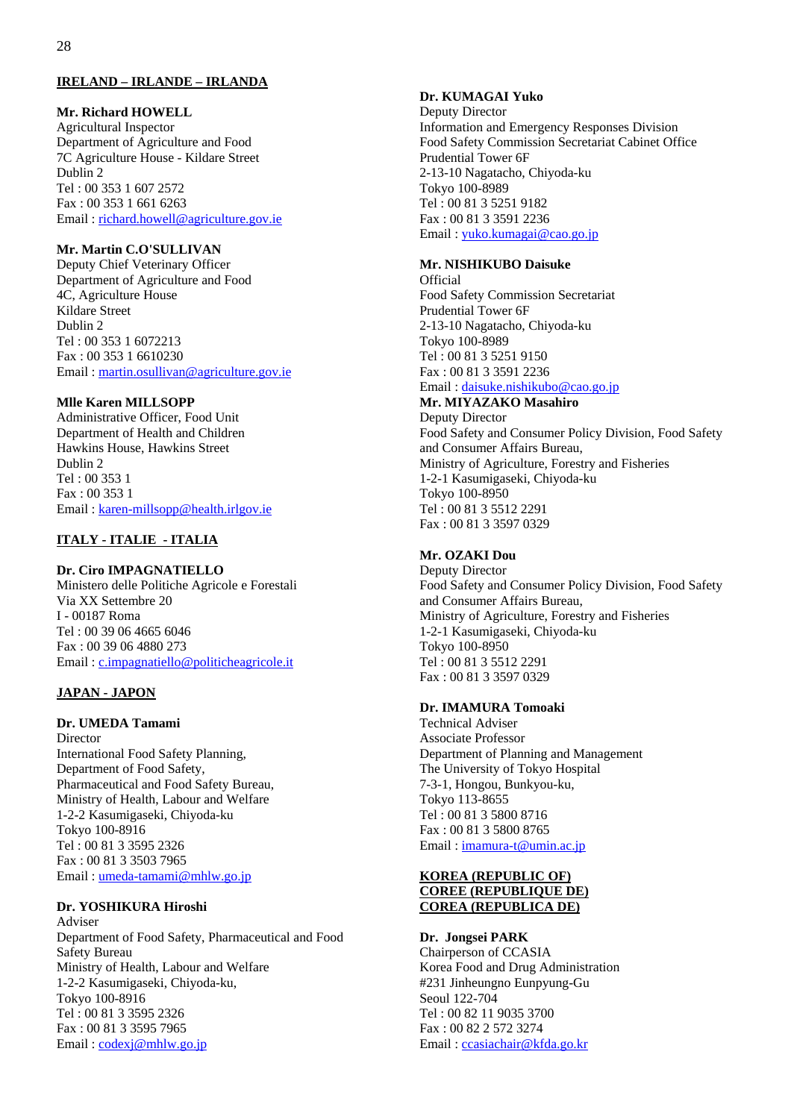# **IRELAND – IRLANDE – IRLANDA**

# **Mr. Richard HOWELL**

Agricultural Inspector Department of Agriculture and Food 7C Agriculture House - Kildare Street Dublin 2 Tel : 00 353 1 607 2572 Fax : 00 353 1 661 6263 Email : richard.howell@agriculture.gov.ie

#### **Mr. Martin C.O'SULLIVAN**

Deputy Chief Veterinary Officer Department of Agriculture and Food 4C, Agriculture House Kildare Street Dublin 2 Tel : 00 353 1 6072213 Fax : 00 353 1 6610230 Email : martin.osullivan@agriculture.gov.ie

## **Mlle Karen MILLSOPP**

Administrative Officer, Food Unit Department of Health and Children Hawkins House, Hawkins Street Dublin 2  $Tel \cdot 00$  353 1 Fax : 00 353 1 Email : karen-millsopp@health.irlgov.ie

## **ITALY - ITALIE - ITALIA**

#### **Dr. Ciro IMPAGNATIELLO**

Ministero delle Politiche Agricole e Forestali Via XX Settembre 20 I - 00187 Roma Tel : 00 39 06 4665 6046 Fax : 00 39 06 4880 273 Email : c.impagnatiello@politicheagricole.it

# **JAPAN - JAPON**

## **Dr. UMEDA Tamami**

Director International Food Safety Planning, Department of Food Safety, Pharmaceutical and Food Safety Bureau, Ministry of Health, Labour and Welfare 1-2-2 Kasumigaseki, Chiyoda-ku Tokyo 100-8916 Tel : 00 81 3 3595 2326 Fax : 00 81 3 3503 7965 Email : umeda-tamami@mhlw.go.jp

#### **Dr. YOSHIKURA Hiroshi**

Adviser Department of Food Safety, Pharmaceutical and Food Safety Bureau Ministry of Health, Labour and Welfare 1-2-2 Kasumigaseki, Chiyoda-ku, Tokyo 100-8916 Tel : 00 81 3 3595 2326 Fax : 00 81 3 3595 7965 Email : codexj@mhlw.go.jp

#### **Dr. KUMAGAI Yuko**

Deputy Director Information and Emergency Responses Division Food Safety Commission Secretariat Cabinet Office Prudential Tower 6F 2-13-10 Nagatacho, Chiyoda-ku Tokyo 100-8989 Tel : 00 81 3 5251 9182 Fax : 00 81 3 3591 2236 Email : yuko.kumagai@cao.go.jp

#### **Mr. NISHIKUBO Daisuke**

**Official** Food Safety Commission Secretariat Prudential Tower 6F 2-13-10 Nagatacho, Chiyoda-ku Tokyo 100-8989 Tel : 00 81 3 5251 9150 Fax : 00 81 3 3591 2236 Email : daisuke.nishikubo@cao.go.jp

# **Mr. MIYAZAKO Masahiro**

Deputy Director Food Safety and Consumer Policy Division, Food Safety and Consumer Affairs Bureau, Ministry of Agriculture, Forestry and Fisheries 1-2-1 Kasumigaseki, Chiyoda-ku Tokyo 100-8950 Tel : 00 81 3 5512 2291 Fax : 00 81 3 3597 0329

#### **Mr. OZAKI Dou**

Deputy Director Food Safety and Consumer Policy Division, Food Safety and Consumer Affairs Bureau, Ministry of Agriculture, Forestry and Fisheries 1-2-1 Kasumigaseki, Chiyoda-ku Tokyo 100-8950 Tel : 00 81 3 5512 2291 Fax : 00 81 3 3597 0329

#### **Dr. IMAMURA Tomoaki**

Technical Adviser Associate Professor Department of Planning and Management The University of Tokyo Hospital 7-3-1, Hongou, Bunkyou-ku, Tokyo 113-8655 Tel : 00 81 3 5800 8716 Fax : 00 81 3 5800 8765 Email: imamura-t@umin.ac.jp

## **KOREA (REPUBLIC OF) COREE (REPUBLIQUE DE) COREA (REPUBLICA DE)**

## **Dr. Jongsei PARK**

Chairperson of CCASIA Korea Food and Drug Administration #231 Jinheungno Eunpyung-Gu Seoul 122-704 Tel : 00 82 11 9035 3700 Fax : 00 82 2 572 3274 Email : ccasiachair@kfda.go.kr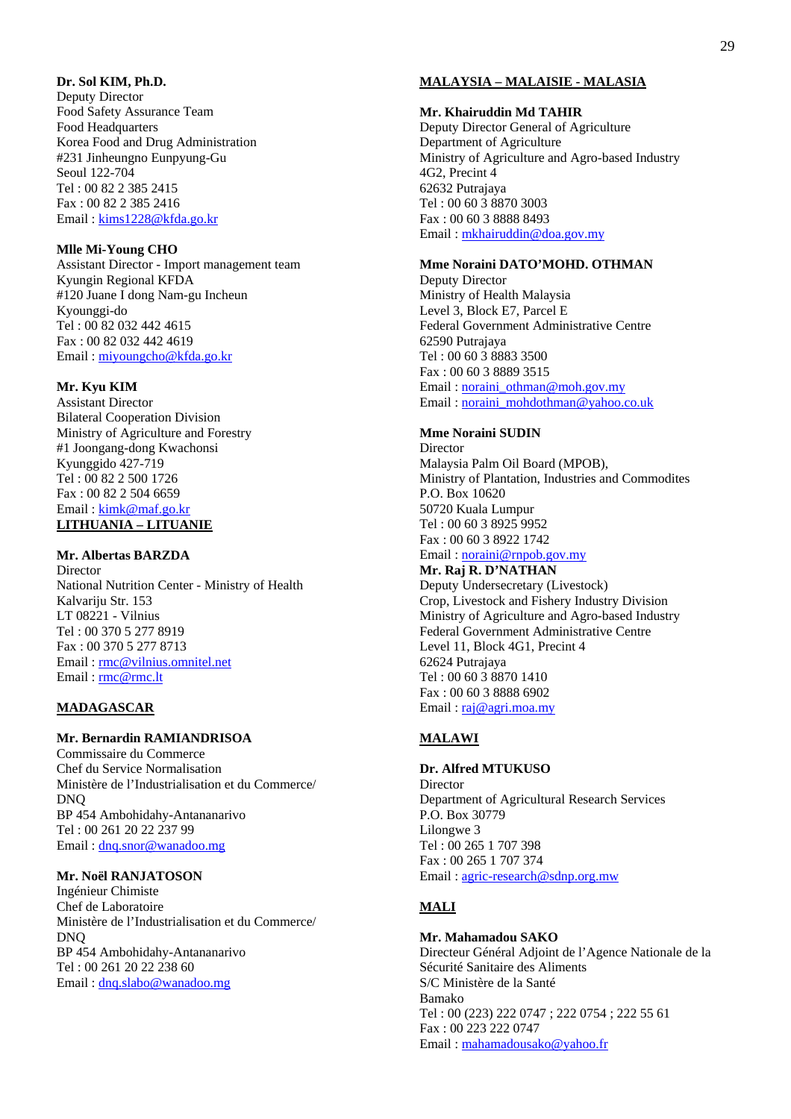## **Dr. Sol KIM, Ph.D.**  Deputy Director Food Safety Assurance Team Food Headquarters Korea Food and Drug Administration #231 Jinheungno Eunpyung-Gu Seoul 122-704 Tel : 00 82 2 385 2415 Fax : 00 82 2 385 2416 Email : kims1228@kfda.go.kr

## **Mlle Mi-Young CHO**

Assistant Director - Import management team Kyungin Regional KFDA #120 Juane I dong Nam-gu Incheun Kyounggi-do Tel : 00 82 032 442 4615 Fax : 00 82 032 442 4619 Email : miyoungcho@kfda.go.kr

## **Mr. Kyu KIM**

Assistant Director Bilateral Cooperation Division Ministry of Agriculture and Forestry #1 Joongang-dong Kwachonsi Kyunggido 427-719 Tel : 00 82 2 500 1726 Fax : 00 82 2 504 6659 Email : kimk@maf.go.kr **LITHUANIA – LITUANIE**

## **Mr. Albertas BARZDA**

Director National Nutrition Center - Ministry of Health Kalvariju Str. 153 LT 08221 - Vilnius Tel : 00 370 5 277 8919 Fax : 00 370 5 277 8713 Email : rmc@vilnius.omnitel.net Email : rmc@rmc.lt

# **MADAGASCAR**

## **Mr. Bernardin RAMIANDRISOA**

Commissaire du Commerce Chef du Service Normalisation Ministère de l'Industrialisation et du Commerce/ DNQ BP 454 Ambohidahy-Antananarivo Tel : 00 261 20 22 237 99 Email: dnq.snor@wanadoo.mg

## **Mr. Noël RANJATOSON**

Ingénieur Chimiste Chef de Laboratoire Ministère de l'Industrialisation et du Commerce/ DNQ BP 454 Ambohidahy-Antananarivo Tel : 00 261 20 22 238 60 Email : dnq.slabo@wanadoo.mg

# **MALAYSIA – MALAISIE - MALASIA**

#### **Mr. Khairuddin Md TAHIR**

Deputy Director General of Agriculture Department of Agriculture Ministry of Agriculture and Agro-based Industry 4G2, Precint 4 62632 Putrajaya Tel : 00 60 3 8870 3003 Fax : 00 60 3 8888 8493 Email : mkhairuddin@doa.gov.my

## **Mme Noraini DATO'MOHD. OTHMAN**

Deputy Director Ministry of Health Malaysia Level 3, Block E7, Parcel E Federal Government Administrative Centre 62590 Putrajaya Tel : 00 60 3 8883 3500 Fax : 00 60 3 8889 3515 Email: noraini\_othman@moh.gov.my Email : noraini\_mohdothman@yahoo.co.uk

## **Mme Noraini SUDIN**

Director Malaysia Palm Oil Board (MPOB), Ministry of Plantation, Industries and Commodites P.O. Box 10620 50720 Kuala Lumpur Tel : 00 60 3 8925 9952 Fax : 00 60 3 8922 1742 Email : noraini@rnpob.gov.my

## **Mr. Raj R. D'NATHAN**

Deputy Undersecretary (Livestock) Crop, Livestock and Fishery Industry Division Ministry of Agriculture and Agro-based Industry Federal Government Administrative Centre Level 11, Block 4G1, Precint 4 62624 Putrajaya Tel : 00 60 3 8870 1410 Fax : 00 60 3 8888 6902 Email : raj@agri.moa.my

## **MALAWI**

#### **Dr. Alfred MTUKUSO Director** Department of Agricultural Research Services P.O. Box 30779 Lilongwe 3 Tel : 00 265 1 707 398 Fax : 00 265 1 707 374 Email : agric-research@sdnp.org.mw

# **MALI**

**Mr. Mahamadou SAKO**  Directeur Général Adjoint de l'Agence Nationale de la Sécurité Sanitaire des Aliments S/C Ministère de la Santé Bamako Tel : 00 (223) 222 0747 ; 222 0754 ; 222 55 61 Fax : 00 223 222 0747 Email : mahamadousako@yahoo.fr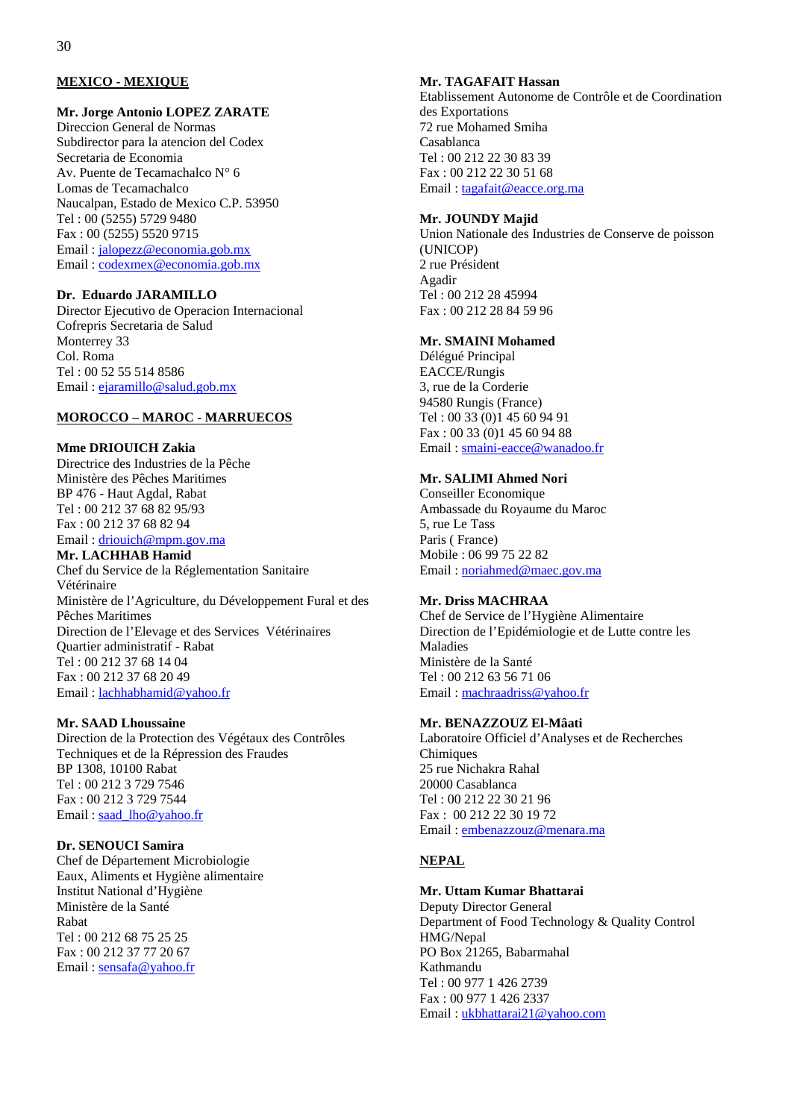# **MEXICO - MEXIQUE**

## **Mr. Jorge Antonio LOPEZ ZARATE**

Direccion General de Normas Subdirector para la atencion del Codex Secretaria de Economia Av. Puente de Tecamachalco N° 6 Lomas de Tecamachalco Naucalpan, Estado de Mexico C.P. 53950 Tel : 00 (5255) 5729 9480 Fax : 00 (5255) 5520 9715 Email : jalopezz@economia.gob.mx Email : codexmex@economia.gob.mx

#### **Dr. Eduardo JARAMILLO**

Director Ejecutivo de Operacion Internacional Cofrepris Secretaria de Salud Monterrey 33 Col. Roma Tel : 00 52 55 514 8586 Email : ejaramillo@salud.gob.mx

## **MOROCCO – MAROC - MARRUECOS**

## **Mme DRIOUICH Zakia**

Directrice des Industries de la Pêche Ministère des Pêches Maritimes BP 476 - Haut Agdal, Rabat Tel : 00 212 37 68 82 95/93 Fax : 00 212 37 68 82 94 Email : driouich@mpm.gov.ma

**Mr. LACHHAB Hamid**  Chef du Service de la Réglementation Sanitaire Vétérinaire Ministère de l'Agriculture, du Développement Fural et des Pêches Maritimes Direction de l'Elevage et des Services Vétérinaires Quartier administratif - Rabat Tel : 00 212 37 68 14 04 Fax : 00 212 37 68 20 49

Email : lachhabhamid@yahoo.fr

#### **Mr. SAAD Lhoussaine**

Direction de la Protection des Végétaux des Contrôles Techniques et de la Répression des Fraudes BP 1308, 10100 Rabat Tel : 00 212 3 729 7546 Fax : 00 212 3 729 7544 Email : saad\_lho@yahoo.fr

## **Dr. SENOUCI Samira**

Chef de Département Microbiologie Eaux, Aliments et Hygiène alimentaire Institut National d'Hygiène Ministère de la Santé Rabat Tel : 00 212 68 75 25 25 Fax : 00 212 37 77 20 67 Email : sensafa@yahoo.fr

#### **Mr. TAGAFAIT Hassan**

Etablissement Autonome de Contrôle et de Coordination des Exportations 72 rue Mohamed Smiha Casablanca Tel : 00 212 22 30 83 39 Fax : 00 212 22 30 51 68 Email : tagafait@eacce.org.ma

#### **Mr. JOUNDY Majid**

Union Nationale des Industries de Conserve de poisson (UNICOP) 2 rue Président Agadir Tel : 00 212 28 45994 Fax : 00 212 28 84 59 96

## **Mr. SMAINI Mohamed**

Délégué Principal EACCE/Rungis 3, rue de la Corderie 94580 Rungis (France) Tel : 00 33 (0)1 45 60 94 91 Fax : 00 33 (0)1 45 60 94 88 Email : smaini-eacce@wanadoo.fr

### **Mr. SALIMI Ahmed Nori**

Conseiller Economique Ambassade du Royaume du Maroc 5, rue Le Tass Paris ( France) Mobile : 06 99 75 22 82 Email : noriahmed@maec.gov.ma

## **Mr. Driss MACHRAA**

Chef de Service de l'Hygiène Alimentaire Direction de l'Epidémiologie et de Lutte contre les Maladies Ministère de la Santé Tel : 00 212 63 56 71 06 Email : machraadriss@yahoo.fr

#### **Mr. BENAZZOUZ El-Mâati**

Laboratoire Officiel d'Analyses et de Recherches **Chimiques** 25 rue Nichakra Rahal 20000 Casablanca Tel : 00 212 22 30 21 96 Fax : 00 212 22 30 19 72 Email : embenazzouz@menara.ma

## **NEPAL**

## **Mr. Uttam Kumar Bhattarai**

Deputy Director General Department of Food Technology & Quality Control HMG/Nepal PO Box 21265, Babarmahal Kathmandu Tel : 00 977 1 426 2739 Fax : 00 977 1 426 2337 Email : ukbhattarai21@yahoo.com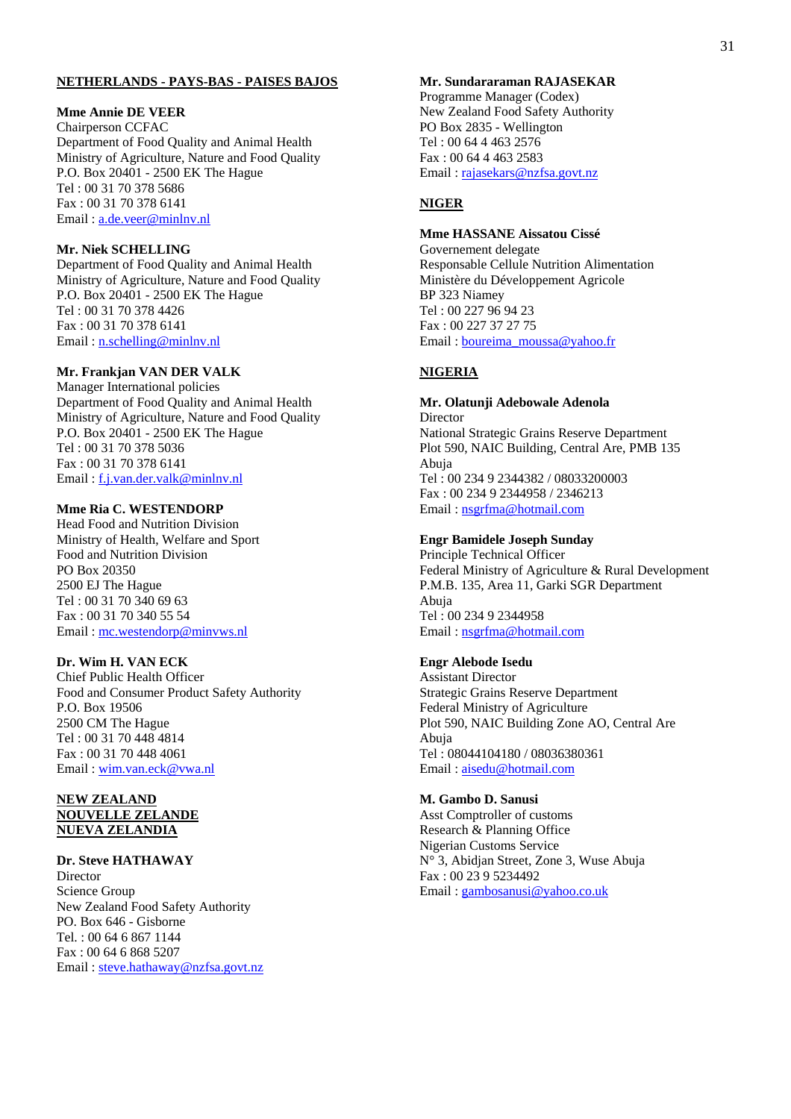#### **NETHERLANDS - PAYS-BAS - PAISES BAJOS**

## **Mme Annie DE VEER**

Chairperson CCFAC Department of Food Quality and Animal Health Ministry of Agriculture, Nature and Food Quality P.O. Box 20401 - 2500 EK The Hague Tel : 00 31 70 378 5686 Fax : 00 31 70 378 6141 Email : a.de.veer@minlnv.nl

#### **Mr. Niek SCHELLING**

Department of Food Quality and Animal Health Ministry of Agriculture, Nature and Food Quality P.O. Box 20401 - 2500 EK The Hague Tel : 00 31 70 378 4426 Fax : 00 31 70 378 6141 Email : n.schelling@minlnv.nl

# **Mr. Frankjan VAN DER VALK**

Manager International policies Department of Food Quality and Animal Health Ministry of Agriculture, Nature and Food Quality P.O. Box 20401 - 2500 EK The Hague Tel : 00 31 70 378 5036 Fax : 00 31 70 378 6141 Email : f.j.van.der.valk@minlnv.nl

## **Mme Ria C. WESTENDORP**

Head Food and Nutrition Division Ministry of Health, Welfare and Sport Food and Nutrition Division PO Box 20350 2500 EJ The Hague Tel : 00 31 70 340 69 63 Fax : 00 31 70 340 55 54 Email : mc.westendorp@minvws.nl

## **Dr. Wim H. VAN ECK**

Chief Public Health Officer Food and Consumer Product Safety Authority P.O. Box 19506 2500 CM The Hague Tel : 00 31 70 448 4814 Fax : 00 31 70 448 4061 Email : wim.van.eck@vwa.nl

#### **NEW ZEALAND NOUVELLE ZELANDE NUEVA ZELANDIA**

#### **Dr. Steve HATHAWAY**

Director Science Group New Zealand Food Safety Authority PO. Box 646 - Gisborne Tel. : 00 64 6 867 1144 Fax : 00 64 6 868 5207 Email : steve.hathaway@nzfsa.govt.nz

#### **Mr. Sundararaman RAJASEKAR**

Programme Manager (Codex) New Zealand Food Safety Authority PO Box 2835 - Wellington Tel : 00 64 4 463 2576 Fax : 00 64 4 463 2583 Email : rajasekars@nzfsa.govt.nz

#### **NIGER**

## **Mme HASSANE Aissatou Cissé**

Governement delegate Responsable Cellule Nutrition Alimentation Ministère du Développement Agricole BP 323 Niamey Tel : 00 227 96 94 23 Fax : 00 227 37 27 75 Email : boureima\_moussa@yahoo.fr

#### **NIGERIA**

**Mr. Olatunji Adebowale Adenola Director** National Strategic Grains Reserve Department Plot 590, NAIC Building, Central Are, PMB 135 Abuja Tel : 00 234 9 2344382 / 08033200003 Fax : 00 234 9 2344958 / 2346213 Email : nsgrfma@hotmail.com

## **Engr Bamidele Joseph Sunday**

Principle Technical Officer Federal Ministry of Agriculture & Rural Development P.M.B. 135, Area 11, Garki SGR Department Abuja Tel : 00 234 9 2344958 Email : nsgrfma@hotmail.com

#### **Engr Alebode Isedu**

Assistant Director Strategic Grains Reserve Department Federal Ministry of Agriculture Plot 590, NAIC Building Zone AO, Central Are Abuja Tel : 08044104180 / 08036380361 Email : aisedu@hotmail.com

## **M. Gambo D. Sanusi**

Asst Comptroller of customs Research & Planning Office Nigerian Customs Service N° 3, Abidjan Street, Zone 3, Wuse Abuja Fax : 00 23 9 5234492 Email : gambosanusi@yahoo.co.uk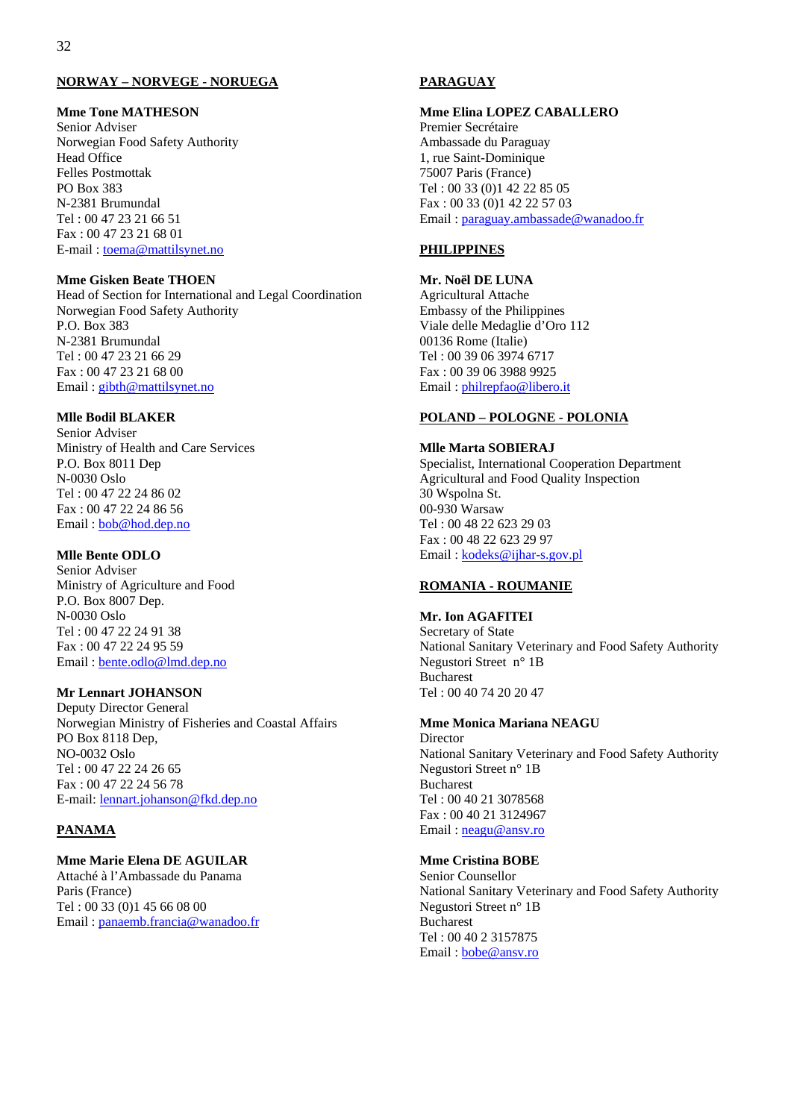## **NORWAY – NORVEGE - NORUEGA**

# **Mme Tone MATHESON**

Senior Adviser Norwegian Food Safety Authority Head Office Felles Postmottak PO Box 383 N-2381 Brumundal Tel : 00 47 23 21 66 51 Fax : 00 47 23 21 68 01 E-mail : toema@mattilsynet.no

## **Mme Gisken Beate THOEN**

Head of Section for International and Legal Coordination Norwegian Food Safety Authority P.O. Box 383 N-2381 Brumundal Tel : 00 47 23 21 66 29 Fax : 00 47 23 21 68 00 Email : gibth@mattilsynet.no

## **Mlle Bodil BLAKER**

Senior Adviser Ministry of Health and Care Services P.O. Box 8011 Dep N-0030 Oslo Tel : 00 47 22 24 86 02 Fax : 00 47 22 24 86 56 Email : bob@hod.dep.no

#### **Mlle Bente ODLO**

Senior Adviser Ministry of Agriculture and Food P.O. Box 8007 Dep. N-0030 Oslo Tel : 00 47 22 24 91 38 Fax : 00 47 22 24 95 59 Email : bente.odlo@lmd.dep.no

## **Mr Lennart JOHANSON**

Deputy Director General Norwegian Ministry of Fisheries and Coastal Affairs PO Box 8118 Dep. NO-0032 Oslo Tel : 00 47 22 24 26 65 Fax : 00 47 22 24 56 78 E-mail: lennart.johanson@fkd.dep.no

# **PANAMA**

# **Mme Marie Elena DE AGUILAR**

Attaché à l'Ambassade du Panama Paris (France) Tel : 00 33 (0)1 45 66 08 00 Email : panaemb.francia@wanadoo.fr

# **PARAGUAY**

**Mme Elina LOPEZ CABALLERO**  Premier Secrétaire Ambassade du Paraguay 1, rue Saint-Dominique 75007 Paris (France) Tel : 00 33 (0)1 42 22 85 05 Fax : 00 33 (0)1 42 22 57 03 Email : paraguay.ambassade@wanadoo.fr

## **PHILIPPINES**

**Mr. Noël DE LUNA**  Agricultural Attache Embassy of the Philippines Viale delle Medaglie d'Oro 112 00136 Rome (Italie) Tel : 00 39 06 3974 6717 Fax : 00 39 06 3988 9925 Email : philrepfao@libero.it

## **POLAND – POLOGNE - POLONIA**

## **Mlle Marta SOBIERAJ**

Specialist, International Cooperation Department Agricultural and Food Quality Inspection 30 Wspolna St. 00-930 Warsaw Tel : 00 48 22 623 29 03 Fax : 00 48 22 623 29 97 Email : kodeks@ijhar-s.gov.pl

## **ROMANIA - ROUMANIE**

## **Mr. Ion AGAFITEI**

Secretary of State National Sanitary Veterinary and Food Safety Authority Negustori Street n° 1B Bucharest Tel : 00 40 74 20 20 47

## **Mme Monica Mariana NEAGU**

Director National Sanitary Veterinary and Food Safety Authority Negustori Street n° 1B Bucharest Tel : 00 40 21 3078568 Fax : 00 40 21 3124967 Email: <u>neagu@ansv.ro</u>

## **Mme Cristina BOBE**

Senior Counsellor National Sanitary Veterinary and Food Safety Authority Negustori Street n° 1B Bucharest Tel : 00 40 2 3157875 Email : bobe@ansv.ro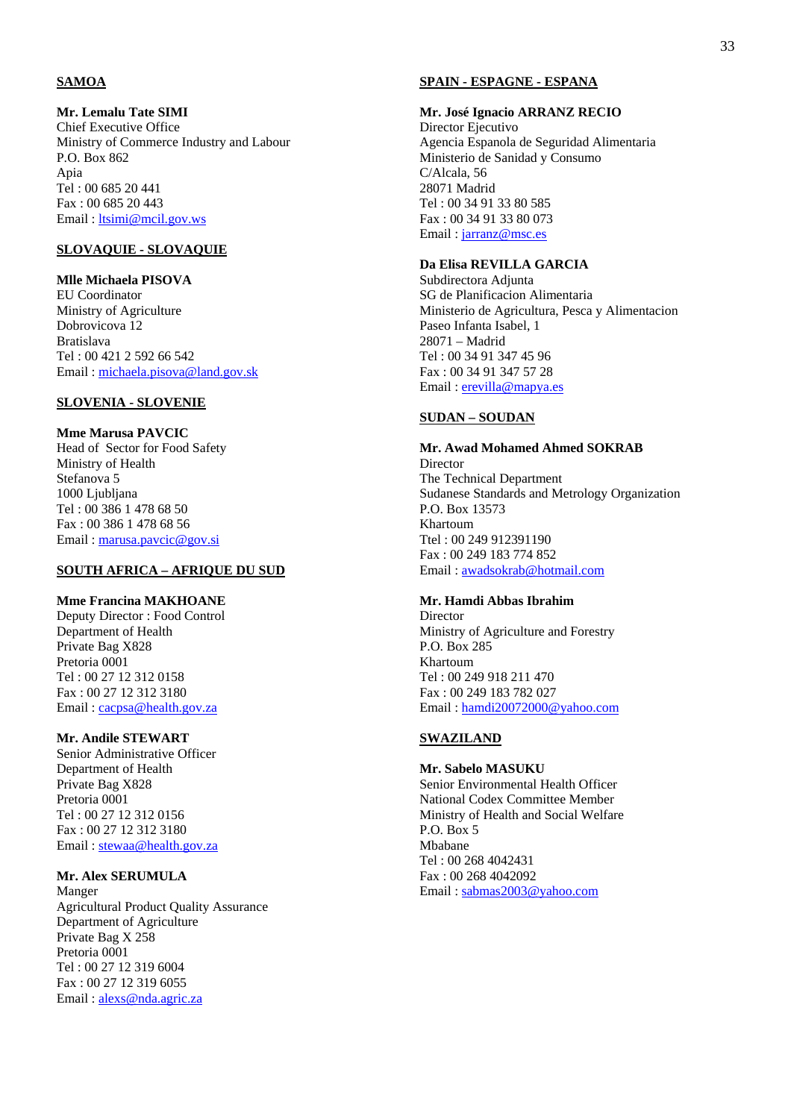# **SAMOA**

# **Mr. Lemalu Tate SIMI**

Chief Executive Office Ministry of Commerce Industry and Labour P.O. Box 862 Apia Tel : 00 685 20 441 Fax : 00 685 20 443 Email : ltsimi@mcil.gov.ws

#### **SLOVAQUIE - SLOVAQUIE**

#### **Mlle Michaela PISOVA**

EU Coordinator Ministry of Agriculture Dobrovicova 12 Bratislava Tel : 00 421 2 592 66 542 Email : michaela.pisova@land.gov.sk

## **SLOVENIA - SLOVENIE**

## **Mme Marusa PAVCIC**

Head of Sector for Food Safety Ministry of Health Stefanova 5 1000 Liubliana Tel : 00 386 1 478 68 50 Fax : 00 386 1 478 68 56 Email : marusa.pavcic@gov.si

## **SOUTH AFRICA – AFRIQUE DU SUD**

# **Mme Francina MAKHOANE**

Deputy Director : Food Control Department of Health Private Bag X828 Pretoria 0001 Tel : 00 27 12 312 0158 Fax : 00 27 12 312 3180 Email : cacpsa@health.gov.za

## **Mr. Andile STEWART**

Senior Administrative Officer Department of Health Private Bag X828 Pretoria 0001 Tel : 00 27 12 312 0156 Fax : 00 27 12 312 3180 Email : stewaa@health.gov.za

#### **Mr. Alex SERUMULA**

Manger Agricultural Product Quality Assurance Department of Agriculture Private Bag X 258 Pretoria 0001 Tel : 00 27 12 319 6004 Fax : 00 27 12 319 6055 Email : alexs@nda.agric.za

#### **SPAIN - ESPAGNE - ESPANA**

### **Mr. José Ignacio ARRANZ RECIO**

Director Ejecutivo Agencia Espanola de Seguridad Alimentaria Ministerio de Sanidad y Consumo C/Alcala, 56 28071 Madrid Tel : 00 34 91 33 80 585 Fax : 00 34 91 33 80 073 Email : jarranz@msc.es

## **Da Elisa REVILLA GARCIA**

Subdirectora Adjunta SG de Planificacion Alimentaria Ministerio de Agricultura, Pesca y Alimentacion Paseo Infanta Isabel, 1 28071 – Madrid Tel : 00 34 91 347 45 96 Fax : 00 34 91 347 57 28 Email : erevilla@mapya.es

## **SUDAN – SOUDAN**

## **Mr. Awad Mohamed Ahmed SOKRAB**  Director The Technical Department Sudanese Standards and Metrology Organization P.O. Box 13573 Khartoum Ttel : 00 249 912391190 Fax : 00 249 183 774 852 Email : awadsokrab@hotmail.com

## **Mr. Hamdi Abbas Ibrahim**

Director Ministry of Agriculture and Forestry P.O. Box 285 Khartoum Tel : 00 249 918 211 470 Fax : 00 249 183 782 027 Email : hamdi20072000@yahoo.com

## **SWAZILAND**

**Mr. Sabelo MASUKU**  Senior Environmental Health Officer National Codex Committee Member Ministry of Health and Social Welfare P.O. Box 5 Mbabane Tel : 00 268 4042431 Fax : 00 268 4042092 Email : sabmas2003@yahoo.com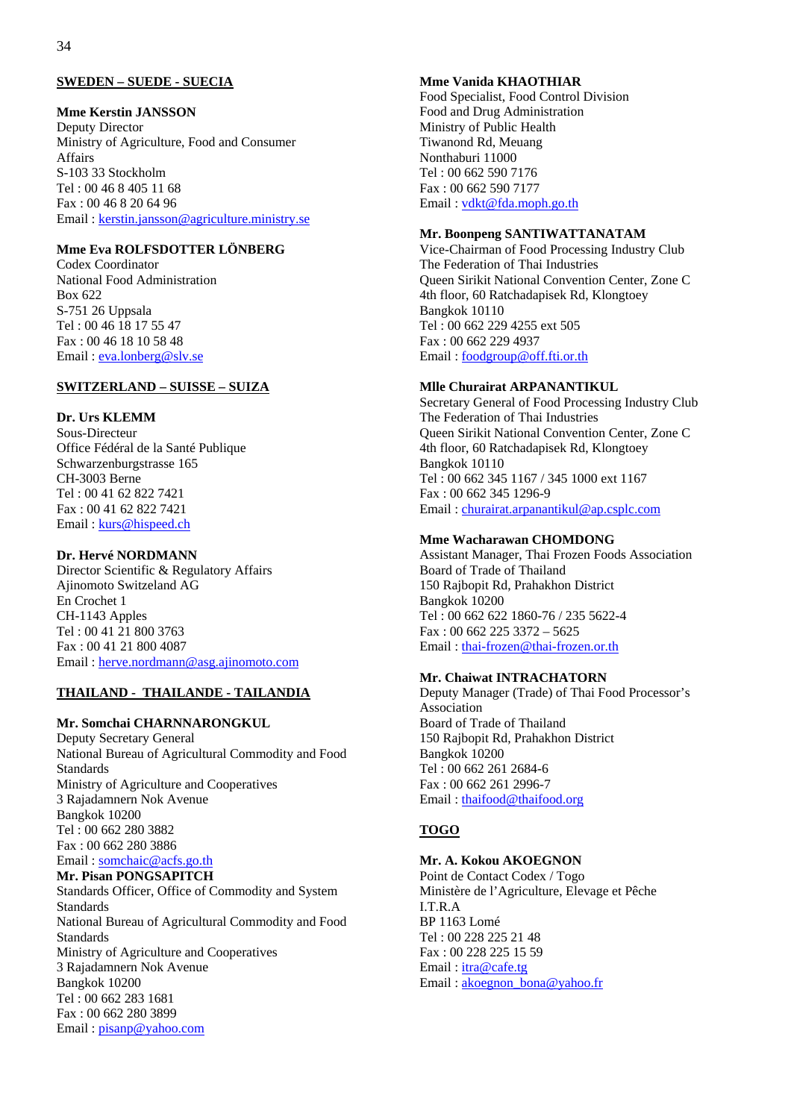# **SWEDEN – SUEDE - SUECIA**

## **Mme Kerstin JANSSON**

Deputy Director Ministry of Agriculture, Food and Consumer Affairs S-103 33 Stockholm Tel : 00 46 8 405 11 68 Fax : 00 46 8 20 64 96 Email : kerstin.jansson@agriculture.ministry.se

## **Mme Eva ROLFSDOTTER LÖNBERG**

Codex Coordinator National Food Administration Box 622 S-751 26 Uppsala Tel : 00 46 18 17 55 47 Fax : 00 46 18 10 58 48 Email : eva.lonberg@slv.se

## **SWITZERLAND – SUISSE – SUIZA**

#### **Dr. Urs KLEMM**

Sous-Directeur Office Fédéral de la Santé Publique Schwarzenburgstrasse 165 CH-3003 Berne Tel : 00 41 62 822 7421 Fax : 00 41 62 822 7421 Email: kurs@hispeed.ch

#### **Dr. Hervé NORDMANN**

Director Scientific & Regulatory Affairs Ajinomoto Switzeland AG En Crochet 1 CH-1143 Apples Tel : 00 41 21 800 3763 Fax : 00 41 21 800 4087 Email : herve.nordmann@asg.ajinomoto.com

#### **THAILAND - THAILANDE - TAILANDIA**

#### **Mr. Somchai CHARNNARONGKUL**

Deputy Secretary General National Bureau of Agricultural Commodity and Food Standards Ministry of Agriculture and Cooperatives 3 Rajadamnern Nok Avenue Bangkok 10200 Tel : 00 662 280 3882 Fax : 00 662 280 3886 Email : somchaic@acfs.go.th

#### **Mr. Pisan PONGSAPITCH**

Standards Officer, Office of Commodity and System **Standards** National Bureau of Agricultural Commodity and Food **Standards** Ministry of Agriculture and Cooperatives 3 Rajadamnern Nok Avenue Bangkok 10200 Tel : 00 662 283 1681 Fax : 00 662 280 3899 Email : pisanp@yahoo.com

#### **Mme Vanida KHAOTHIAR**

Food Specialist, Food Control Division Food and Drug Administration Ministry of Public Health Tiwanond Rd, Meuang Nonthaburi 11000 Tel : 00 662 590 7176 Fax : 00 662 590 7177 Email : vdkt@fda.moph.go.th

#### **Mr. Boonpeng SANTIWATTANATAM**

Vice-Chairman of Food Processing Industry Club The Federation of Thai Industries Queen Sirikit National Convention Center, Zone C 4th floor, 60 Ratchadapisek Rd, Klongtoey Bangkok 10110 Tel : 00 662 229 4255 ext 505 Fax : 00 662 229 4937 Email : foodgroup@off.fti.or.th

#### **Mlle Churairat ARPANANTIKUL**

Secretary General of Food Processing Industry Club The Federation of Thai Industries Queen Sirikit National Convention Center, Zone C 4th floor, 60 Ratchadapisek Rd, Klongtoey Bangkok 10110 Tel : 00 662 345 1167 / 345 1000 ext 1167 Fax : 00 662 345 1296-9 Email : churairat.arpanantikul@ap.csplc.com

#### **Mme Wacharawan CHOMDONG**

Assistant Manager, Thai Frozen Foods Association Board of Trade of Thailand 150 Rajbopit Rd, Prahakhon District Bangkok 10200 Tel : 00 662 622 1860-76 / 235 5622-4  $Fax: 00 662 225 3372 - 5625$ Email : thai-frozen@thai-frozen.or.th

## **Mr. Chaiwat INTRACHATORN**

Deputy Manager (Trade) of Thai Food Processor's Association Board of Trade of Thailand 150 Rajbopit Rd, Prahakhon District Bangkok 10200 Tel : 00 662 261 2684-6 Fax : 00 662 261 2996-7 Email : thaifood@thaifood.org

#### **TOGO**

#### **Mr. A. Kokou AKOEGNON**

Point de Contact Codex / Togo Ministère de l'Agriculture, Elevage et Pêche I.T.R.A BP 1163 Lomé Tel : 00 228 225 21 48 Fax : 00 228 225 15 59 Email : itra@cafe.tg Email: akoegnon\_bona@yahoo.fr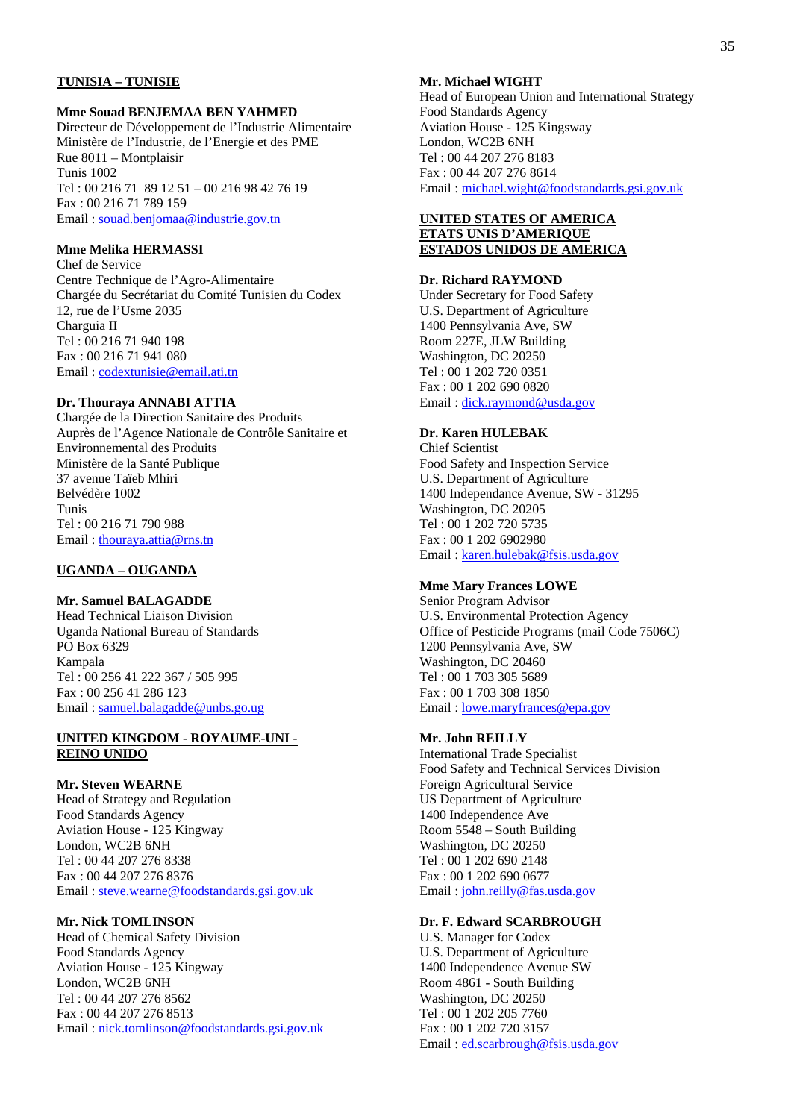## **TUNISIA – TUNISIE**

#### **Mme Souad BENJEMAA BEN YAHMED**

Directeur de Développement de l'Industrie Alimentaire Ministère de l'Industrie, de l'Energie et des PME Rue 8011 – Montplaisir Tunis 1002 Tel : 00 216 71 89 12 51 – 00 216 98 42 76 19 Fax : 00 216 71 789 159 Email : souad.benjomaa@industrie.gov.tn

#### **Mme Melika HERMASSI**

Chef de Service Centre Technique de l'Agro-Alimentaire Chargée du Secrétariat du Comité Tunisien du Codex 12, rue de l'Usme 2035 Charguia II Tel : 00 216 71 940 198 Fax : 00 216 71 941 080 Email : codextunisie@email.ati.tn

## **Dr. Thouraya ANNABI ATTIA**

Chargée de la Direction Sanitaire des Produits Auprès de l'Agence Nationale de Contrôle Sanitaire et Environnemental des Produits Ministère de la Santé Publique 37 avenue Taïeb Mhiri Belvédère 1002 Tunis Tel : 00 216 71 790 988 Email : thouraya.attia@rns.tn

#### **UGANDA – OUGANDA**

## **Mr. Samuel BALAGADDE**

Head Technical Liaison Division Uganda National Bureau of Standards PO Box 6329 Kampala Tel : 00 256 41 222 367 / 505 995 Fax : 00 256 41 286 123 Email : samuel.balagadde@unbs.go.ug

#### **UNITED KINGDOM - ROYAUME-UNI - REINO UNIDO**

#### **Mr. Steven WEARNE**

Head of Strategy and Regulation Food Standards Agency Aviation House - 125 Kingway London, WC2B 6NH Tel : 00 44 207 276 8338 Fax : 00 44 207 276 8376 Email : steve.wearne@foodstandards.gsi.gov.uk

## **Mr. Nick TOMLINSON**

Head of Chemical Safety Division Food Standards Agency Aviation House - 125 Kingway London, WC2B 6NH Tel : 00 44 207 276 8562 Fax : 00 44 207 276 8513 Email : nick.tomlinson@foodstandards.gsi.gov.uk

## **Mr. Michael WIGHT**

Head of European Union and International Strategy Food Standards Agency Aviation House - 125 Kingsway London, WC2B 6NH Tel : 00 44 207 276 8183 Fax : 00 44 207 276 8614 Email : michael.wight@foodstandards.gsi.gov.uk

#### **UNITED STATES OF AMERICA ETATS UNIS D'AMERIQUE ESTADOS UNIDOS DE AMERICA**

#### **Dr. Richard RAYMOND**

Under Secretary for Food Safety U.S. Department of Agriculture 1400 Pennsylvania Ave, SW Room 227E, JLW Building Washington, DC 20250 Tel : 00 1 202 720 0351 Fax : 00 1 202 690 0820 Email : dick.raymond@usda.gov

#### **Dr. Karen HULEBAK**

Chief Scientist Food Safety and Inspection Service U.S. Department of Agriculture 1400 Independance Avenue, SW - 31295 Washington, DC 20205 Tel : 00 1 202 720 5735 Fax : 00 1 202 6902980 Email : karen.hulebak@fsis.usda.gov

## **Mme Mary Frances LOWE**

Senior Program Advisor U.S. Environmental Protection Agency Office of Pesticide Programs (mail Code 7506C) 1200 Pennsylvania Ave, SW Washington, DC 20460 Tel : 00 1 703 305 5689 Fax : 00 1 703 308 1850 Email : lowe.maryfrances@epa.gov

#### **Mr. John REILLY**

International Trade Specialist Food Safety and Technical Services Division Foreign Agricultural Service US Department of Agriculture 1400 Independence Ave Room 5548 – South Building Washington, DC 20250 Tel : 00 1 202 690 2148 Fax : 00 1 202 690 0677 Email : john.reilly@fas.usda.gov

## **Dr. F. Edward SCARBROUGH**

U.S. Manager for Codex U.S. Department of Agriculture 1400 Independence Avenue SW Room 4861 - South Building Washington, DC 20250 Tel : 00 1 202 205 7760 Fax : 00 1 202 720 3157 Email : ed.scarbrough@fsis.usda.gov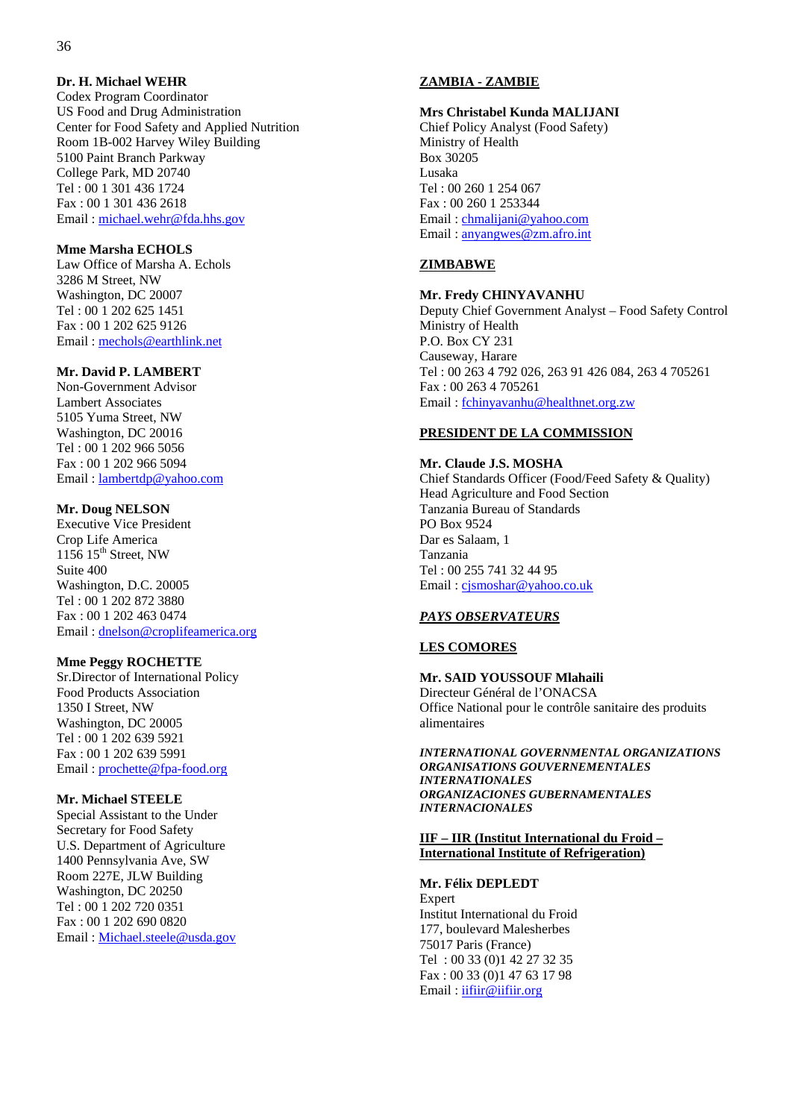## **Dr. H. Michael WEHR**

Codex Program Coordinator US Food and Drug Administration Center for Food Safety and Applied Nutrition Room 1B-002 Harvey Wiley Building 5100 Paint Branch Parkway College Park, MD 20740 Tel : 00 1 301 436 1724 Fax : 00 1 301 436 2618 Email : michael.wehr@fda.hhs.gov

## **Mme Marsha ECHOLS**

Law Office of Marsha A. Echols 3286 M Street, NW Washington, DC 20007 Tel : 00 1 202 625 1451 Fax : 00 1 202 625 9126 Email : mechols@earthlink.net

## **Mr. David P. LAMBERT**

Non-Government Advisor Lambert Associates 5105 Yuma Street, NW Washington, DC 20016 Tel : 00 1 202 966 5056 Fax : 00 1 202 966 5094 Email : lambertdp@yahoo.com

#### **Mr. Doug NELSON**

Executive Vice President Crop Life America  $1156$   $15<sup>th</sup>$  Street, NW Suite 400 Washington, D.C. 20005 Tel : 00 1 202 872 3880 Fax : 00 1 202 463 0474 Email : dnelson@croplifeamerica.org

## **Mme Peggy ROCHETTE**

Sr.Director of International Policy Food Products Association 1350 I Street, NW Washington, DC 20005 Tel : 00 1 202 639 5921 Fax : 00 1 202 639 5991 Email : prochette@fpa-food.org

#### **Mr. Michael STEELE**

Special Assistant to the Under Secretary for Food Safety U.S. Department of Agriculture 1400 Pennsylvania Ave, SW Room 227E, JLW Building Washington, DC 20250 Tel : 00 1 202 720 0351 Fax : 00 1 202 690 0820 Email : Michael.steele@usda.gov

## **ZAMBIA - ZAMBIE**

## **Mrs Christabel Kunda MALIJANI**

Chief Policy Analyst (Food Safety) Ministry of Health Box 30205 Lusaka Tel : 00 260 1 254 067 Fax : 00 260 1 253344 Email : chmalijani@yahoo.com Email : anyangwes@zm.afro.int

#### **ZIMBABWE**

#### **Mr. Fredy CHINYAVANHU**

Deputy Chief Government Analyst – Food Safety Control Ministry of Health P.O. Box CY 231 Causeway, Harare Tel : 00 263 4 792 026, 263 91 426 084, 263 4 705261 Fax : 00 263 4 705261 Email : fchinyavanhu@healthnet.org.zw

#### **PRESIDENT DE LA COMMISSION**

#### **Mr. Claude J.S. MOSHA**

Chief Standards Officer (Food/Feed Safety & Quality) Head Agriculture and Food Section Tanzania Bureau of Standards PO Box 9524 Dar es Salaam, 1 Tanzania Tel : 00 255 741 32 44 95 Email : cjsmoshar@yahoo.co.uk

#### *PAYS OBSERVATEURS*

## **LES COMORES**

**Mr. SAID YOUSSOUF Mlahaili**  Directeur Général de l'ONACSA Office National pour le contrôle sanitaire des produits alimentaires

*INTERNATIONAL GOVERNMENTAL ORGANIZATIONS ORGANISATIONS GOUVERNEMENTALES INTERNATIONALES ORGANIZACIONES GUBERNAMENTALES INTERNACIONALES* 

## **IIF – IIR (Institut International du Froid – International Institute of Refrigeration)**

## **Mr. Félix DEPLEDT**

Expert Institut International du Froid 177, boulevard Malesherbes 75017 Paris (France) Tel : 00 33 (0)1 42 27 32 35 Fax : 00 33 (0)1 47 63 17 98 Email: iifiir@iifiir.org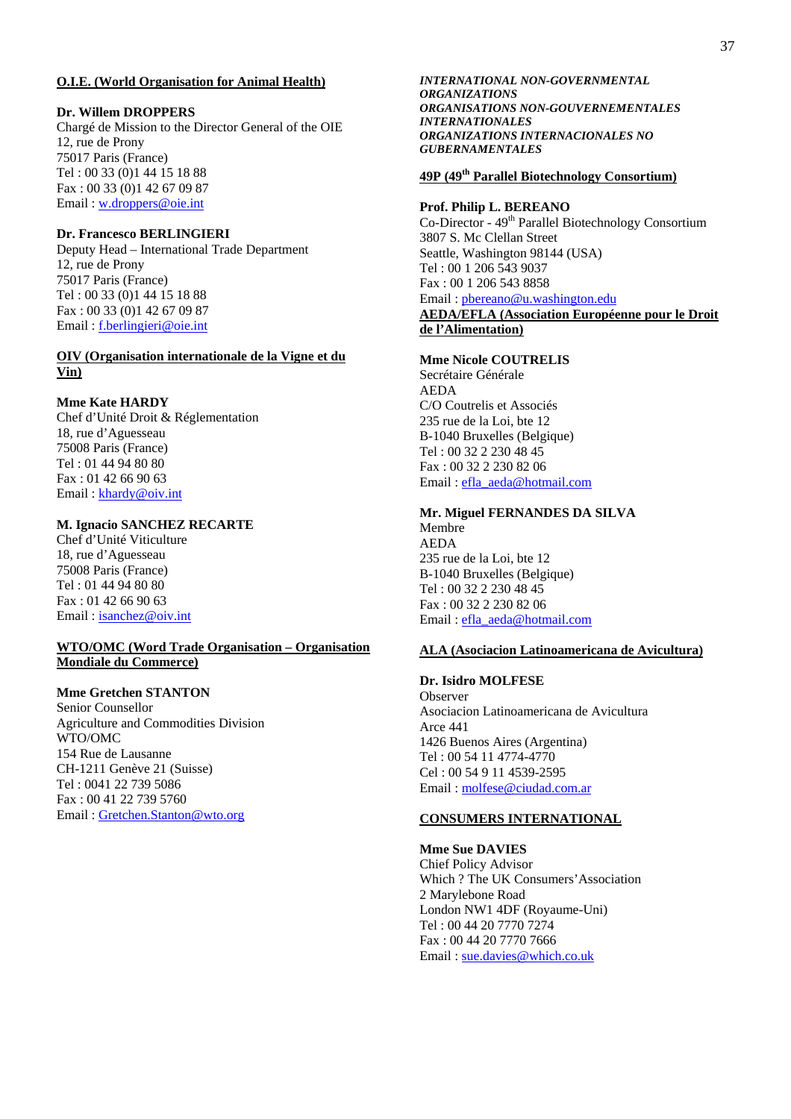#### **O.I.E. (World Organisation for Animal Health)**

#### **Dr. Willem DROPPERS**

Chargé de Mission to the Director General of the OIE 12, rue de Prony 75017 Paris (France) Tel : 00 33 (0)1 44 15 18 88 Fax : 00 33 (0)1 42 67 09 87 Email : w.droppers@oie.int

#### **Dr. Francesco BERLINGIERI**

Deputy Head – International Trade Department 12, rue de Prony 75017 Paris (France) Tel : 00 33 (0)1 44 15 18 88 Fax : 00 33 (0)1 42 67 09 87 Email : f.berlingieri@oie.int

## **OIV (Organisation internationale de la Vigne et du Vin)**

#### **Mme Kate HARDY**

Chef d'Unité Droit & Réglementation 18, rue d'Aguesseau 75008 Paris (France) Tel : 01 44 94 80 80 Fax : 01 42 66 90 63 Email : khardy@oiv.int

#### **M. Ignacio SANCHEZ RECARTE**

Chef d'Unité Viticulture 18, rue d'Aguesseau 75008 Paris (France) Tel : 01 44 94 80 80 Fax : 01 42 66 90 63 Email : isanchez@oiv.int

#### **WTO/OMC (Word Trade Organisation – Organisation Mondiale du Commerce)**

#### **Mme Gretchen STANTON**

Senior Counsellor Agriculture and Commodities Division WTO/OMC 154 Rue de Lausanne CH-1211 Genève 21 (Suisse) Tel : 0041 22 739 5086 Fax : 00 41 22 739 5760 Email : Gretchen.Stanton@wto.org

*INTERNATIONAL NON-GOVERNMENTAL ORGANIZATIONS ORGANISATIONS NON-GOUVERNEMENTALES INTERNATIONALES ORGANIZATIONS INTERNACIONALES NO GUBERNAMENTALES*

# **49P (49th Parallel Biotechnology Consortium)**

#### **Prof. Philip L. BEREANO**

Co-Director - 49<sup>th</sup> Parallel Biotechnology Consortium 3807 S. Mc Clellan Street Seattle, Washington 98144 (USA) Tel : 00 1 206 543 9037 Fax : 00 1 206 543 8858 Email : pbereano@u.washington.edu **AEDA/EFLA (Association Européenne pour le Droit de l'Alimentation)**

## **Mme Nicole COUTRELIS**

Secrétaire Générale AEDA C/O Coutrelis et Associés 235 rue de la Loi, bte 12 B-1040 Bruxelles (Belgique) Tel : 00 32 2 230 48 45 Fax : 00 32 2 230 82 06 Email : efla\_aeda@hotmail.com

## **Mr. Miguel FERNANDES DA SILVA**

Membre AEDA 235 rue de la Loi, bte 12 B-1040 Bruxelles (Belgique) Tel : 00 32 2 230 48 45 Fax : 00 32 2 230 82 06 Email : efla\_aeda@hotmail.com

#### **ALA (Asociacion Latinoamericana de Avicultura)**

## **Dr. Isidro MOLFESE**

Observer Asociacion Latinoamericana de Avicultura Arce 441 1426 Buenos Aires (Argentina) Tel : 00 54 11 4774-4770 Cel : 00 54 9 11 4539-2595 Email : molfese@ciudad.com.ar

#### **CONSUMERS INTERNATIONAL**

**Mme Sue DAVIES**  Chief Policy Advisor Which ? The UK Consumers'Association 2 Marylebone Road London NW1 4DF (Royaume-Uni) Tel : 00 44 20 7770 7274 Fax : 00 44 20 7770 7666 Email : sue.davies@which.co.uk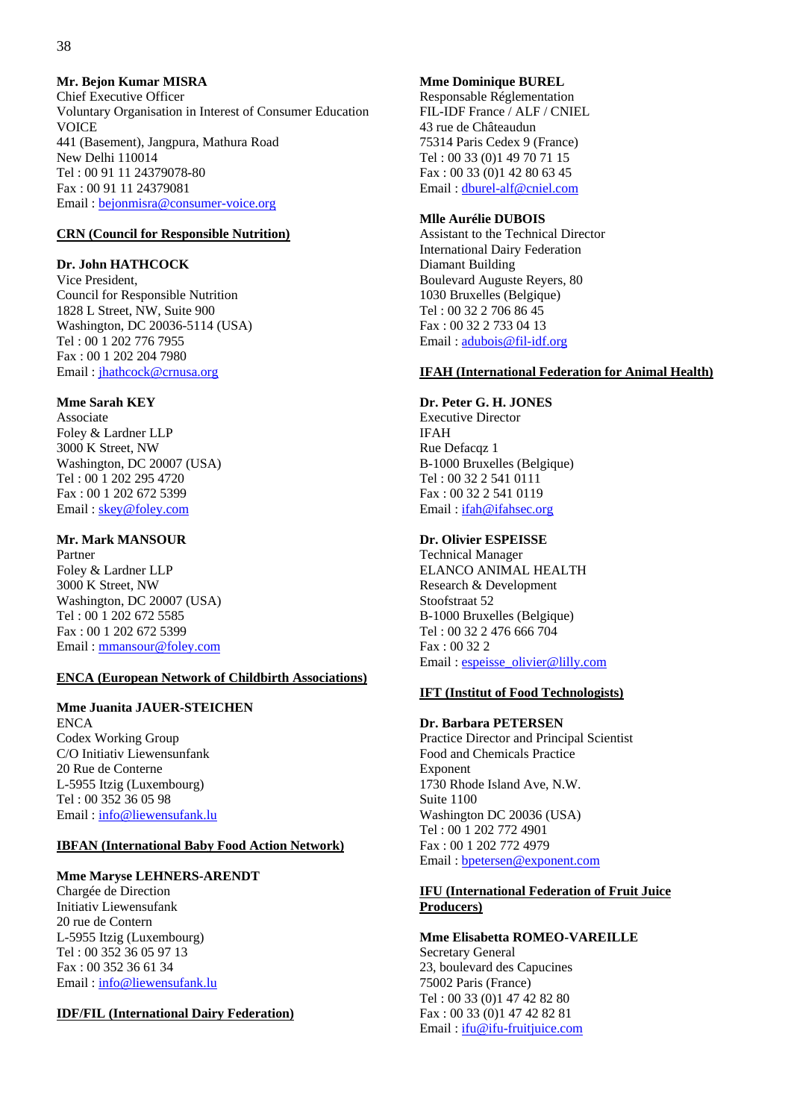## **Mr. Bejon Kumar MISRA**

Chief Executive Officer Voluntary Organisation in Interest of Consumer Education **VOICE** 441 (Basement), Jangpura, Mathura Road New Delhi 110014 Tel : 00 91 11 24379078-80 Fax : 00 91 11 24379081 Email : bejonmisra@consumer-voice.org

#### **CRN (Council for Responsible Nutrition)**

#### **Dr. John HATHCOCK**

Vice President, Council for Responsible Nutrition 1828 L Street, NW, Suite 900 Washington, DC 20036-5114 (USA) Tel : 00 1 202 776 7955 Fax : 00 1 202 204 7980 Email : jhathcock@crnusa.org

## **Mme Sarah KEY**

Associate Foley & Lardner LLP 3000 K Street, NW Washington, DC 20007 (USA) Tel : 00 1 202 295 4720 Fax : 00 1 202 672 5399 Email : skey@foley.com

## **Mr. Mark MANSOUR**

Partner Foley & Lardner LLP 3000 K Street, NW Washington, DC 20007 (USA) Tel : 00 1 202 672 5585 Fax : 00 1 202 672 5399 Email : mmansour@foley.com

## **ENCA (European Network of Childbirth Associations)**

#### **Mme Juanita JAUER-STEICHEN**

ENCA Codex Working Group C/O Initiativ Liewensunfank 20 Rue de Conterne L-5955 Itzig (Luxembourg) Tel : 00 352 36 05 98 Email : info@liewensufank.lu

## **IBFAN (International Baby Food Action Network)**

#### **Mme Maryse LEHNERS-ARENDT**

Chargée de Direction Initiativ Liewensufank 20 rue de Contern L-5955 Itzig (Luxembourg) Tel : 00 352 36 05 97 13 Fax : 00 352 36 61 34 Email : info@liewensufank.lu

#### **IDF/FIL (International Dairy Federation)**

#### **Mme Dominique BUREL**

Responsable Réglementation FIL-IDF France / ALF / CNIEL 43 rue de Châteaudun 75314 Paris Cedex 9 (France) Tel : 00 33 (0)1 49 70 71 15 Fax : 00 33 (0)1 42 80 63 45 Email : dburel-alf@cniel.com

#### **Mlle Aurélie DUBOIS**

Assistant to the Technical Director International Dairy Federation Diamant Building Boulevard Auguste Reyers, 80 1030 Bruxelles (Belgique) Tel : 00 32 2 706 86 45 Fax : 00 32 2 733 04 13 Email : adubois@fil-idf.org

#### **IFAH (International Federation for Animal Health)**

## **Dr. Peter G. H. JONES**

Executive Director IFAH Rue Defacqz 1 B-1000 Bruxelles (Belgique) Tel : 00 32 2 541 0111 Fax : 00 32 2 541 0119 Email : ifah@ifahsec.org

#### **Dr. Olivier ESPEISSE**

Technical Manager ELANCO ANIMAL HEALTH Research & Development Stoofstraat 52 B-1000 Bruxelles (Belgique) Tel : 00 32 2 476 666 704 Fax : 00 32 2 Email : espeisse\_olivier@lilly.com

## **IFT (Institut of Food Technologists)**

#### **Dr. Barbara PETERSEN**

Practice Director and Principal Scientist Food and Chemicals Practice Exponent 1730 Rhode Island Ave, N.W. Suite 1100 Washington DC 20036 (USA) Tel : 00 1 202 772 4901 Fax : 00 1 202 772 4979 Email : bpetersen@exponent.com

#### **IFU (International Federation of Fruit Juice Producers)**

#### **Mme Elisabetta ROMEO-VAREILLE**  Secretary General

23, boulevard des Capucines 75002 Paris (France) Tel : 00 33 (0)1 47 42 82 80 Fax : 00 33 (0)1 47 42 82 81 Email : ifu@ifu-fruitjuice.com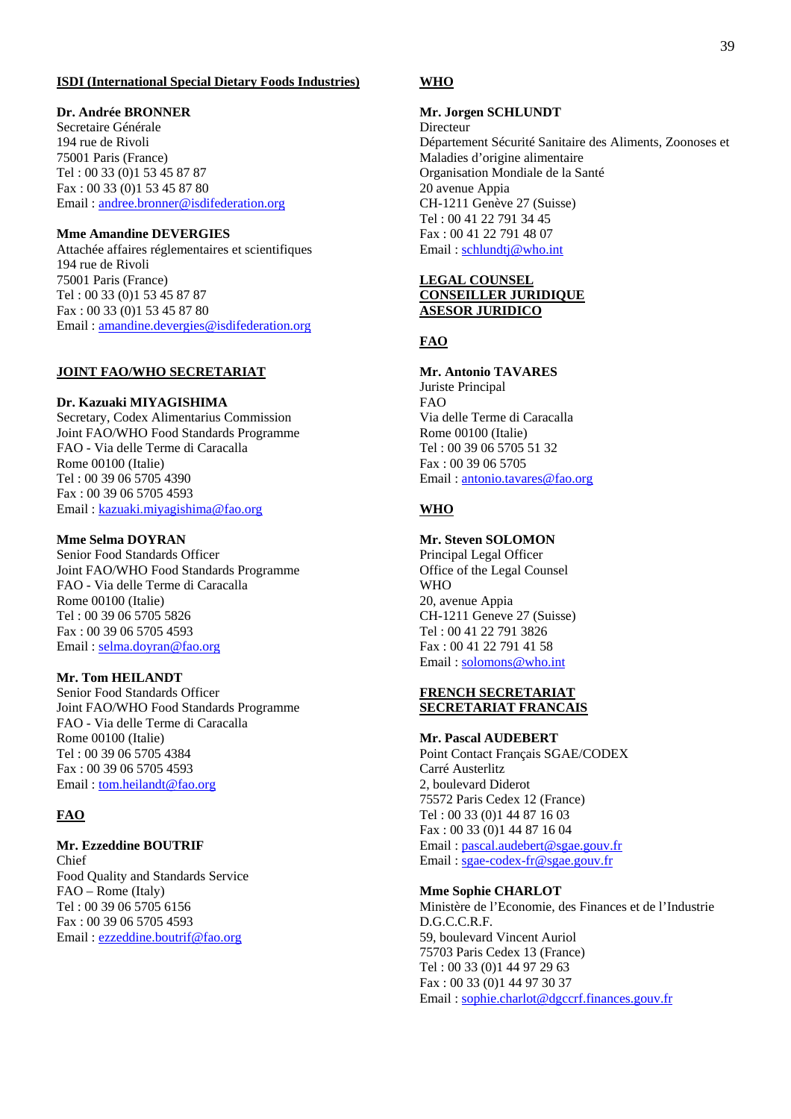#### **ISDI (International Special Dietary Foods Industries)**

#### **Dr. Andrée BRONNER**

Secretaire Générale 194 rue de Rivoli 75001 Paris (France) Tel : 00 33 (0)1 53 45 87 87 Fax : 00 33 (0)1 53 45 87 80 Email : andree.bronner@isdifederation.org

#### **Mme Amandine DEVERGIES**

Attachée affaires réglementaires et scientifiques 194 rue de Rivoli 75001 Paris (France) Tel : 00 33 (0)1 53 45 87 87 Fax : 00 33 (0)1 53 45 87 80 Email : amandine.devergies@isdifederation.org

#### **JOINT FAO/WHO SECRETARIAT**

#### **Dr. Kazuaki MIYAGISHIMA**

Secretary, Codex Alimentarius Commission Joint FAO/WHO Food Standards Programme FAO - Via delle Terme di Caracalla Rome 00100 (Italie) Tel : 00 39 06 5705 4390 Fax : 00 39 06 5705 4593 Email : kazuaki.miyagishima@fao.org

#### **Mme Selma DOYRAN**

Senior Food Standards Officer Joint FAO/WHO Food Standards Programme FAO - Via delle Terme di Caracalla Rome 00100 (Italie) Tel : 00 39 06 5705 5826 Fax : 00 39 06 5705 4593 Email : selma.doyran@fao.org

## **Mr. Tom HEILANDT**

Senior Food Standards Officer Joint FAO/WHO Food Standards Programme FAO - Via delle Terme di Caracalla Rome 00100 (Italie) Tel : 00 39 06 5705 4384 Fax : 00 39 06 5705 4593 Email : tom.heilandt@fao.org

# **FAO**

#### **Mr. Ezzeddine BOUTRIF**

Chief Food Quality and Standards Service FAO – Rome (Italy) Tel : 00 39 06 5705 6156 Fax : 00 39 06 5705 4593 Email : ezzeddine.boutrif@fao.org

# **WHO**

#### **Mr. Jorgen SCHLUNDT**

Directeur Département Sécurité Sanitaire des Aliments, Zoonoses et Maladies d'origine alimentaire Organisation Mondiale de la Santé 20 avenue Appia CH-1211 Genève 27 (Suisse) Tel : 00 41 22 791 34 45 Fax : 00 41 22 791 48 07 Email : schlundtj@who.int

#### **LEGAL COUNSEL CONSEILLER JURIDIQUE ASESOR JURIDICO**

# **FAO**

**Mr. Antonio TAVARES**  Juriste Principal FAO Via delle Terme di Caracalla Rome 00100 (Italie) Tel : 00 39 06 5705 51 32 Fax : 00 39 06 5705 Email : antonio.tavares@fao.org

## **WHO**

#### **Mr. Steven SOLOMON**

Principal Legal Officer Office of the Legal Counsel WHO 20, avenue Appia CH-1211 Geneve 27 (Suisse) Tel : 00 41 22 791 3826 Fax : 00 41 22 791 41 58 Email : solomons@who.int

#### **FRENCH SECRETARIAT SECRETARIAT FRANCAIS**

#### **Mr. Pascal AUDEBERT**

Point Contact Français SGAE/CODEX Carré Austerlitz 2, boulevard Diderot 75572 Paris Cedex 12 (France) Tel : 00 33 (0)1 44 87 16 03 Fax : 00 33 (0)1 44 87 16 04 Email : pascal.audebert@sgae.gouv.fr Email : sgae-codex-fr@sgae.gouv.fr

#### **Mme Sophie CHARLOT**

Ministère de l'Economie, des Finances et de l'Industrie D.G.C.C.R.F. 59, boulevard Vincent Auriol 75703 Paris Cedex 13 (France) Tel : 00 33 (0)1 44 97 29 63 Fax : 00 33 (0)1 44 97 30 37 Email : sophie.charlot@dgccrf.finances.gouv.fr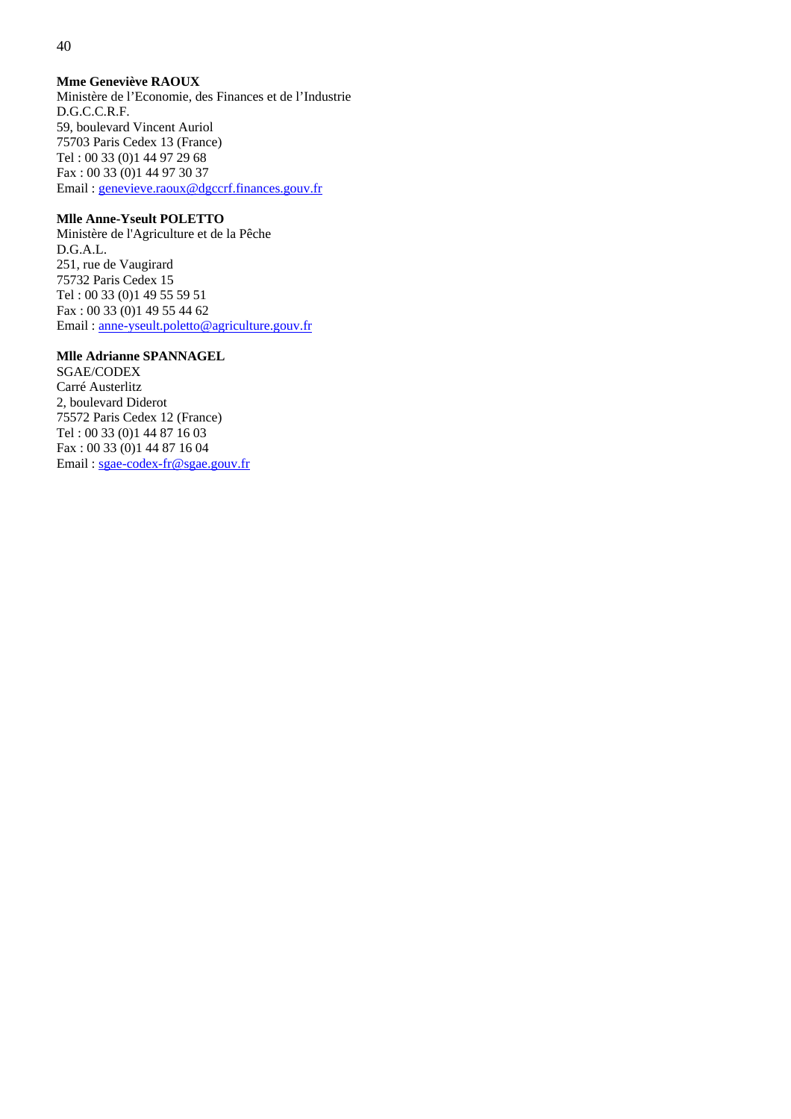# **Mme Geneviève RAOUX**

Ministère de l'Economie, des Finances et de l'Industrie D.G.C.C.R.F. 59, boulevard Vincent Auriol 75703 Paris Cedex 13 (France) Tel : 00 33 (0)1 44 97 29 68 Fax : 00 33 (0)1 44 97 30 37 Email : genevieve.raoux@dgccrf.finances.gouv.fr

# **Mlle Anne-Yseult POLETTO**

Ministère de l'Agriculture et de la Pêche D.G.A.L. 251, rue de Vaugirard 75732 Paris Cedex 15 Tel : 00 33 (0)1 49 55 59 51 Fax : 00 33 (0)1 49 55 44 62 Email : anne-yseult.poletto@agriculture.gouv.fr

# **Mlle Adrianne SPANNAGEL**

SGAE/CODEX Carré Austerlitz 2, boulevard Diderot 75572 Paris Cedex 12 (France) Tel : 00 33 (0)1 44 87 16 03 Fax : 00 33 (0)1 44 87 16 04 Email : sgae-codex-fr@sgae.gouv.fr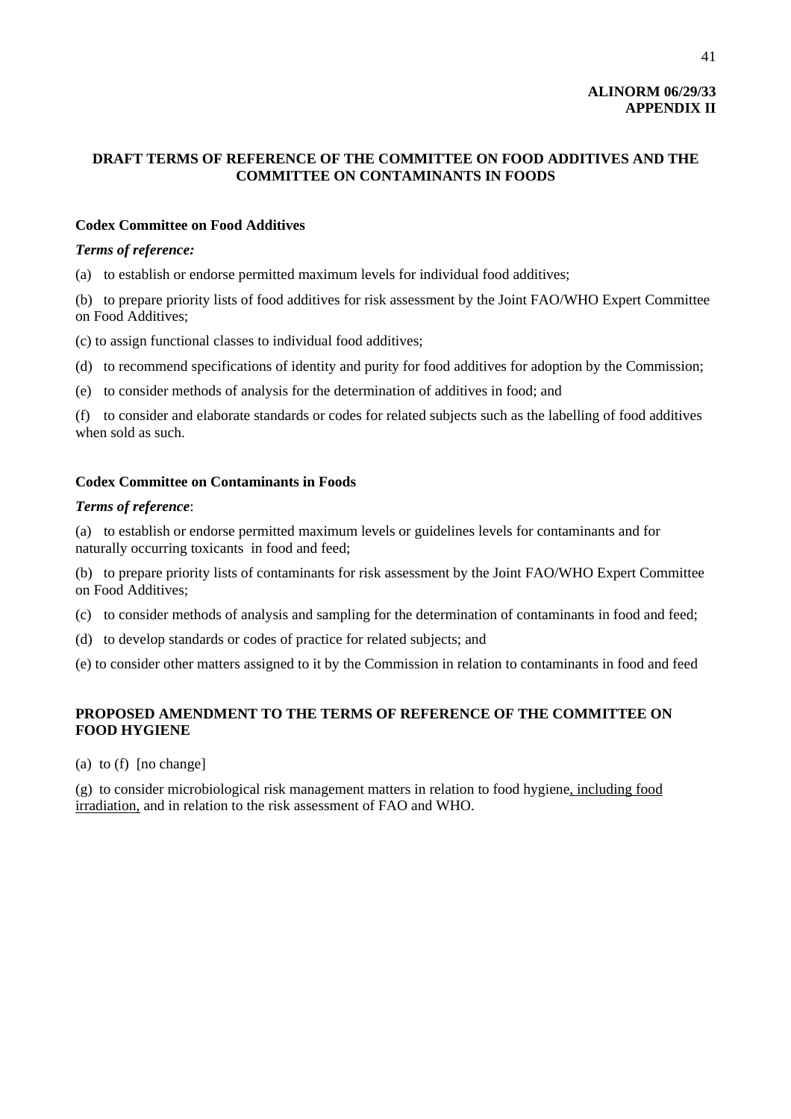# **ALINORM 06/29/33 APPENDIX II**

# **DRAFT TERMS OF REFERENCE OF THE COMMITTEE ON FOOD ADDITIVES AND THE COMMITTEE ON CONTAMINANTS IN FOODS**

# **Codex Committee on Food Additives**

## *Terms of reference:*

(a) to establish or endorse permitted maximum levels for individual food additives;

(b) to prepare priority lists of food additives for risk assessment by the Joint FAO/WHO Expert Committee on Food Additives;

(c) to assign functional classes to individual food additives;

- (d) to recommend specifications of identity and purity for food additives for adoption by the Commission;
- (e) to consider methods of analysis for the determination of additives in food; and

(f) to consider and elaborate standards or codes for related subjects such as the labelling of food additives when sold as such.

# **Codex Committee on Contaminants in Foods**

# *Terms of reference*:

(a) to establish or endorse permitted maximum levels or guidelines levels for contaminants and for naturally occurring toxicants in food and feed;

(b) to prepare priority lists of contaminants for risk assessment by the Joint FAO/WHO Expert Committee on Food Additives;

- (c) to consider methods of analysis and sampling for the determination of contaminants in food and feed;
- (d) to develop standards or codes of practice for related subjects; and
- (e) to consider other matters assigned to it by the Commission in relation to contaminants in food and feed

# **PROPOSED AMENDMENT TO THE TERMS OF REFERENCE OF THE COMMITTEE ON FOOD HYGIENE**

(a) to (f) [no change]

(g) to consider microbiological risk management matters in relation to food hygiene, including food irradiation, and in relation to the risk assessment of FAO and WHO.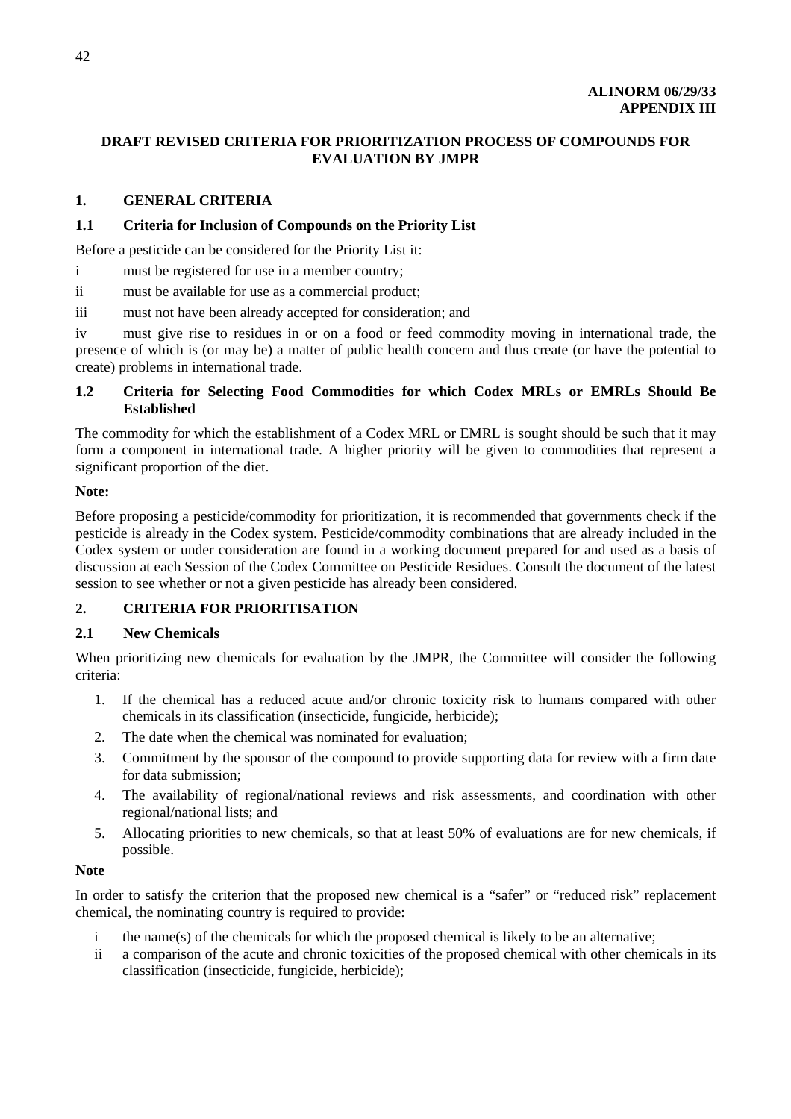# **DRAFT REVISED CRITERIA FOR PRIORITIZATION PROCESS OF COMPOUNDS FOR EVALUATION BY JMPR**

# **1. GENERAL CRITERIA**

# **1.1 Criteria for Inclusion of Compounds on the Priority List**

Before a pesticide can be considered for the Priority List it:

i must be registered for use in a member country;

ii must be available for use as a commercial product;

iii must not have been already accepted for consideration; and

iv must give rise to residues in or on a food or feed commodity moving in international trade, the presence of which is (or may be) a matter of public health concern and thus create (or have the potential to create) problems in international trade.

# **1.2 Criteria for Selecting Food Commodities for which Codex MRLs or EMRLs Should Be Established**

The commodity for which the establishment of a Codex MRL or EMRL is sought should be such that it may form a component in international trade. A higher priority will be given to commodities that represent a significant proportion of the diet.

# **Note:**

Before proposing a pesticide/commodity for prioritization, it is recommended that governments check if the pesticide is already in the Codex system. Pesticide/commodity combinations that are already included in the Codex system or under consideration are found in a working document prepared for and used as a basis of discussion at each Session of the Codex Committee on Pesticide Residues. Consult the document of the latest session to see whether or not a given pesticide has already been considered.

# **2. CRITERIA FOR PRIORITISATION**

# **2.1 New Chemicals**

When prioritizing new chemicals for evaluation by the JMPR, the Committee will consider the following criteria:

- 1. If the chemical has a reduced acute and/or chronic toxicity risk to humans compared with other chemicals in its classification (insecticide, fungicide, herbicide);
- 2. The date when the chemical was nominated for evaluation;
- 3. Commitment by the sponsor of the compound to provide supporting data for review with a firm date for data submission;
- 4. The availability of regional/national reviews and risk assessments, and coordination with other regional/national lists; and
- 5. Allocating priorities to new chemicals, so that at least 50% of evaluations are for new chemicals, if possible.

# **Note**

In order to satisfy the criterion that the proposed new chemical is a "safer" or "reduced risk" replacement chemical, the nominating country is required to provide:

- i the name(s) of the chemicals for which the proposed chemical is likely to be an alternative;
- ii a comparison of the acute and chronic toxicities of the proposed chemical with other chemicals in its classification (insecticide, fungicide, herbicide);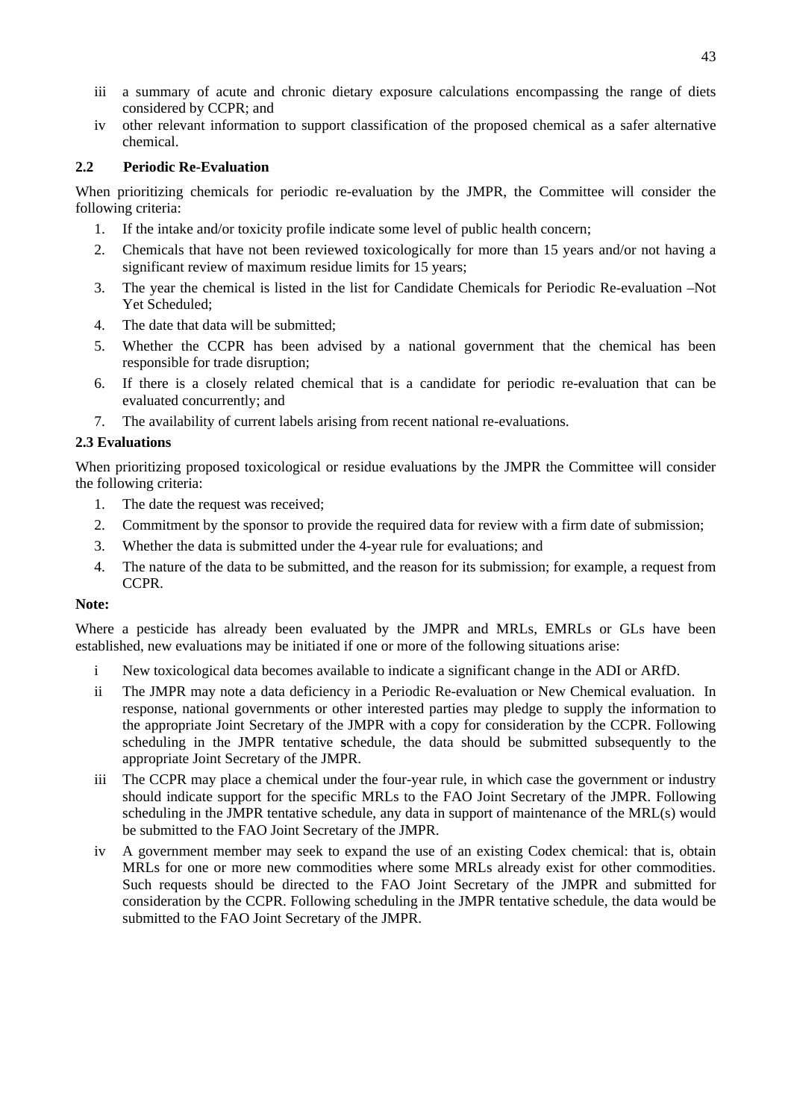- iii a summary of acute and chronic dietary exposure calculations encompassing the range of diets considered by CCPR; and
- iv other relevant information to support classification of the proposed chemical as a safer alternative chemical.

# **2.2 Periodic Re-Evaluation**

When prioritizing chemicals for periodic re-evaluation by the JMPR, the Committee will consider the following criteria:

- 1. If the intake and/or toxicity profile indicate some level of public health concern;
- 2. Chemicals that have not been reviewed toxicologically for more than 15 years and/or not having a significant review of maximum residue limits for 15 years;
- 3. The year the chemical is listed in the list for Candidate Chemicals for Periodic Re-evaluation –Not Yet Scheduled;
- 4. The date that data will be submitted;
- 5. Whether the CCPR has been advised by a national government that the chemical has been responsible for trade disruption;
- 6. If there is a closely related chemical that is a candidate for periodic re-evaluation that can be evaluated concurrently; and
- 7. The availability of current labels arising from recent national re-evaluations.

# **2.3 Evaluations**

When prioritizing proposed toxicological or residue evaluations by the JMPR the Committee will consider the following criteria:

- 1. The date the request was received;
- 2. Commitment by the sponsor to provide the required data for review with a firm date of submission;
- 3. Whether the data is submitted under the 4-year rule for evaluations; and
- 4. The nature of the data to be submitted, and the reason for its submission; for example, a request from CCPR.

# **Note:**

Where a pesticide has already been evaluated by the JMPR and MRLs, EMRLs or GLs have been established, new evaluations may be initiated if one or more of the following situations arise:

- i New toxicological data becomes available to indicate a significant change in the ADI or ARfD.
- ii The JMPR may note a data deficiency in a Periodic Re-evaluation or New Chemical evaluation. In response, national governments or other interested parties may pledge to supply the information to the appropriate Joint Secretary of the JMPR with a copy for consideration by the CCPR. Following scheduling in the JMPR tentative **s**chedule, the data should be submitted subsequently to the appropriate Joint Secretary of the JMPR.
- iii The CCPR may place a chemical under the four-year rule, in which case the government or industry should indicate support for the specific MRLs to the FAO Joint Secretary of the JMPR. Following scheduling in the JMPR tentative schedule, any data in support of maintenance of the MRL(s) would be submitted to the FAO Joint Secretary of the JMPR.
- iv A government member may seek to expand the use of an existing Codex chemical: that is, obtain MRLs for one or more new commodities where some MRLs already exist for other commodities. Such requests should be directed to the FAO Joint Secretary of the JMPR and submitted for consideration by the CCPR. Following scheduling in the JMPR tentative schedule, the data would be submitted to the FAO Joint Secretary of the JMPR.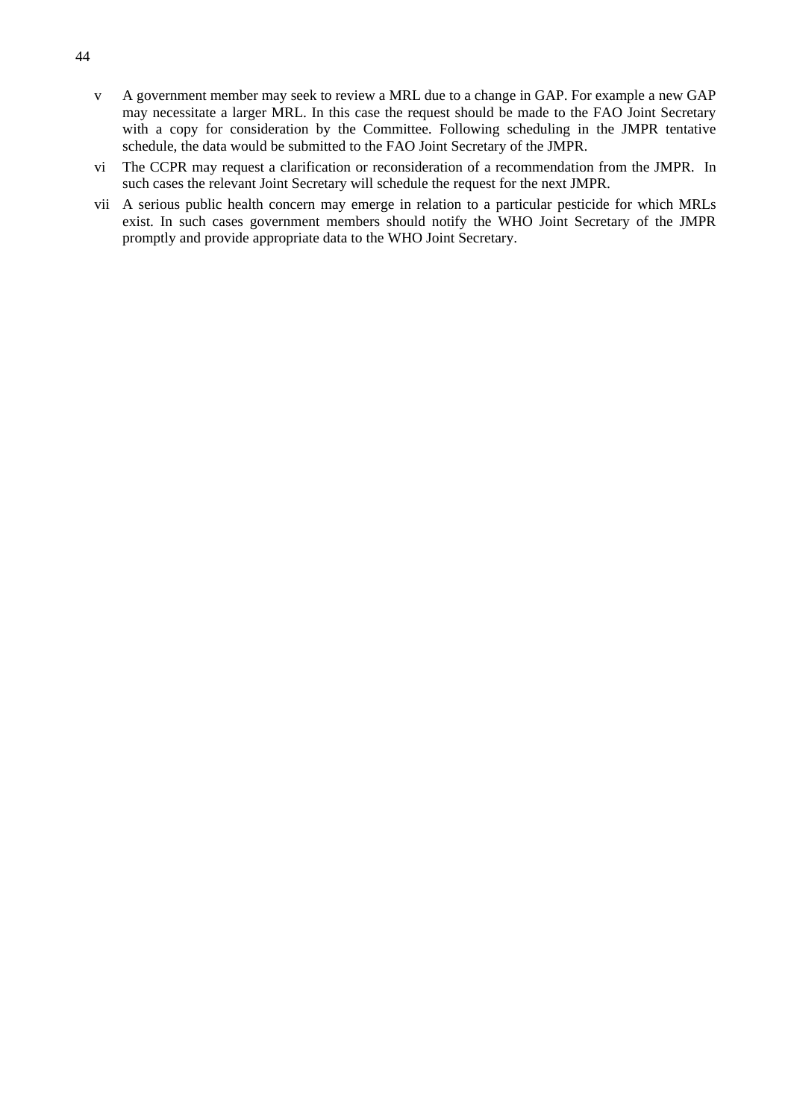- v A government member may seek to review a MRL due to a change in GAP. For example a new GAP may necessitate a larger MRL. In this case the request should be made to the FAO Joint Secretary with a copy for consideration by the Committee. Following scheduling in the JMPR tentative schedule, the data would be submitted to the FAO Joint Secretary of the JMPR.
- vi The CCPR may request a clarification or reconsideration of a recommendation from the JMPR. In such cases the relevant Joint Secretary will schedule the request for the next JMPR.
- vii A serious public health concern may emerge in relation to a particular pesticide for which MRLs exist. In such cases government members should notify the WHO Joint Secretary of the JMPR promptly and provide appropriate data to the WHO Joint Secretary.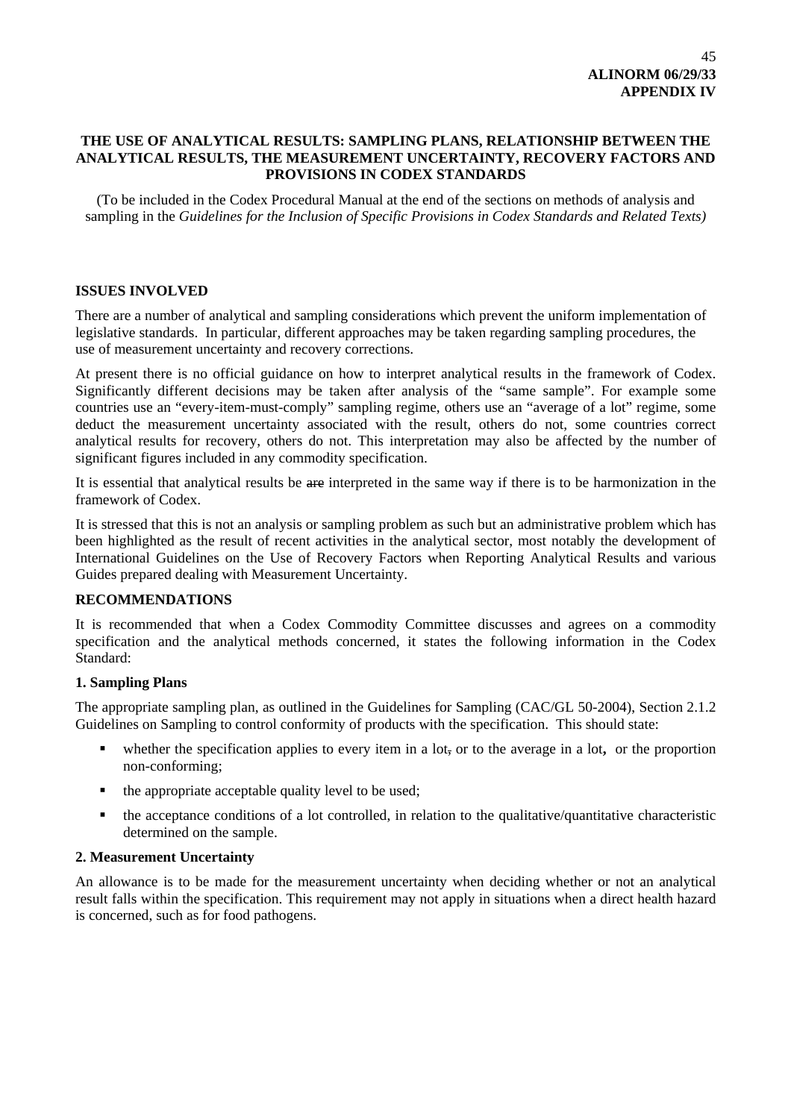# **THE USE OF ANALYTICAL RESULTS: SAMPLING PLANS, RELATIONSHIP BETWEEN THE ANALYTICAL RESULTS, THE MEASUREMENT UNCERTAINTY, RECOVERY FACTORS AND PROVISIONS IN CODEX STANDARDS**

(To be included in the Codex Procedural Manual at the end of the sections on methods of analysis and sampling in the *Guidelines for the Inclusion of Specific Provisions in Codex Standards and Related Texts)* 

# **ISSUES INVOLVED**

There are a number of analytical and sampling considerations which prevent the uniform implementation of legislative standards. In particular, different approaches may be taken regarding sampling procedures, the use of measurement uncertainty and recovery corrections.

At present there is no official guidance on how to interpret analytical results in the framework of Codex. Significantly different decisions may be taken after analysis of the "same sample". For example some countries use an "every-item-must-comply" sampling regime, others use an "average of a lot" regime, some deduct the measurement uncertainty associated with the result, others do not, some countries correct analytical results for recovery, others do not. This interpretation may also be affected by the number of significant figures included in any commodity specification.

It is essential that analytical results be are interpreted in the same way if there is to be harmonization in the framework of Codex.

It is stressed that this is not an analysis or sampling problem as such but an administrative problem which has been highlighted as the result of recent activities in the analytical sector, most notably the development of International Guidelines on the Use of Recovery Factors when Reporting Analytical Results and various Guides prepared dealing with Measurement Uncertainty.

# **RECOMMENDATIONS**

It is recommended that when a Codex Commodity Committee discusses and agrees on a commodity specification and the analytical methods concerned, it states the following information in the Codex Standard:

# **1. Sampling Plans**

The appropriate sampling plan, as outlined in the Guidelines for Sampling (CAC/GL 50-2004), Section 2.1.2 Guidelines on Sampling to control conformity of products with the specification. This should state:

- whether the specification applies to every item in a lot, or to the average in a lot**,** or the proportion non-conforming;
- $\blacksquare$  the appropriate acceptable quality level to be used;
- $\bullet$  the acceptance conditions of a lot controlled, in relation to the qualitative/quantitative characteristic determined on the sample.

# **2. Measurement Uncertainty**

An allowance is to be made for the measurement uncertainty when deciding whether or not an analytical result falls within the specification. This requirement may not apply in situations when a direct health hazard is concerned, such as for food pathogens.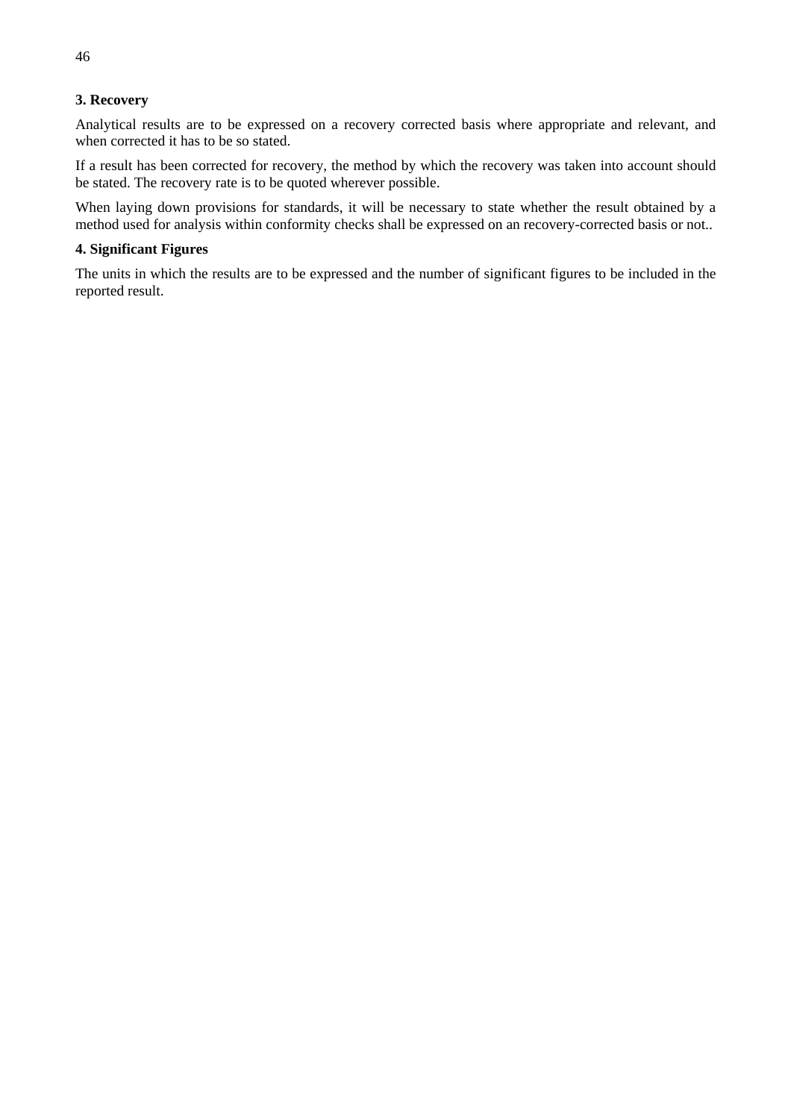# **3. Recovery**

Analytical results are to be expressed on a recovery corrected basis where appropriate and relevant, and when corrected it has to be so stated.

If a result has been corrected for recovery, the method by which the recovery was taken into account should be stated. The recovery rate is to be quoted wherever possible.

When laying down provisions for standards, it will be necessary to state whether the result obtained by a method used for analysis within conformity checks shall be expressed on an recovery-corrected basis or not..

## **4. Significant Figures**

The units in which the results are to be expressed and the number of significant figures to be included in the reported result.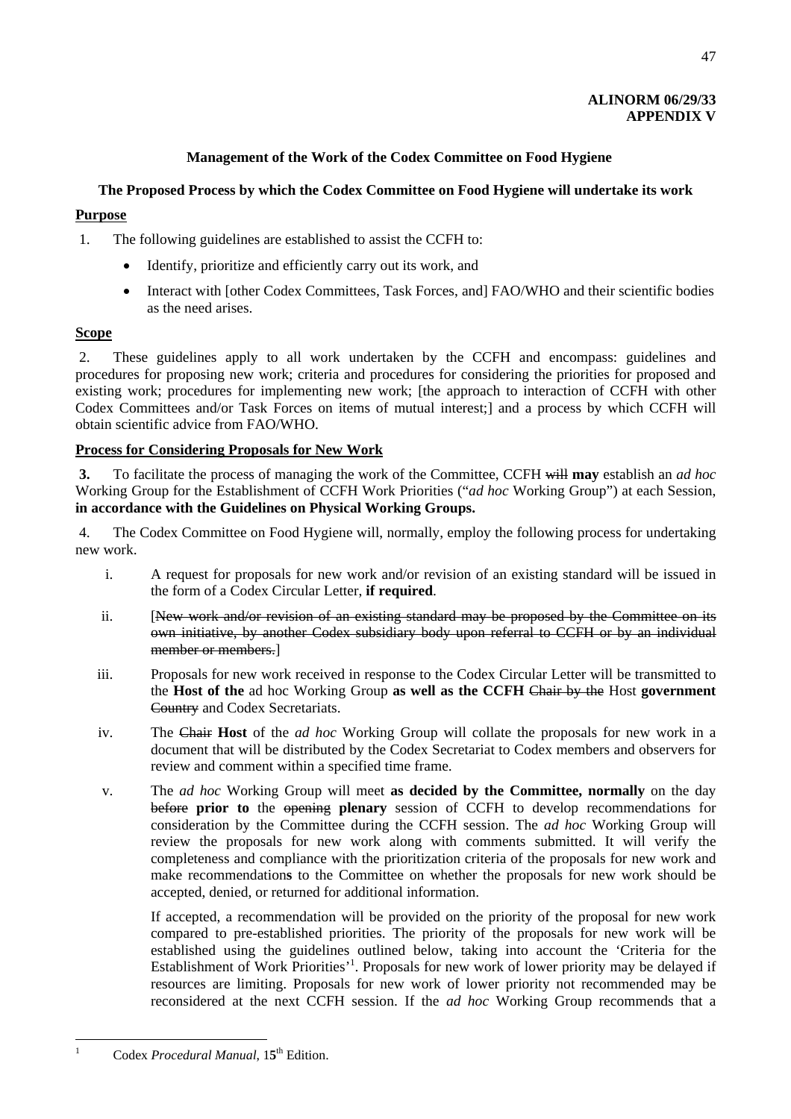# **ALINORM 06/29/33 APPENDIX V**

# **Management of the Work of the Codex Committee on Food Hygiene**

# **The Proposed Process by which the Codex Committee on Food Hygiene will undertake its work**

# **Purpose**

- 1. The following guidelines are established to assist the CCFH to:
	- Identify, prioritize and efficiently carry out its work, and
	- Interact with [other Codex Committees, Task Forces, and] FAO/WHO and their scientific bodies as the need arises.

# **Scope**

2. These guidelines apply to all work undertaken by the CCFH and encompass: guidelines and procedures for proposing new work; criteria and procedures for considering the priorities for proposed and existing work; procedures for implementing new work; [the approach to interaction of CCFH with other Codex Committees and/or Task Forces on items of mutual interest;] and a process by which CCFH will obtain scientific advice from FAO/WHO.

# **Process for Considering Proposals for New Work**

**3.** To facilitate the process of managing the work of the Committee, CCFH will **may** establish an *ad hoc* Working Group for the Establishment of CCFH Work Priorities ("*ad hoc* Working Group") at each Session, **in accordance with the Guidelines on Physical Working Groups.** 

4. The Codex Committee on Food Hygiene will, normally, employ the following process for undertaking new work.

- i. A request for proposals for new work and/or revision of an existing standard will be issued in the form of a Codex Circular Letter, **if required**.
- ii. [New work and/or revision of an existing standard may be proposed by the Committee on its own initiative, by another Codex subsidiary body upon referral to CCFH or by an individual member or members.]
- iii. Proposals for new work received in response to the Codex Circular Letter will be transmitted to the **Host of the** ad hoc Working Group **as well as the CCFH** Chair by the Host **government** Country and Codex Secretariats.
- iv. The Chair **Host** of the *ad hoc* Working Group will collate the proposals for new work in a document that will be distributed by the Codex Secretariat to Codex members and observers for review and comment within a specified time frame.
- v. The *ad hoc* Working Group will meet **as decided by the Committee, normally** on the day before **prior to** the opening **plenary** session of CCFH to develop recommendations for consideration by the Committee during the CCFH session. The *ad hoc* Working Group will review the proposals for new work along with comments submitted. It will verify the completeness and compliance with the prioritization criteria of the proposals for new work and make recommendation**s** to the Committee on whether the proposals for new work should be accepted, denied, or returned for additional information.

If accepted, a recommendation will be provided on the priority of the proposal for new work compared to pre-established priorities. The priority of the proposals for new work will be established using the guidelines outlined below, taking into account the 'Criteria for the Establishment of Work Priorities'<sup>1</sup>. Proposals for new work of lower priority may be delayed if resources are limiting. Proposals for new work of lower priority not recommended may be reconsidered at the next CCFH session. If the *ad hoc* Working Group recommends that a

 $\frac{1}{1}$ 

Codex *Procedural Manual*, 1**5**th Edition.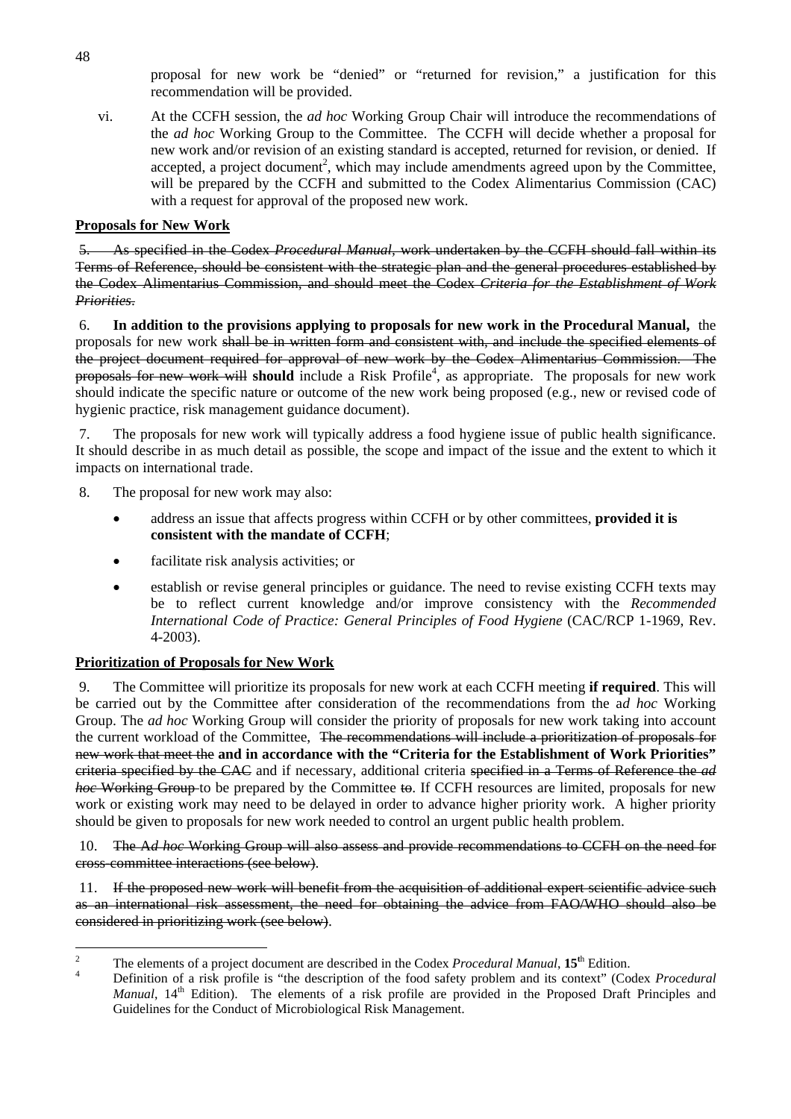proposal for new work be "denied" or "returned for revision," a justification for this recommendation will be provided.

vi. At the CCFH session, the *ad hoc* Working Group Chair will introduce the recommendations of the *ad hoc* Working Group to the Committee. The CCFH will decide whether a proposal for new work and/or revision of an existing standard is accepted, returned for revision, or denied. If accepted, a project document<sup>2</sup>, which may include amendments agreed upon by the Committee, will be prepared by the CCFH and submitted to the Codex Alimentarius Commission (CAC) with a request for approval of the proposed new work.

# **Proposals for New Work**

5. As specified in the Codex *Procedural Manual,* work undertaken by the CCFH should fall within its Terms of Reference, should be consistent with the strategic plan and the general procedures established by the Codex Alimentarius Commission, and should meet the Codex *Criteria for the Establishment of Work Priorities*.

6. **In addition to the provisions applying to proposals for new work in the Procedural Manual,** the proposals for new work shall be in written form and consistent with, and include the specified elements of the project document required for approval of new work by the Codex Alimentarius Commission. The proposals for new work will should include a Risk Profile<sup>4</sup>, as appropriate. The proposals for new work should indicate the specific nature or outcome of the new work being proposed (e.g., new or revised code of hygienic practice, risk management guidance document).

7. The proposals for new work will typically address a food hygiene issue of public health significance. It should describe in as much detail as possible, the scope and impact of the issue and the extent to which it impacts on international trade.

- 8. The proposal for new work may also:
	- address an issue that affects progress within CCFH or by other committees, **provided it is consistent with the mandate of CCFH**;
	- facilitate risk analysis activities; or
	- establish or revise general principles or guidance. The need to revise existing CCFH texts may be to reflect current knowledge and/or improve consistency with the *Recommended International Code of Practice: General Principles of Food Hygiene* (CAC/RCP 1-1969, Rev. 4-2003).

# **Prioritization of Proposals for New Work**

9. The Committee will prioritize its proposals for new work at each CCFH meeting **if required**. This will be carried out by the Committee after consideration of the recommendations from the a*d hoc* Working Group. The *ad hoc* Working Group will consider the priority of proposals for new work taking into account the current workload of the Committee, The recommendations will include a prioritization of proposals for new work that meet the **and in accordance with the "Criteria for the Establishment of Work Priorities"** criteria specified by the CAC and if necessary, additional criteria specified in a Terms of Reference the *ad hoc* Working Group to be prepared by the Committee to. If CCFH resources are limited, proposals for new work or existing work may need to be delayed in order to advance higher priority work. A higher priority should be given to proposals for new work needed to control an urgent public health problem.

10. The A*d hoc* Working Group will also assess and provide recommendations to CCFH on the need for cross-committee interactions (see below).

11. If the proposed new work will benefit from the acquisition of additional expert scientific advice such as an international risk assessment, the need for obtaining the advice from FAO/WHO should also be considered in prioritizing work (see below).

48

 $\frac{1}{2}$ The elements of a project document are described in the Codex *Procedural Manual*,  $15^{\text{th}}$  Edition.

Definition of a risk profile is "the description of the food safety problem and its context" (Codex *Procedural Manual*, 14<sup>th</sup> Edition). The elements of a risk profile are provided in the Proposed Draft Principles and Guidelines for the Conduct of Microbiological Risk Management.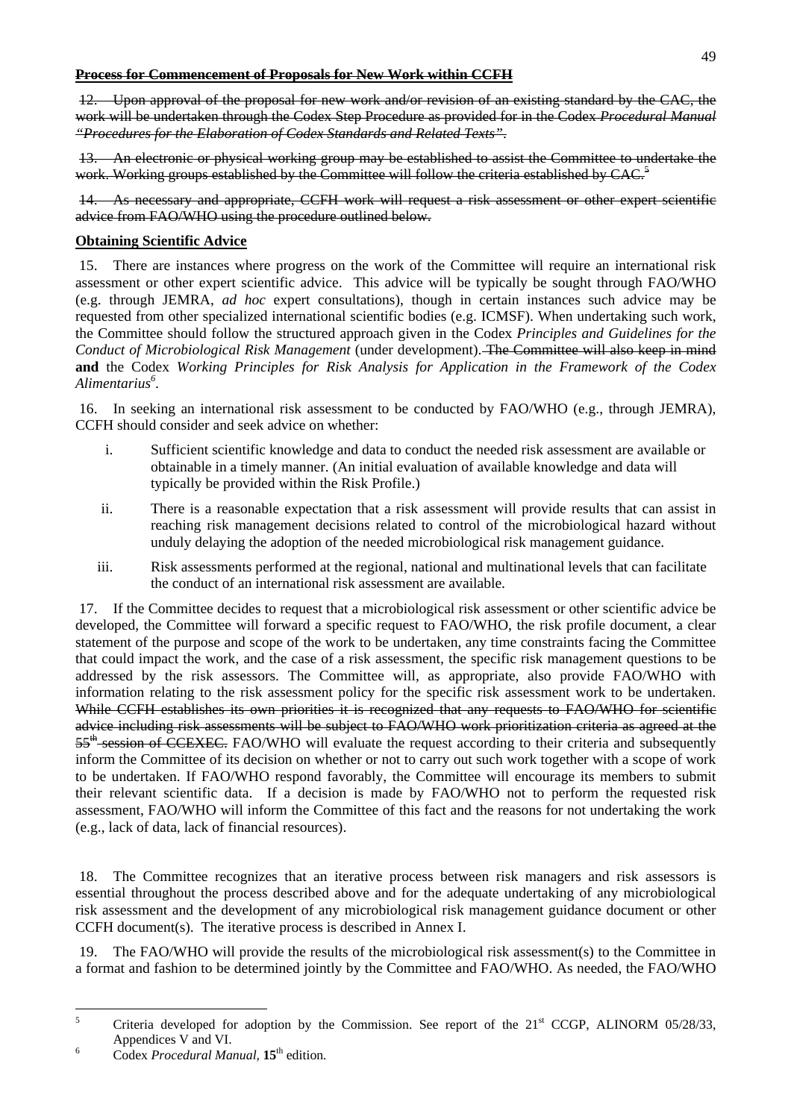# **Process for Commencement of Proposals for New Work within CCFH**

12. Upon approval of the proposal for new work and/or revision of an existing standard by the CAC, the work will be undertaken through the Codex Step Procedure as provided for in the Codex *Procedural Manual "Procedures for the Elaboration of Codex Standards and Related Texts"*.

13. An electronic or physical working group may be established to assist the Committee to undertake the work. Working groups established by the Committee will follow the criteria established by CAC.<sup>5</sup>

14. As necessary and appropriate, CCFH work will request a risk assessment or other expert scientific advice from FAO/WHO using the procedure outlined below.

# **Obtaining Scientific Advice**

15. There are instances where progress on the work of the Committee will require an international risk assessment or other expert scientific advice. This advice will be typically be sought through FAO/WHO (e.g. through JEMRA, *ad hoc* expert consultations), though in certain instances such advice may be requested from other specialized international scientific bodies (e.g. ICMSF). When undertaking such work, the Committee should follow the structured approach given in the Codex *Principles and Guidelines for the Conduct of Microbiological Risk Management* (under development). The Committee will also keep in mind **and** the Codex *Working Principles for Risk Analysis for Application in the Framework of the Codex Alimentarius6 .*

16. In seeking an international risk assessment to be conducted by FAO/WHO (e.g., through JEMRA), CCFH should consider and seek advice on whether:

- i. Sufficient scientific knowledge and data to conduct the needed risk assessment are available or obtainable in a timely manner. (An initial evaluation of available knowledge and data will typically be provided within the Risk Profile.)
- ii. There is a reasonable expectation that a risk assessment will provide results that can assist in reaching risk management decisions related to control of the microbiological hazard without unduly delaying the adoption of the needed microbiological risk management guidance.
- iii. Risk assessments performed at the regional, national and multinational levels that can facilitate the conduct of an international risk assessment are available.

17. If the Committee decides to request that a microbiological risk assessment or other scientific advice be developed, the Committee will forward a specific request to FAO/WHO, the risk profile document, a clear statement of the purpose and scope of the work to be undertaken, any time constraints facing the Committee that could impact the work, and the case of a risk assessment, the specific risk management questions to be addressed by the risk assessors. The Committee will, as appropriate, also provide FAO/WHO with information relating to the risk assessment policy for the specific risk assessment work to be undertaken. While CCFH establishes its own priorities it is recognized that any requests to FAO/WHO for scientific advice including risk assessments will be subject to FAO/WHO work prioritization criteria as agreed at the 55<sup>th</sup> session of CCEXEC. FAO/WHO will evaluate the request according to their criteria and subsequently inform the Committee of its decision on whether or not to carry out such work together with a scope of work to be undertaken. If FAO/WHO respond favorably, the Committee will encourage its members to submit their relevant scientific data. If a decision is made by FAO/WHO not to perform the requested risk assessment, FAO/WHO will inform the Committee of this fact and the reasons for not undertaking the work (e.g., lack of data, lack of financial resources).

18. The Committee recognizes that an iterative process between risk managers and risk assessors is essential throughout the process described above and for the adequate undertaking of any microbiological risk assessment and the development of any microbiological risk management guidance document or other CCFH document(s). The iterative process is described in Annex I.

19. The FAO/WHO will provide the results of the microbiological risk assessment(s) to the Committee in a format and fashion to be determined jointly by the Committee and FAO/WHO. As needed, the FAO/WHO

 5 Criteria developed for adoption by the Commission. See report of the  $21<sup>st</sup> CCGP$ , ALINORM 05/28/33, Appendices V and VI.

Codex *Procedural Manual,* **15**th edition*.*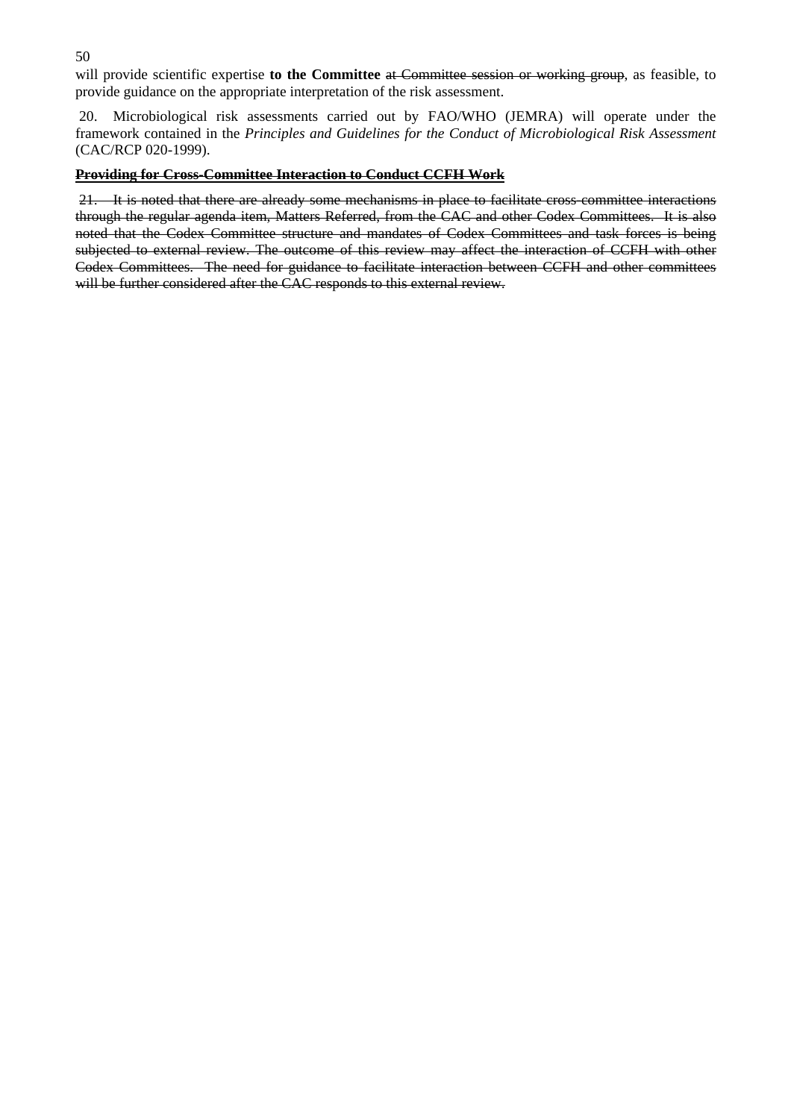50

will provide scientific expertise **to the Committee** at Committee session or working group, as feasible, to provide guidance on the appropriate interpretation of the risk assessment.

20. Microbiological risk assessments carried out by FAO/WHO (JEMRA) will operate under the framework contained in the *Principles and Guidelines for the Conduct of Microbiological Risk Assessment*  (CAC/RCP 020-1999).

## **Providing for Cross-Committee Interaction to Conduct CCFH Work**

21. It is noted that there are already some mechanisms in place to facilitate cross-committee interactions through the regular agenda item, Matters Referred, from the CAC and other Codex Committees. It is also noted that the Codex Committee structure and mandates of Codex Committees and task forces is being subjected to external review. The outcome of this review may affect the interaction of CCFH with other Codex Committees. The need for guidance to facilitate interaction between CCFH and other committees will be further considered after the CAC responds to this external review.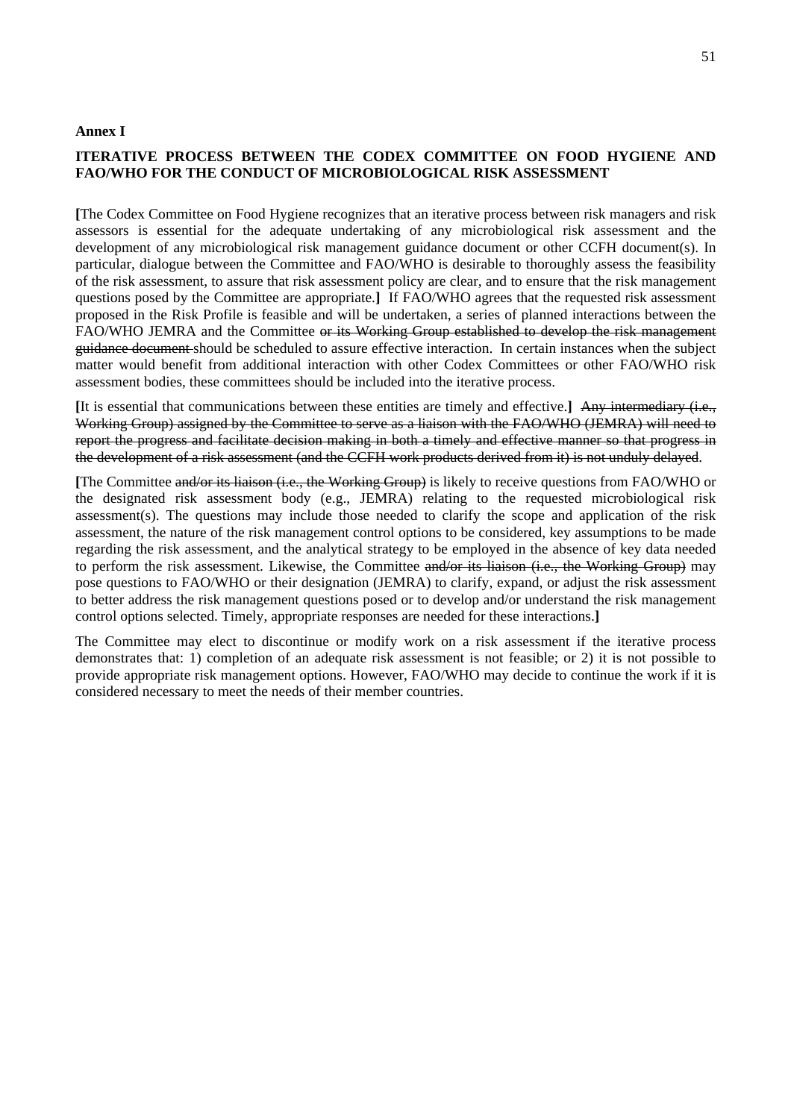#### **Annex I**

# **ITERATIVE PROCESS BETWEEN THE CODEX COMMITTEE ON FOOD HYGIENE AND FAO/WHO FOR THE CONDUCT OF MICROBIOLOGICAL RISK ASSESSMENT**

**[**The Codex Committee on Food Hygiene recognizes that an iterative process between risk managers and risk assessors is essential for the adequate undertaking of any microbiological risk assessment and the development of any microbiological risk management guidance document or other CCFH document(s). In particular, dialogue between the Committee and FAO/WHO is desirable to thoroughly assess the feasibility of the risk assessment, to assure that risk assessment policy are clear, and to ensure that the risk management questions posed by the Committee are appropriate.**]** If FAO/WHO agrees that the requested risk assessment proposed in the Risk Profile is feasible and will be undertaken, a series of planned interactions between the FAO/WHO JEMRA and the Committee or its Working Group established to develop the risk management guidance document should be scheduled to assure effective interaction. In certain instances when the subject matter would benefit from additional interaction with other Codex Committees or other FAO/WHO risk assessment bodies, these committees should be included into the iterative process.

**[**It is essential that communications between these entities are timely and effective.**]** Any intermediary (i.e., Working Group) assigned by the Committee to serve as a liaison with the FAO/WHO (JEMRA) will need to report the progress and facilitate decision making in both a timely and effective manner so that progress in the development of a risk assessment (and the CCFH work products derived from it) is not unduly delayed.

**[**The Committee and/or its liaison (i.e., the Working Group) is likely to receive questions from FAO/WHO or the designated risk assessment body (e.g., JEMRA) relating to the requested microbiological risk assessment(s). The questions may include those needed to clarify the scope and application of the risk assessment, the nature of the risk management control options to be considered, key assumptions to be made regarding the risk assessment, and the analytical strategy to be employed in the absence of key data needed to perform the risk assessment. Likewise, the Committee and/or its liaison (i.e., the Working Group) may pose questions to FAO/WHO or their designation (JEMRA) to clarify, expand, or adjust the risk assessment to better address the risk management questions posed or to develop and/or understand the risk management control options selected. Timely, appropriate responses are needed for these interactions.**]**

The Committee may elect to discontinue or modify work on a risk assessment if the iterative process demonstrates that: 1) completion of an adequate risk assessment is not feasible; or 2) it is not possible to provide appropriate risk management options. However, FAO/WHO may decide to continue the work if it is considered necessary to meet the needs of their member countries.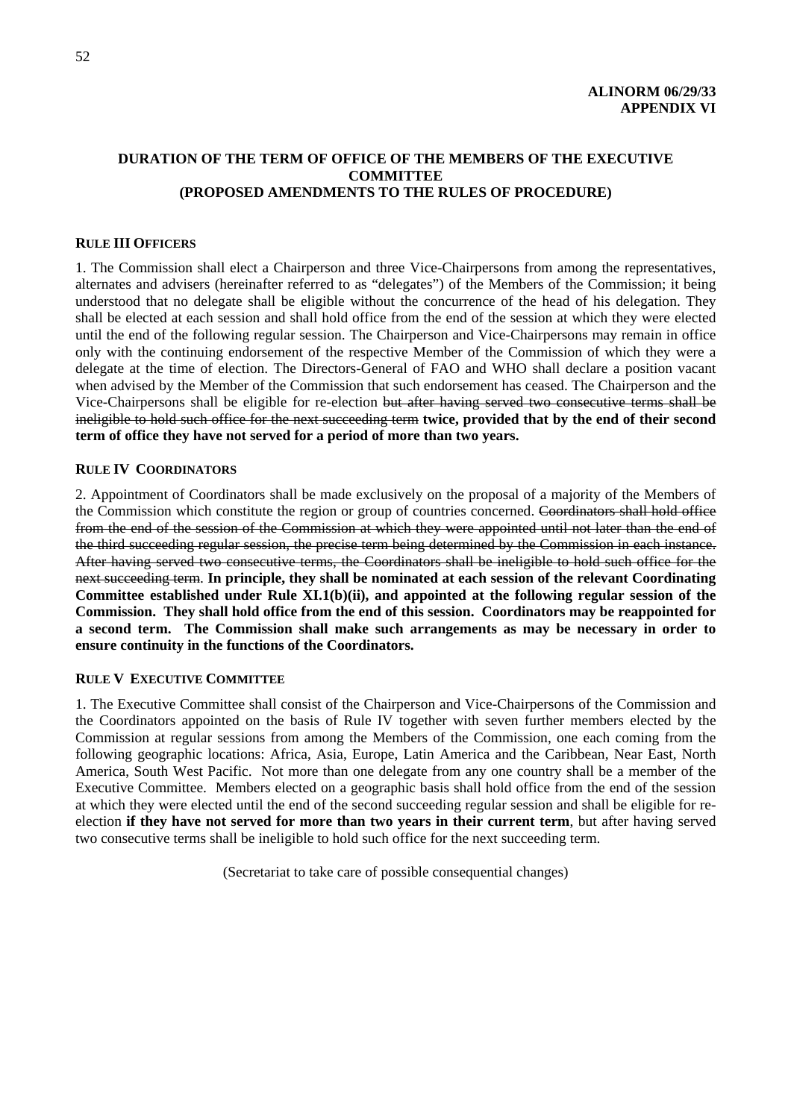# **DURATION OF THE TERM OF OFFICE OF THE MEMBERS OF THE EXECUTIVE COMMITTEE (PROPOSED AMENDMENTS TO THE RULES OF PROCEDURE)**

## **RULE III OFFICERS**

1. The Commission shall elect a Chairperson and three Vice-Chairpersons from among the representatives, alternates and advisers (hereinafter referred to as "delegates") of the Members of the Commission; it being understood that no delegate shall be eligible without the concurrence of the head of his delegation. They shall be elected at each session and shall hold office from the end of the session at which they were elected until the end of the following regular session. The Chairperson and Vice-Chairpersons may remain in office only with the continuing endorsement of the respective Member of the Commission of which they were a delegate at the time of election. The Directors-General of FAO and WHO shall declare a position vacant when advised by the Member of the Commission that such endorsement has ceased. The Chairperson and the Vice-Chairpersons shall be eligible for re-election but after having served two consecutive terms shall be ineligible to hold such office for the next succeeding term **twice, provided that by the end of their second term of office they have not served for a period of more than two years.** 

## **RULE IV COORDINATORS**

2. Appointment of Coordinators shall be made exclusively on the proposal of a majority of the Members of the Commission which constitute the region or group of countries concerned. Coordinators shall hold office from the end of the session of the Commission at which they were appointed until not later than the end of the third succeeding regular session, the precise term being determined by the Commission in each instance. After having served two consecutive terms, the Coordinators shall be ineligible to hold such office for the next succeeding term. **In principle, they shall be nominated at each session of the relevant Coordinating Committee established under Rule XI.1(b)(ii), and appointed at the following regular session of the Commission. They shall hold office from the end of this session. Coordinators may be reappointed for a second term. The Commission shall make such arrangements as may be necessary in order to ensure continuity in the functions of the Coordinators.** 

## **RULE V EXECUTIVE COMMITTEE**

1. The Executive Committee shall consist of the Chairperson and Vice-Chairpersons of the Commission and the Coordinators appointed on the basis of Rule IV together with seven further members elected by the Commission at regular sessions from among the Members of the Commission, one each coming from the following geographic locations: Africa, Asia, Europe, Latin America and the Caribbean, Near East, North America, South West Pacific. Not more than one delegate from any one country shall be a member of the Executive Committee. Members elected on a geographic basis shall hold office from the end of the session at which they were elected until the end of the second succeeding regular session and shall be eligible for reelection **if they have not served for more than two years in their current term**, but after having served two consecutive terms shall be ineligible to hold such office for the next succeeding term.

(Secretariat to take care of possible consequential changes)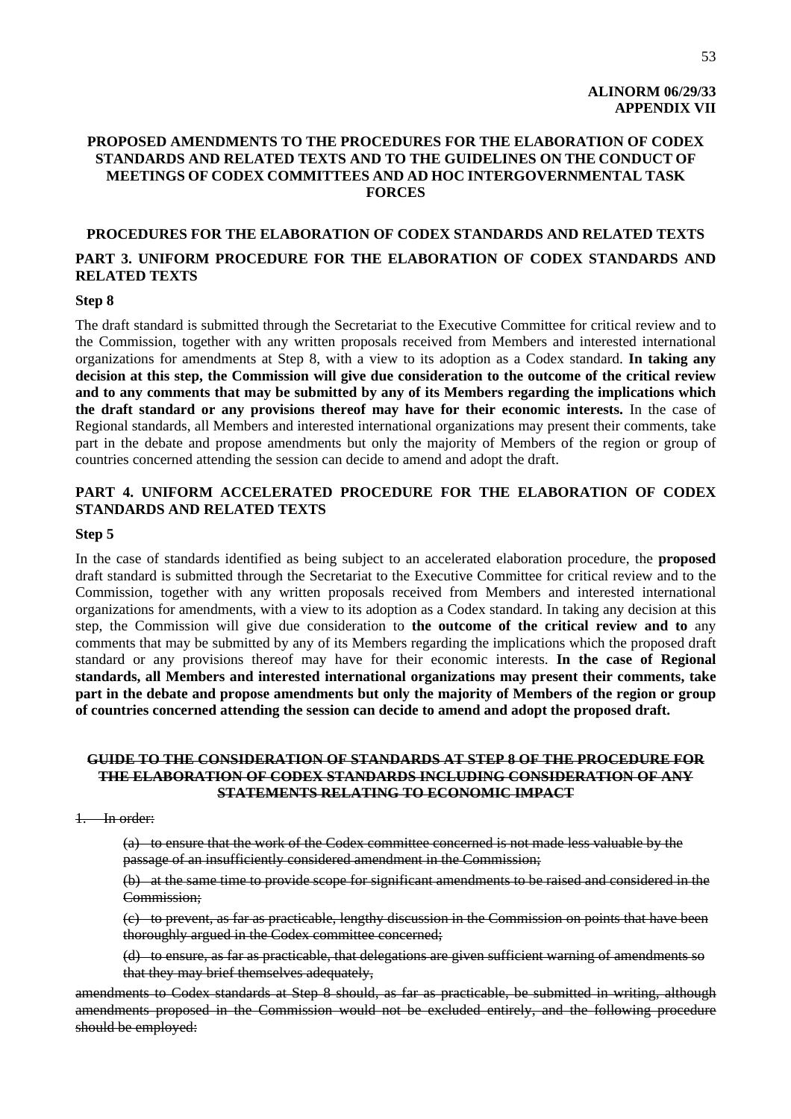# **ALINORM 06/29/33 APPENDIX VII**

# **PROPOSED AMENDMENTS TO THE PROCEDURES FOR THE ELABORATION OF CODEX STANDARDS AND RELATED TEXTS AND TO THE GUIDELINES ON THE CONDUCT OF MEETINGS OF CODEX COMMITTEES AND AD HOC INTERGOVERNMENTAL TASK FORCES**

#### **PROCEDURES FOR THE ELABORATION OF CODEX STANDARDS AND RELATED TEXTS**

# **PART 3. UNIFORM PROCEDURE FOR THE ELABORATION OF CODEX STANDARDS AND RELATED TEXTS**

#### **Step 8**

The draft standard is submitted through the Secretariat to the Executive Committee for critical review and to the Commission, together with any written proposals received from Members and interested international organizations for amendments at Step 8, with a view to its adoption as a Codex standard. **In taking any decision at this step, the Commission will give due consideration to the outcome of the critical review and to any comments that may be submitted by any of its Members regarding the implications which the draft standard or any provisions thereof may have for their economic interests.** In the case of Regional standards, all Members and interested international organizations may present their comments, take part in the debate and propose amendments but only the majority of Members of the region or group of countries concerned attending the session can decide to amend and adopt the draft.

# **PART 4. UNIFORM ACCELERATED PROCEDURE FOR THE ELABORATION OF CODEX STANDARDS AND RELATED TEXTS**

#### **Step 5**

In the case of standards identified as being subject to an accelerated elaboration procedure, the **proposed**  draft standard is submitted through the Secretariat to the Executive Committee for critical review and to the Commission, together with any written proposals received from Members and interested international organizations for amendments, with a view to its adoption as a Codex standard. In taking any decision at this step, the Commission will give due consideration to **the outcome of the critical review and to** any comments that may be submitted by any of its Members regarding the implications which the proposed draft standard or any provisions thereof may have for their economic interests. **In the case of Regional standards, all Members and interested international organizations may present their comments, take part in the debate and propose amendments but only the majority of Members of the region or group of countries concerned attending the session can decide to amend and adopt the proposed draft.** 

# **GUIDE TO THE CONSIDERATION OF STANDARDS AT STEP 8 OF THE PROCEDURE FOR THE ELABORATION OF CODEX STANDARDS INCLUDING CONSIDERATION OF ANY STATEMENTS RELATING TO ECONOMIC IMPACT**

#### 1. In order:

(a) to ensure that the work of the Codex committee concerned is not made less valuable by the passage of an insufficiently considered amendment in the Commission;

(b) at the same time to provide scope for significant amendments to be raised and considered in the Commission;

(c) to prevent, as far as practicable, lengthy discussion in the Commission on points that have been thoroughly argued in the Codex committee concerned;

(d) to ensure, as far as practicable, that delegations are given sufficient warning of amendments so that they may brief themselves adequately,

amendments to Codex standards at Step 8 should, as far as practicable, be submitted in writing, although amendments proposed in the Commission would not be excluded entirely, and the following procedure should be employed: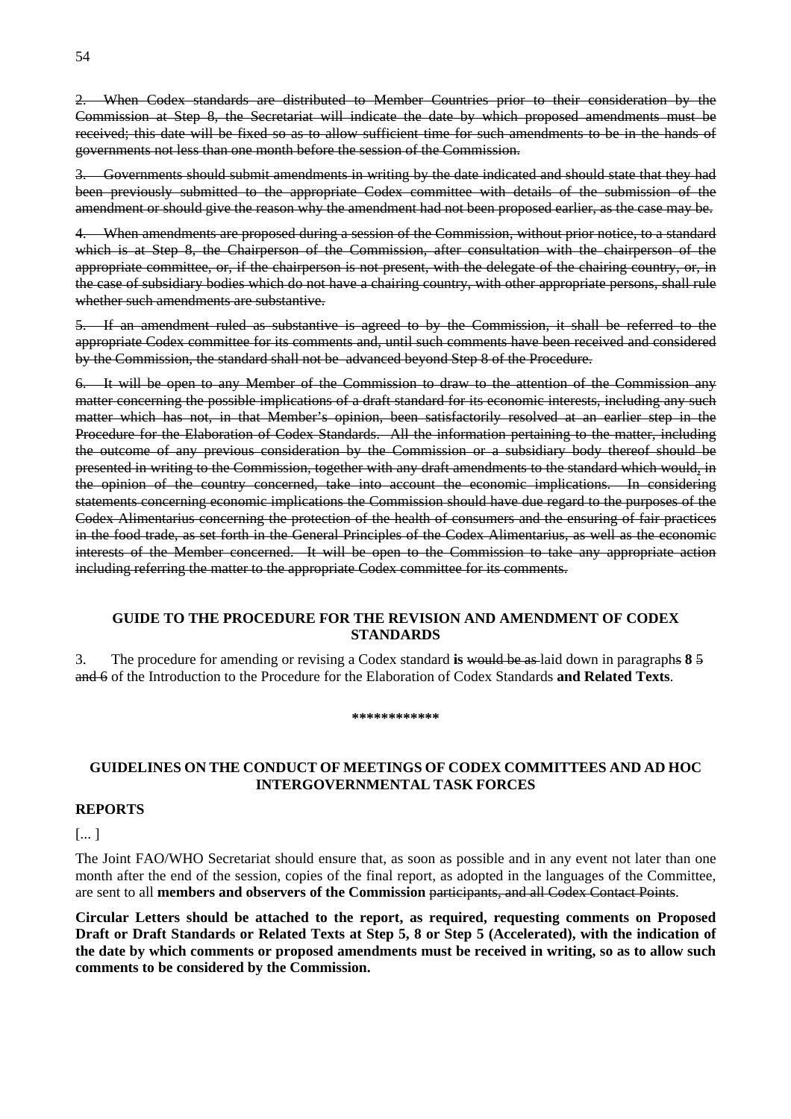2. When Codex standards are distributed to Member Countries prior to their consideration by the Commission at Step 8, the Secretariat will indicate the date by which proposed amendments must be received; this date will be fixed so as to allow sufficient time for such amendments to be in the hands of governments not less than one month before the session of the Commission.

3. Governments should submit amendments in writing by the date indicated and should state that they had been previously submitted to the appropriate Codex committee with details of the submission of the amendment or should give the reason why the amendment had not been proposed earlier, as the case may be.

4. When amendments are proposed during a session of the Commission, without prior notice, to a standard which is at Step 8, the Chairperson of the Commission, after consultation with the chairperson of the appropriate committee, or, if the chairperson is not present, with the delegate of the chairing country, or, in the case of subsidiary bodies which do not have a chairing country, with other appropriate persons, shall rule whether such amendments are substantive.

5. If an amendment ruled as substantive is agreed to by the Commission, it shall be referred to the appropriate Codex committee for its comments and, until such comments have been received and considered by the Commission, the standard shall not be advanced beyond Step 8 of the Procedure.

6. It will be open to any Member of the Commission to draw to the attention of the Commission any matter concerning the possible implications of a draft standard for its economic interests, including any such matter which has not, in that Member's opinion, been satisfactorily resolved at an earlier step in the Procedure for the Elaboration of Codex Standards. All the information pertaining to the matter, including the outcome of any previous consideration by the Commission or a subsidiary body thereof should be presented in writing to the Commission, together with any draft amendments to the standard which would, in the opinion of the country concerned, take into account the economic implications. In considering statements concerning economic implications the Commission should have due regard to the purposes of the Codex Alimentarius concerning the protection of the health of consumers and the ensuring of fair practices in the food trade, as set forth in the General Principles of the Codex Alimentarius, as well as the economic interests of the Member concerned. It will be open to the Commission to take any appropriate action including referring the matter to the appropriate Codex committee for its comments.

# **GUIDE TO THE PROCEDURE FOR THE REVISION AND AMENDMENT OF CODEX STANDARDS**

3. The procedure for amending or revising a Codex standard **is** would be as laid down in paragraphs **8** 5 and 6 of the Introduction to the Procedure for the Elaboration of Codex Standards **and Related Texts**.

#### **\*\*\*\*\*\*\*\*\*\*\*\***

## **GUIDELINES ON THE CONDUCT OF MEETINGS OF CODEX COMMITTEES AND AD HOC INTERGOVERNMENTAL TASK FORCES**

#### **REPORTS**

[... ]

The Joint FAO/WHO Secretariat should ensure that, as soon as possible and in any event not later than one month after the end of the session, copies of the final report, as adopted in the languages of the Committee, are sent to all **members and observers of the Commission** participants, and all Codex Contact Points.

**Circular Letters should be attached to the report, as required, requesting comments on Proposed Draft or Draft Standards or Related Texts at Step 5, 8 or Step 5 (Accelerated), with the indication of the date by which comments or proposed amendments must be received in writing, so as to allow such comments to be considered by the Commission.**